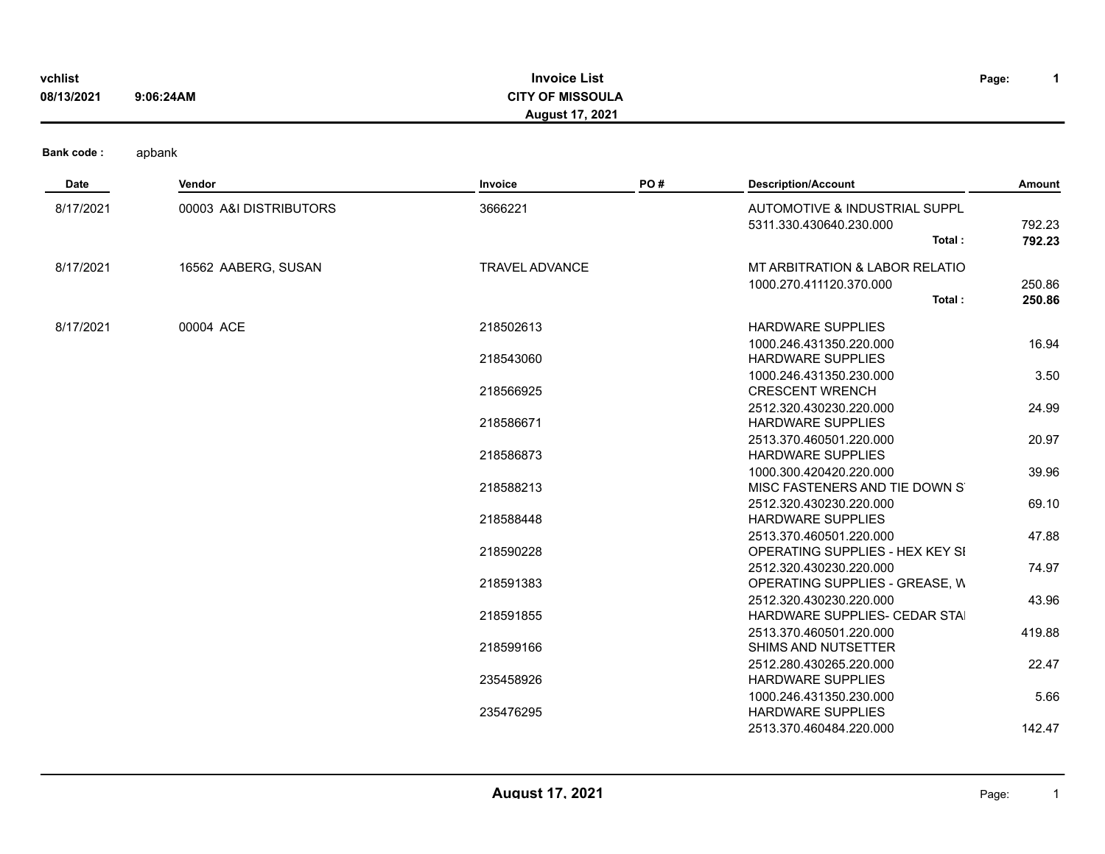| vchlist<br>08/13/2021 | <b>Invoice List</b><br><b>CITY OF MISSOULA</b><br>9:06:24AM<br><b>August 17, 2021</b> |                        |     |                                                                                        |                  |
|-----------------------|---------------------------------------------------------------------------------------|------------------------|-----|----------------------------------------------------------------------------------------|------------------|
| <b>Bank code:</b>     | apbank                                                                                |                        |     |                                                                                        |                  |
| Date                  | Vendor                                                                                | Invoice                | PO# | <b>Description/Account</b>                                                             | <b>Amount</b>    |
| 8/17/2021             | 00003 A&I DISTRIBUTORS                                                                | 3666221                |     | AUTOMOTIVE & INDUSTRIAL SUPPL<br>5311.330.430640.230.000<br>Total:                     | 792.23<br>792.23 |
| 8/17/2021             | 16562 AABERG, SUSAN                                                                   | <b>TRAVEL ADVANCE</b>  |     | MT ARBITRATION & LABOR RELATIO<br>1000.270.411120.370.000<br>Total:                    | 250.86<br>250.86 |
| 8/17/2021             | 00004 ACE                                                                             | 218502613              |     | <b>HARDWARE SUPPLIES</b><br>1000.246.431350.220.000                                    | 16.94            |
|                       |                                                                                       | 218543060<br>218566925 |     | <b>HARDWARE SUPPLIES</b><br>1000.246.431350.230.000<br><b>CRESCENT WRENCH</b>          | 3.50             |
|                       |                                                                                       | 218586671              |     | 2512.320.430230.220.000<br><b>HARDWARE SUPPLIES</b>                                    | 24.99            |
|                       |                                                                                       | 218586873              |     | 2513.370.460501.220.000<br><b>HARDWARE SUPPLIES</b><br>1000.300.420420.220.000         | 20.97<br>39.96   |
|                       |                                                                                       | 218588213              |     | MISC FASTENERS AND TIE DOWN S<br>2512.320.430230.220.000                               | 69.10            |
|                       |                                                                                       | 218588448<br>218590228 |     | <b>HARDWARE SUPPLIES</b><br>2513.370.460501.220.000<br>OPERATING SUPPLIES - HEX KEY SI | 47.88            |
|                       |                                                                                       | 218591383              |     | 2512.320.430230.220.000<br>OPERATING SUPPLIES - GREASE, W                              | 74.97            |
|                       |                                                                                       | 218591855              |     | 2512.320.430230.220.000<br>HARDWARE SUPPLIES- CEDAR STAI                               | 43.96            |
|                       |                                                                                       | 218599166              |     | 2513.370.460501.220.000<br>SHIMS AND NUTSETTER                                         | 419.88           |
|                       |                                                                                       | 235458926              |     | 2512.280.430265.220.000<br><b>HARDWARE SUPPLIES</b><br>1000.246.431350.230.000         | 22.47<br>5.66    |
|                       |                                                                                       | 235476295              |     | <b>HARDWARE SUPPLIES</b><br>2513.370.460484.220.000                                    | 142.47           |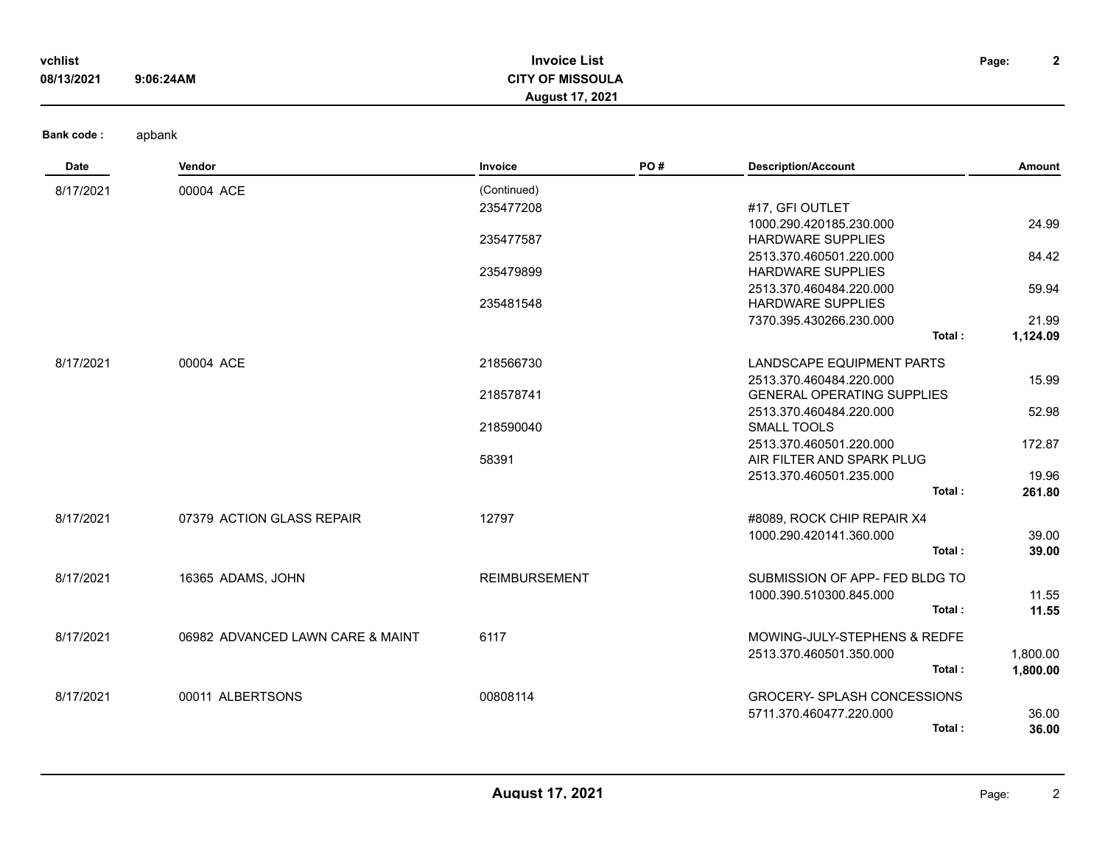| vchlist<br>08/13/2021 | 9:06:24AM | <b>Invoice List</b><br><b>CITY OF MISSOULA</b><br><b>August 17, 2021</b> |     |                            | $\mathbf{2}$<br>Page: |
|-----------------------|-----------|--------------------------------------------------------------------------|-----|----------------------------|-----------------------|
| Bank code:            | apbank    |                                                                          |     |                            |                       |
| Date                  | Vendor    | Invoice                                                                  | PO# | <b>Description/Account</b> | Amount                |
| 8/17/2021             | 00004 ACE | (Continued)                                                              |     |                            |                       |
|                       |           | 235477208                                                                |     | #17, GFI OUTLET            |                       |
|                       |           |                                                                          |     | 1000.290.420185.230.000    | 24.99                 |
|                       |           | 235477587                                                                |     | <b>HARDWARE SUPPLIES</b>   |                       |
|                       |           |                                                                          |     | 2513.370.460501.220.000    | 84.42                 |
|                       |           | 235479899                                                                |     | <b>HARDWARE SUPPLIES</b>   |                       |
|                       |           |                                                                          |     | 2513.370.460484.220.000    | 59.94                 |
|                       |           | 235481548                                                                |     | <b>HARDWARE SUPPLIES</b>   |                       |
|                       |           |                                                                          |     | 7370.395.430266.230.000    | 21.99                 |
|                       |           |                                                                          |     | Total:                     | 1,124.09              |
| 8/17/2021             | 00004 ACE | 218566730                                                                |     | LANDSCAPE EQUIPMENT PARTS  |                       |
|                       |           |                                                                          |     | 2513.370.460484.220.000    | 15.99                 |

|           |                                  | 218578741            | <b>GENERAL OPERATING SUPPLIES</b>  |          |  |
|-----------|----------------------------------|----------------------|------------------------------------|----------|--|
|           |                                  |                      | 2513.370.460484.220.000            | 52.98    |  |
|           |                                  | 218590040            | SMALL TOOLS                        |          |  |
|           |                                  |                      | 2513.370.460501.220.000            | 172.87   |  |
|           |                                  | 58391                | AIR FILTER AND SPARK PLUG          |          |  |
|           |                                  |                      | 2513.370.460501.235.000            | 19.96    |  |
|           |                                  |                      | Total:                             | 261.80   |  |
| 8/17/2021 | 07379 ACTION GLASS REPAIR        | 12797                | #8089, ROCK CHIP REPAIR X4         |          |  |
|           |                                  |                      | 1000.290.420141.360.000            | 39.00    |  |
|           |                                  |                      | Total:                             | 39.00    |  |
| 8/17/2021 | 16365 ADAMS, JOHN                | <b>REIMBURSEMENT</b> | SUBMISSION OF APP- FED BLDG TO     |          |  |
|           |                                  |                      | 1000.390.510300.845.000            | 11.55    |  |
|           |                                  |                      | Total:                             | 11.55    |  |
| 8/17/2021 | 06982 ADVANCED LAWN CARE & MAINT | 6117                 | MOWING-JULY-STEPHENS & REDFE       |          |  |
|           |                                  |                      | 2513.370.460501.350.000            | 1,800.00 |  |
|           |                                  |                      | Total:                             | 1,800.00 |  |
| 8/17/2021 | 00011 ALBERTSONS                 | 00808114             | <b>GROCERY- SPLASH CONCESSIONS</b> |          |  |
|           |                                  |                      | 5711.370.460477.220.000            | 36.00    |  |
|           |                                  |                      | Total:                             | 36.00    |  |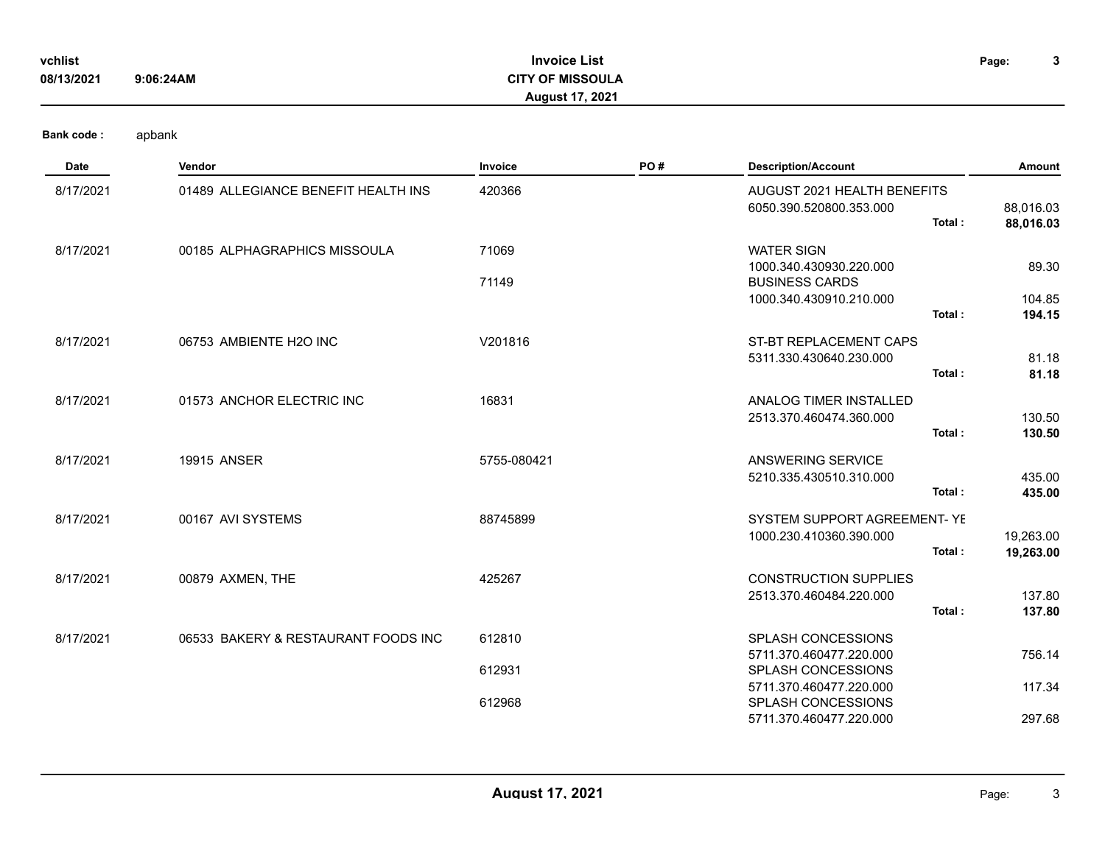| vchlist    |           | <b>Invoice List</b>     | Page: | $\mathbf{\hat{a}}$<br>P |
|------------|-----------|-------------------------|-------|-------------------------|
| 08/13/2021 | 9:06:24AM | <b>CITY OF MISSOULA</b> |       |                         |
|            |           | <b>August 17, 2021</b>  |       |                         |

| <b>Date</b> | Vendor                              | Invoice     | PO# | <b>Description/Account</b>                    | Amount                 |
|-------------|-------------------------------------|-------------|-----|-----------------------------------------------|------------------------|
| 8/17/2021   | 01489 ALLEGIANCE BENEFIT HEALTH INS | 420366      |     | AUGUST 2021 HEALTH BENEFITS                   |                        |
|             |                                     |             |     | 6050.390.520800.353.000<br>Total:             | 88,016.03<br>88,016.03 |
| 8/17/2021   | 00185 ALPHAGRAPHICS MISSOULA        | 71069       |     | <b>WATER SIGN</b>                             |                        |
|             |                                     |             |     | 1000.340.430930.220.000                       | 89.30                  |
|             |                                     | 71149       |     | <b>BUSINESS CARDS</b>                         |                        |
|             |                                     |             |     | 1000.340.430910.210.000<br>Total:             | 104.85<br>194.15       |
|             |                                     |             |     |                                               |                        |
| 8/17/2021   | 06753 AMBIENTE H2O INC              | V201816     |     | <b>ST-BT REPLACEMENT CAPS</b>                 |                        |
|             |                                     |             |     | 5311.330.430640.230.000<br>Total:             | 81.18<br>81.18         |
|             |                                     |             |     |                                               |                        |
| 8/17/2021   | 01573 ANCHOR ELECTRIC INC           | 16831       |     | ANALOG TIMER INSTALLED                        |                        |
|             |                                     |             |     | 2513.370.460474.360.000<br>Total:             | 130.50<br>130.50       |
|             |                                     |             |     |                                               |                        |
| 8/17/2021   | <b>19915 ANSER</b>                  | 5755-080421 |     | ANSWERING SERVICE                             |                        |
|             |                                     |             |     | 5210.335.430510.310.000                       | 435.00                 |
|             |                                     |             |     | Total:                                        | 435.00                 |
| 8/17/2021   | 00167 AVI SYSTEMS                   | 88745899    |     | SYSTEM SUPPORT AGREEMENT- YE                  |                        |
|             |                                     |             |     | 1000.230.410360.390.000                       | 19,263.00              |
|             |                                     |             |     | Total:                                        | 19,263.00              |
| 8/17/2021   | 00879 AXMEN, THE                    | 425267      |     | <b>CONSTRUCTION SUPPLIES</b>                  |                        |
|             |                                     |             |     | 2513.370.460484.220.000                       | 137.80                 |
|             |                                     |             |     | Total:                                        | 137.80                 |
| 8/17/2021   | 06533 BAKERY & RESTAURANT FOODS INC | 612810      |     | <b>SPLASH CONCESSIONS</b>                     |                        |
|             |                                     |             |     | 5711.370.460477.220.000                       | 756.14                 |
|             |                                     | 612931      |     | SPLASH CONCESSIONS                            |                        |
|             |                                     | 612968      |     | 5711.370.460477.220.000<br>SPLASH CONCESSIONS | 117.34                 |
|             |                                     |             |     | 5711.370.460477.220.000                       | 297.68                 |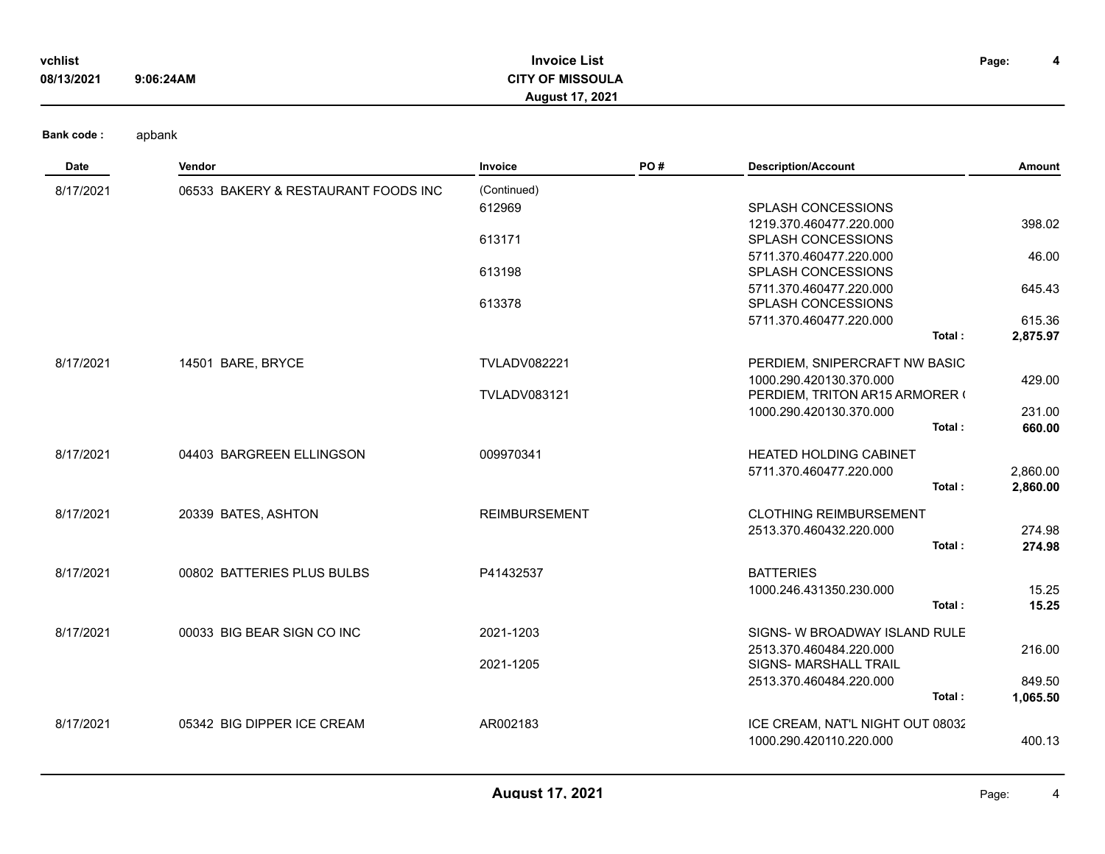| vchlist    |           | <b>Invoice List</b>     | Page: |  |
|------------|-----------|-------------------------|-------|--|
| 08/13/2021 | 9:06:24AM | <b>CITY OF MISSOULA</b> |       |  |
|            |           | August 17, 2021         |       |  |

| Date      | Vendor                              | Invoice              | PO# | <b>Description/Account</b>       | Amount   |
|-----------|-------------------------------------|----------------------|-----|----------------------------------|----------|
| 8/17/2021 | 06533 BAKERY & RESTAURANT FOODS INC | (Continued)          |     |                                  |          |
|           |                                     | 612969               |     | SPLASH CONCESSIONS               |          |
|           |                                     |                      |     | 1219.370.460477.220.000          | 398.02   |
|           |                                     | 613171               |     | SPLASH CONCESSIONS               |          |
|           |                                     |                      |     | 5711.370.460477.220.000          | 46.00    |
|           |                                     | 613198               |     | SPLASH CONCESSIONS               |          |
|           |                                     |                      |     | 5711.370.460477.220.000          | 645.43   |
|           |                                     | 613378               |     | SPLASH CONCESSIONS               |          |
|           |                                     |                      |     | 5711.370.460477.220.000          | 615.36   |
|           |                                     |                      |     | Total:                           | 2,875.97 |
| 8/17/2021 | 14501 BARE, BRYCE                   | <b>TVLADV082221</b>  |     | PERDIEM, SNIPERCRAFT NW BASIC    |          |
|           |                                     |                      |     | 1000.290.420130.370.000          | 429.00   |
|           |                                     | <b>TVLADV083121</b>  |     | PERDIEM, TRITON AR15 ARMORER (   |          |
|           |                                     |                      |     | 1000.290.420130.370.000          | 231.00   |
|           |                                     |                      |     | Total:                           | 660.00   |
| 8/17/2021 | 04403 BARGREEN ELLINGSON            | 009970341            |     | <b>HEATED HOLDING CABINET</b>    |          |
|           |                                     |                      |     | 5711.370.460477.220.000          | 2,860.00 |
|           |                                     |                      |     | Total:                           | 2,860.00 |
| 8/17/2021 | 20339 BATES, ASHTON                 | <b>REIMBURSEMENT</b> |     | <b>CLOTHING REIMBURSEMENT</b>    |          |
|           |                                     |                      |     | 2513.370.460432.220.000          | 274.98   |
|           |                                     |                      |     | Total:                           | 274.98   |
|           |                                     |                      |     |                                  |          |
| 8/17/2021 | 00802 BATTERIES PLUS BULBS          | P41432537            |     | <b>BATTERIES</b>                 |          |
|           |                                     |                      |     | 1000.246.431350.230.000          | 15.25    |
|           |                                     |                      |     | Total:                           | 15.25    |
| 8/17/2021 | 00033 BIG BEAR SIGN CO INC          | 2021-1203            |     | SIGNS- W BROADWAY ISLAND RULE    |          |
|           |                                     |                      |     | 2513.370.460484.220.000          | 216.00   |
|           |                                     | 2021-1205            |     | <b>SIGNS- MARSHALL TRAIL</b>     |          |
|           |                                     |                      |     | 2513.370.460484.220.000          | 849.50   |
|           |                                     |                      |     | Total:                           | 1,065.50 |
| 8/17/2021 | 05342 BIG DIPPER ICE CREAM          | AR002183             |     | ICE CREAM, NAT'L NIGHT OUT 08032 |          |
|           |                                     |                      |     | 1000.290.420110.220.000          | 400.13   |
|           |                                     |                      |     |                                  |          |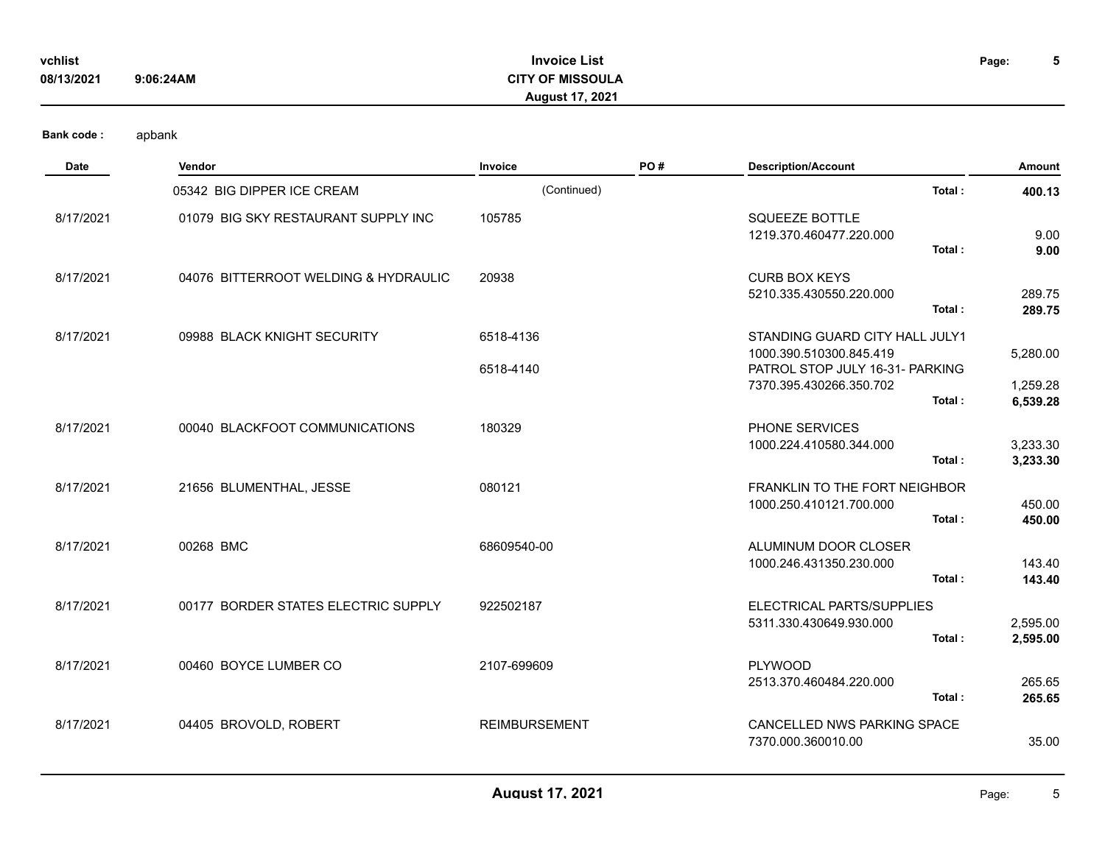| vchlist    |           | <b>Invoice List</b>     | Page: |  |
|------------|-----------|-------------------------|-------|--|
| 08/13/2021 | 9:06:24AM | <b>CITY OF MISSOULA</b> |       |  |
|            |           | <b>August 17, 2021</b>  |       |  |

| Date      | Vendor                               | Invoice                | PO# | <b>Description/Account</b>                                                                                                        | Amount                           |
|-----------|--------------------------------------|------------------------|-----|-----------------------------------------------------------------------------------------------------------------------------------|----------------------------------|
|           | 05342 BIG DIPPER ICE CREAM           | (Continued)            |     | Total:                                                                                                                            | 400.13                           |
| 8/17/2021 | 01079 BIG SKY RESTAURANT SUPPLY INC  | 105785                 |     | <b>SQUEEZE BOTTLE</b><br>1219.370.460477.220.000<br>Total:                                                                        | 9.00<br>9.00                     |
| 8/17/2021 | 04076 BITTERROOT WELDING & HYDRAULIC | 20938                  |     | <b>CURB BOX KEYS</b><br>5210.335.430550.220.000<br>Total:                                                                         | 289.75<br>289.75                 |
| 8/17/2021 | 09988 BLACK KNIGHT SECURITY          | 6518-4136<br>6518-4140 |     | STANDING GUARD CITY HALL JULY1<br>1000.390.510300.845.419<br>PATROL STOP JULY 16-31- PARKING<br>7370.395.430266.350.702<br>Total: | 5,280.00<br>1,259.28<br>6,539.28 |
| 8/17/2021 | 00040 BLACKFOOT COMMUNICATIONS       | 180329                 |     | PHONE SERVICES<br>1000.224.410580.344.000<br>Total:                                                                               | 3,233.30<br>3,233.30             |
| 8/17/2021 | 21656 BLUMENTHAL, JESSE              | 080121                 |     | FRANKLIN TO THE FORT NEIGHBOR<br>1000.250.410121.700.000<br>Total:                                                                | 450.00<br>450.00                 |
| 8/17/2021 | 00268 BMC                            | 68609540-00            |     | ALUMINUM DOOR CLOSER<br>1000.246.431350.230.000<br>Total:                                                                         | 143.40<br>143.40                 |
| 8/17/2021 | 00177 BORDER STATES ELECTRIC SUPPLY  | 922502187              |     | ELECTRICAL PARTS/SUPPLIES<br>5311.330.430649.930.000<br>Total:                                                                    | 2,595.00<br>2,595.00             |
| 8/17/2021 | 00460 BOYCE LUMBER CO                | 2107-699609            |     | <b>PLYWOOD</b><br>2513.370.460484.220.000<br>Total:                                                                               | 265.65<br>265.65                 |
| 8/17/2021 | 04405 BROVOLD, ROBERT                | <b>REIMBURSEMENT</b>   |     | CANCELLED NWS PARKING SPACE<br>7370.000.360010.00                                                                                 | 35.00                            |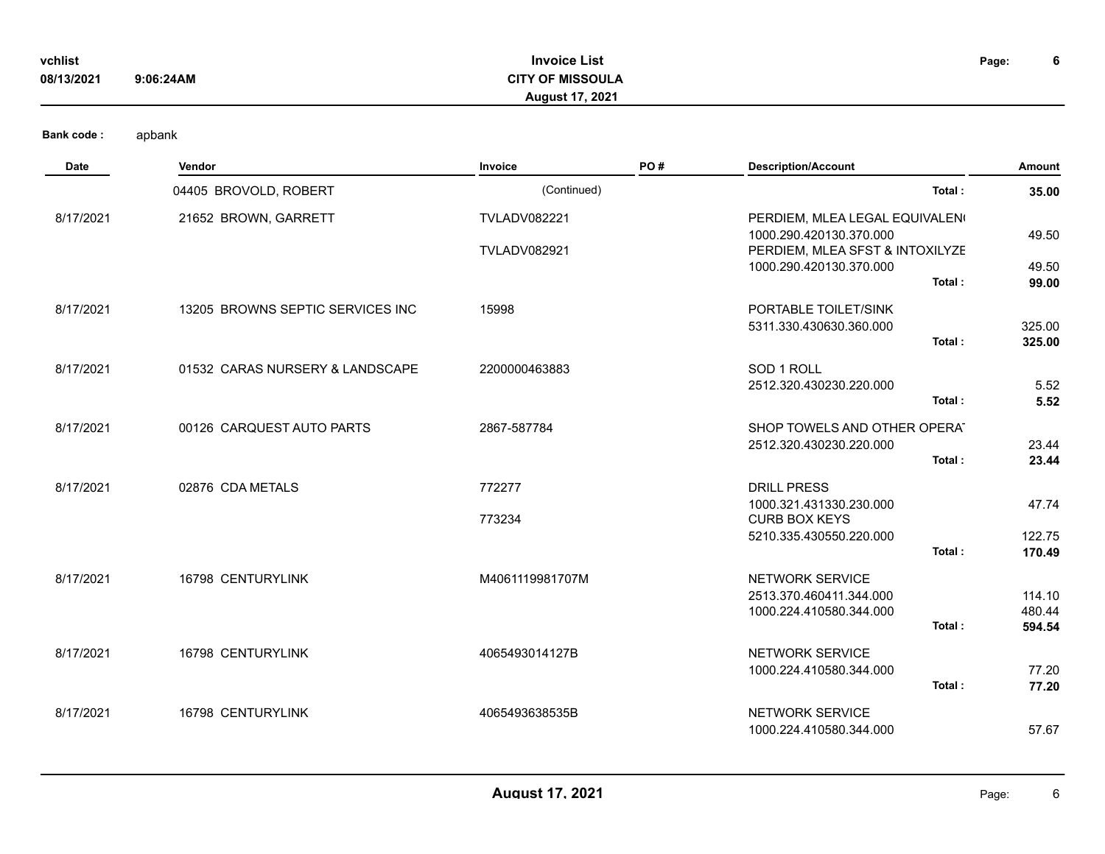| vchlist    |           | <b>Invoice List</b>     | Page: | О |
|------------|-----------|-------------------------|-------|---|
| 08/13/2021 | 9:06:24AM | <b>CITY OF MISSOULA</b> |       |   |
|            |           | <b>August 17, 2021</b>  |       |   |

| Date      | Vendor                           | Invoice             | PO# | <b>Description/Account</b>                 | Amount         |
|-----------|----------------------------------|---------------------|-----|--------------------------------------------|----------------|
|           | 04405 BROVOLD, ROBERT            | (Continued)         |     | Total:                                     | 35.00          |
| 8/17/2021 | 21652 BROWN, GARRETT             | <b>TVLADV082221</b> |     | PERDIEM, MLEA LEGAL EQUIVALEN <sup>®</sup> |                |
|           |                                  |                     |     | 1000.290.420130.370.000                    | 49.50          |
|           |                                  | <b>TVLADV082921</b> |     | PERDIEM, MLEA SFST & INTOXILYZE            |                |
|           |                                  |                     |     | 1000.290.420130.370.000<br>Total:          | 49.50<br>99.00 |
|           |                                  |                     |     |                                            |                |
| 8/17/2021 | 13205 BROWNS SEPTIC SERVICES INC | 15998               |     | PORTABLE TOILET/SINK                       |                |
|           |                                  |                     |     | 5311.330.430630.360.000                    | 325.00         |
|           |                                  |                     |     | Total:                                     | 325.00         |
| 8/17/2021 | 01532 CARAS NURSERY & LANDSCAPE  | 2200000463883       |     | SOD 1 ROLL                                 |                |
|           |                                  |                     |     | 2512.320.430230.220.000                    | 5.52           |
|           |                                  |                     |     | Total:                                     | 5.52           |
| 8/17/2021 | 00126 CARQUEST AUTO PARTS        | 2867-587784         |     | SHOP TOWELS AND OTHER OPERAT               |                |
|           |                                  |                     |     | 2512.320.430230.220.000                    | 23.44          |
|           |                                  |                     |     | Total:                                     | 23.44          |
| 8/17/2021 | 02876 CDA METALS                 | 772277              |     | <b>DRILL PRESS</b>                         |                |
|           |                                  |                     |     | 1000.321.431330.230.000                    | 47.74          |
|           |                                  | 773234              |     | <b>CURB BOX KEYS</b>                       |                |
|           |                                  |                     |     | 5210.335.430550.220.000                    | 122.75         |
|           |                                  |                     |     | Total:                                     | 170.49         |
| 8/17/2021 | 16798 CENTURYLINK                | M4061119981707M     |     | NETWORK SERVICE                            |                |
|           |                                  |                     |     | 2513.370.460411.344.000                    | 114.10         |
|           |                                  |                     |     | 1000.224.410580.344.000                    | 480.44         |
|           |                                  |                     |     | Total:                                     | 594.54         |
| 8/17/2021 | 16798 CENTURYLINK                | 4065493014127B      |     | <b>NETWORK SERVICE</b>                     |                |
|           |                                  |                     |     | 1000.224.410580.344.000                    | 77.20          |
|           |                                  |                     |     | Total:                                     | 77.20          |
| 8/17/2021 | 16798 CENTURYLINK                | 4065493638535B      |     | NETWORK SERVICE                            |                |
|           |                                  |                     |     | 1000.224.410580.344.000                    | 57.67          |
|           |                                  |                     |     |                                            |                |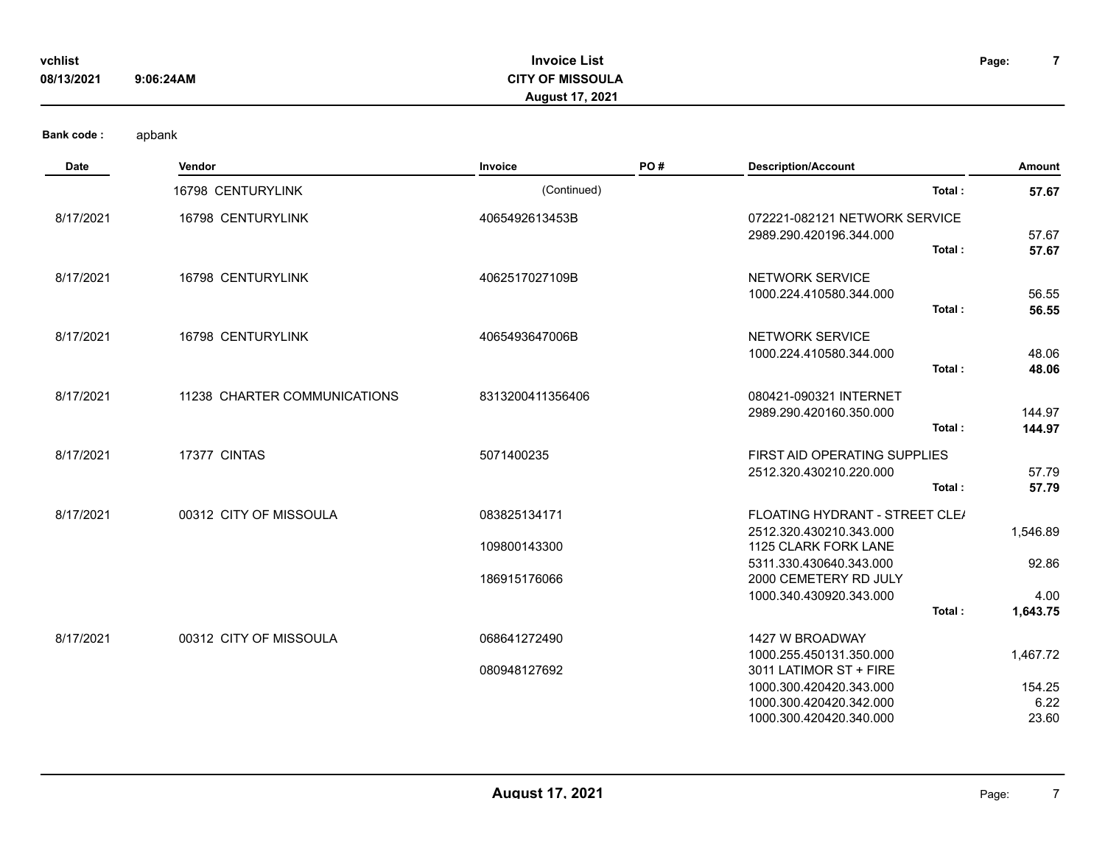| vchlist    |           | <b>Invoice List</b>     | Page: |  |
|------------|-----------|-------------------------|-------|--|
| 08/13/2021 | 9:06:24AM | <b>CITY OF MISSOULA</b> |       |  |
|            |           | <b>August 17, 2021</b>  |       |  |
|            |           |                         |       |  |

| PO#<br><b>Description/Account</b><br>Invoice<br>Date<br><b>Vendor</b>                                        |                  |
|--------------------------------------------------------------------------------------------------------------|------------------|
| (Continued)<br>Total:<br>16798 CENTURYLINK                                                                   | 57.67            |
| 16798 CENTURYLINK<br>4065492613453B<br>8/17/2021<br>072221-082121 NETWORK SERVICE<br>2989.290.420196.344.000 | 57.67            |
| Total:                                                                                                       | 57.67            |
| 16798 CENTURYLINK<br>8/17/2021<br>4062517027109B<br><b>NETWORK SERVICE</b>                                   |                  |
| 1000.224.410580.344.000<br>Total:                                                                            | 56.55<br>56.55   |
| 16798 CENTURYLINK<br><b>NETWORK SERVICE</b><br>8/17/2021<br>4065493647006B                                   |                  |
| 1000.224.410580.344.000<br>Total:                                                                            | 48.06<br>48.06   |
| 8/17/2021<br>11238 CHARTER COMMUNICATIONS<br>8313200411356406<br>080421-090321 INTERNET                      |                  |
| 2989.290.420160.350.000<br>Total:                                                                            | 144.97<br>144.97 |
| 17377 CINTAS<br>8/17/2021<br>5071400235<br>FIRST AID OPERATING SUPPLIES                                      |                  |
| 2512.320.430210.220.000                                                                                      | 57.79            |
| Total:                                                                                                       | 57.79            |
| 00312 CITY OF MISSOULA<br>8/17/2021<br>083825134171<br>FLOATING HYDRANT - STREET CLE/                        |                  |
| 2512.320.430210.343.000                                                                                      | 1,546.89         |
| 1125 CLARK FORK LANE<br>109800143300                                                                         |                  |
| 5311.330.430640.343.000<br>186915176066<br>2000 CEMETERY RD JULY                                             | 92.86            |
| 1000.340.430920.343.000                                                                                      | 4.00             |
| Total:                                                                                                       | 1,643.75         |
| 8/17/2021<br>00312 CITY OF MISSOULA<br>068641272490<br>1427 W BROADWAY                                       |                  |
| 1000.255.450131.350.000                                                                                      | 1,467.72         |
| 080948127692<br>3011 LATIMOR ST + FIRE                                                                       |                  |
| 1000.300.420420.343.000                                                                                      | 154.25           |
| 1000.300.420420.342.000<br>1000.300.420420.340.000                                                           | 6.22<br>23.60    |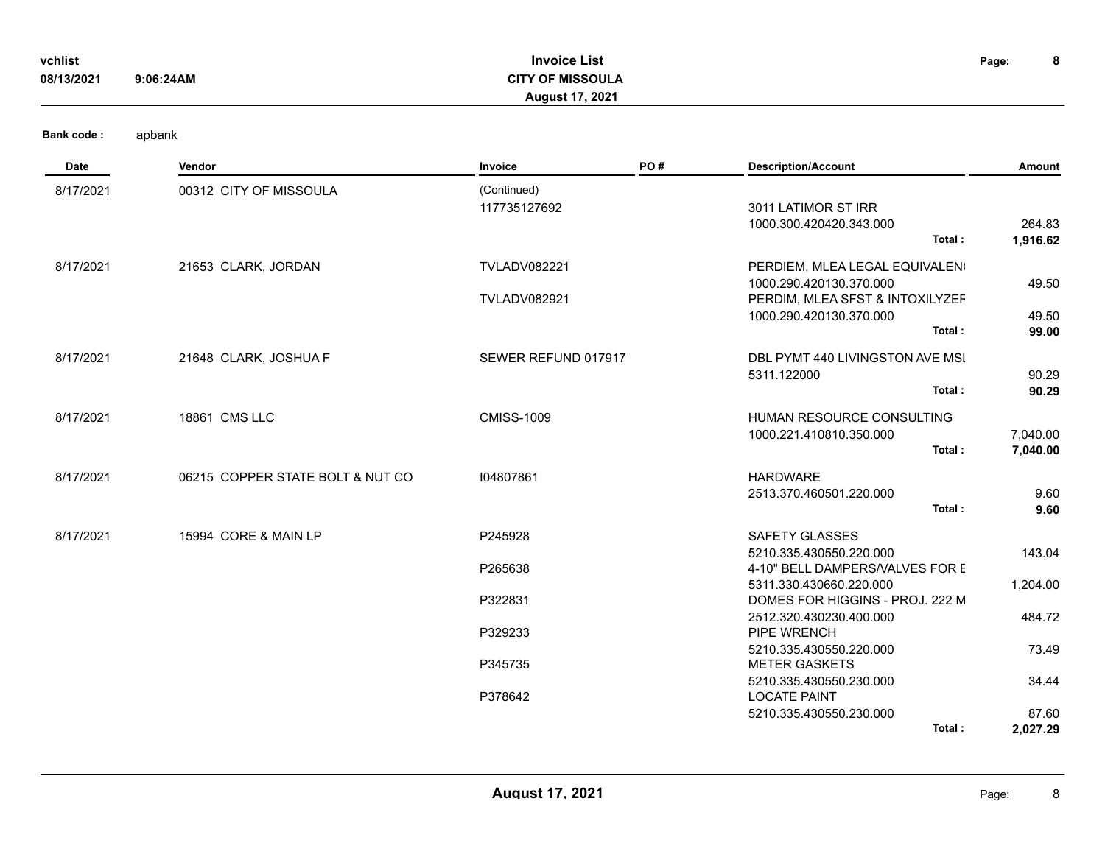| vchlist<br>08/13/2021 | 9:06:24AM                        | <b>Invoice List</b><br><b>CITY OF MISSOULA</b><br>August 17, 2021 |     |                                                                                                                        | 8<br>Page:           |
|-----------------------|----------------------------------|-------------------------------------------------------------------|-----|------------------------------------------------------------------------------------------------------------------------|----------------------|
| <b>Bank code:</b>     | apbank                           |                                                                   |     |                                                                                                                        |                      |
| Date                  | Vendor                           | Invoice                                                           | PO# | <b>Description/Account</b>                                                                                             | Amount               |
| 8/17/2021             | 00312 CITY OF MISSOULA           | (Continued)<br>117735127692                                       |     | 3011 LATIMOR ST IRR<br>1000.300.420420.343.000<br>Total:                                                               | 264.83<br>1,916.62   |
| 8/17/2021             | 21653 CLARK, JORDAN              | <b>TVLADV082221</b><br><b>TVLADV082921</b>                        |     | PERDIEM, MLEA LEGAL EQUIVALEN<br>1000.290.420130.370.000<br>PERDIM, MLEA SFST & INTOXILYZEF<br>1000.290.420130.370.000 | 49.50<br>49.50       |
|                       |                                  |                                                                   |     | Total:                                                                                                                 | 99.00                |
| 8/17/2021             | 21648 CLARK, JOSHUA F            | SEWER REFUND 017917                                               |     | DBL PYMT 440 LIVINGSTON AVE MSI<br>5311.122000<br>Total:                                                               | 90.29<br>90.29       |
| 8/17/2021             | 18861 CMS LLC                    | <b>CMISS-1009</b>                                                 |     | HUMAN RESOURCE CONSULTING<br>1000.221.410810.350.000<br>Total:                                                         | 7,040.00<br>7,040.00 |
| 8/17/2021             | 06215 COPPER STATE BOLT & NUT CO | 104807861                                                         |     | <b>HARDWARE</b><br>2513.370.460501.220.000<br>Total:                                                                   | 9.60<br>9.60         |
| 8/17/2021             | 15994 CORE & MAIN LP             | P245928                                                           |     | SAFETY GLASSES<br>5210.335.430550.220.000                                                                              | 143.04               |
|                       |                                  | P265638<br>P322831                                                |     | 4-10" BELL DAMPERS/VALVES FOR E<br>5311.330.430660.220.000<br>DOMES FOR HIGGINS - PROJ. 222 M                          | 1,204.00             |
|                       |                                  | P329233                                                           |     | 2512.320.430230.400.000<br>PIPE WRENCH                                                                                 | 484.72               |
|                       |                                  | P345735                                                           |     | 5210.335.430550.220.000<br><b>METER GASKETS</b>                                                                        | 73.49                |
|                       |                                  | P378642                                                           |     | 5210.335.430550.230.000<br><b>LOCATE PAINT</b><br>5210.335.430550.230.000                                              | 34.44<br>87.60       |
|                       |                                  |                                                                   |     | Total:                                                                                                                 | 2,027.29             |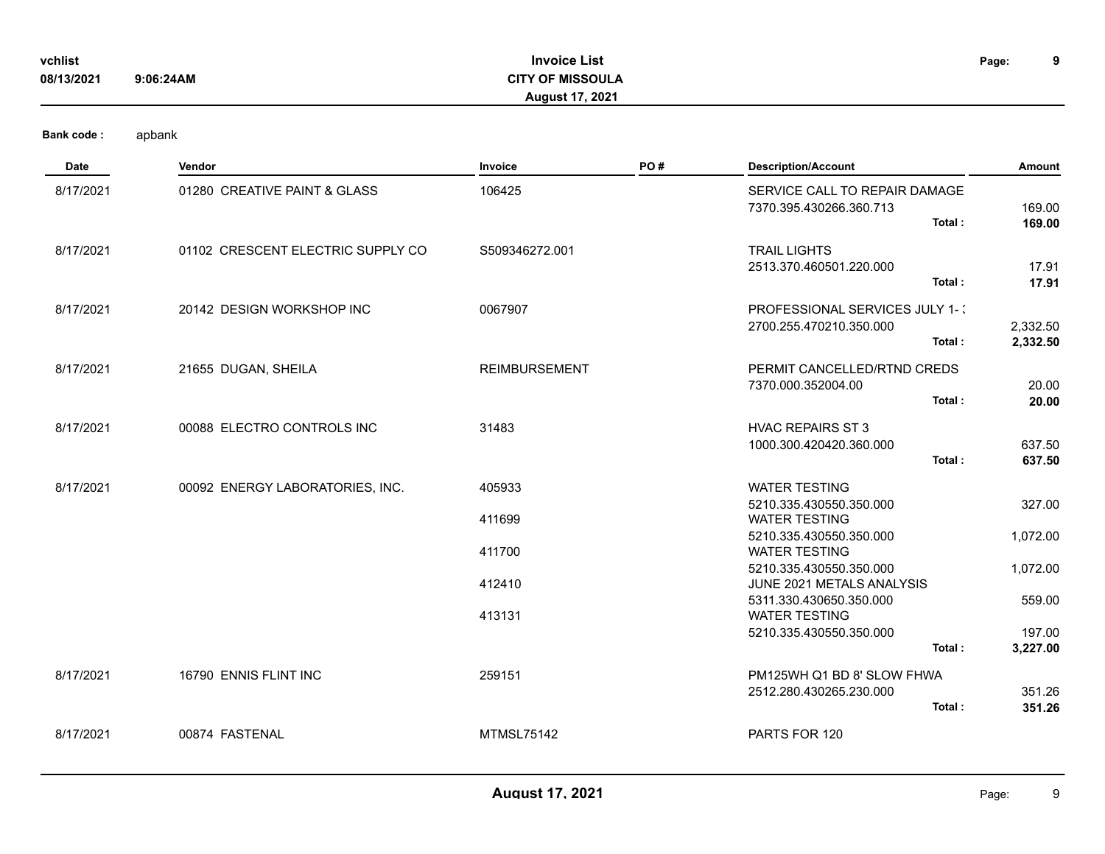| vchlist<br>08/13/2021 | 9:06:24AM                         | <b>Invoice List</b><br><b>CITY OF MISSOULA</b><br>August 17, 2021 |     |                                                                     | 9<br>Page:           |
|-----------------------|-----------------------------------|-------------------------------------------------------------------|-----|---------------------------------------------------------------------|----------------------|
| <b>Bank code:</b>     | apbank                            |                                                                   |     |                                                                     |                      |
| Date                  | Vendor                            | Invoice                                                           | PO# | <b>Description/Account</b>                                          | Amount               |
| 8/17/2021             | 01280 CREATIVE PAINT & GLASS      | 106425                                                            |     | SERVICE CALL TO REPAIR DAMAGE<br>7370.395.430266.360.713<br>Total:  | 169.00<br>169.00     |
| 8/17/2021             | 01102 CRESCENT ELECTRIC SUPPLY CO | S509346272.001                                                    |     | <b>TRAIL LIGHTS</b><br>2513.370.460501.220.000<br>Total:            | 17.91<br>17.91       |
| 8/17/2021             | 20142 DESIGN WORKSHOP INC         | 0067907                                                           |     | PROFESSIONAL SERVICES JULY 1-1<br>2700.255.470210.350.000<br>Total: | 2,332.50<br>2,332.50 |
| 8/17/2021             | 21655 DUGAN, SHEILA               | <b>REIMBURSEMENT</b>                                              |     | PERMIT CANCELLED/RTND CREDS<br>7370.000.352004.00<br>Total:         | 20.00<br>20.00       |
| 8/17/2021             | 00088 ELECTRO CONTROLS INC        | 31483                                                             |     | <b>HVAC REPAIRS ST 3</b><br>1000.300.420420.360.000<br>Total:       | 637.50<br>637.50     |
| 8/17/2021             | 00092 ENERGY LABORATORIES, INC.   | 405933                                                            |     | <b>WATER TESTING</b><br>5210.335.430550.350.000                     | 327.00               |
|                       |                                   | 411699                                                            |     | <b>WATER TESTING</b><br>5210.335.430550.350.000                     | 1,072.00             |
|                       |                                   | 411700                                                            |     | <b>WATER TESTING</b><br>5210.335.430550.350.000                     | 1,072.00             |
|                       |                                   | 412410                                                            |     | JUNE 2021 METALS ANALYSIS<br>5311.330.430650.350.000                | 559.00               |
|                       |                                   | 413131                                                            |     | <b>WATER TESTING</b><br>5210.335.430550.350.000                     | 197.00               |
|                       |                                   |                                                                   |     | Total:                                                              | 3,227.00             |
| 8/17/2021             | 16790 ENNIS FLINT INC             | 259151                                                            |     | PM125WH Q1 BD 8' SLOW FHWA<br>2512.280.430265.230.000<br>Total:     | 351.26<br>351.26     |
| 8/17/2021             | 00874 FASTENAL                    | <b>MTMSL75142</b>                                                 |     | PARTS FOR 120                                                       |                      |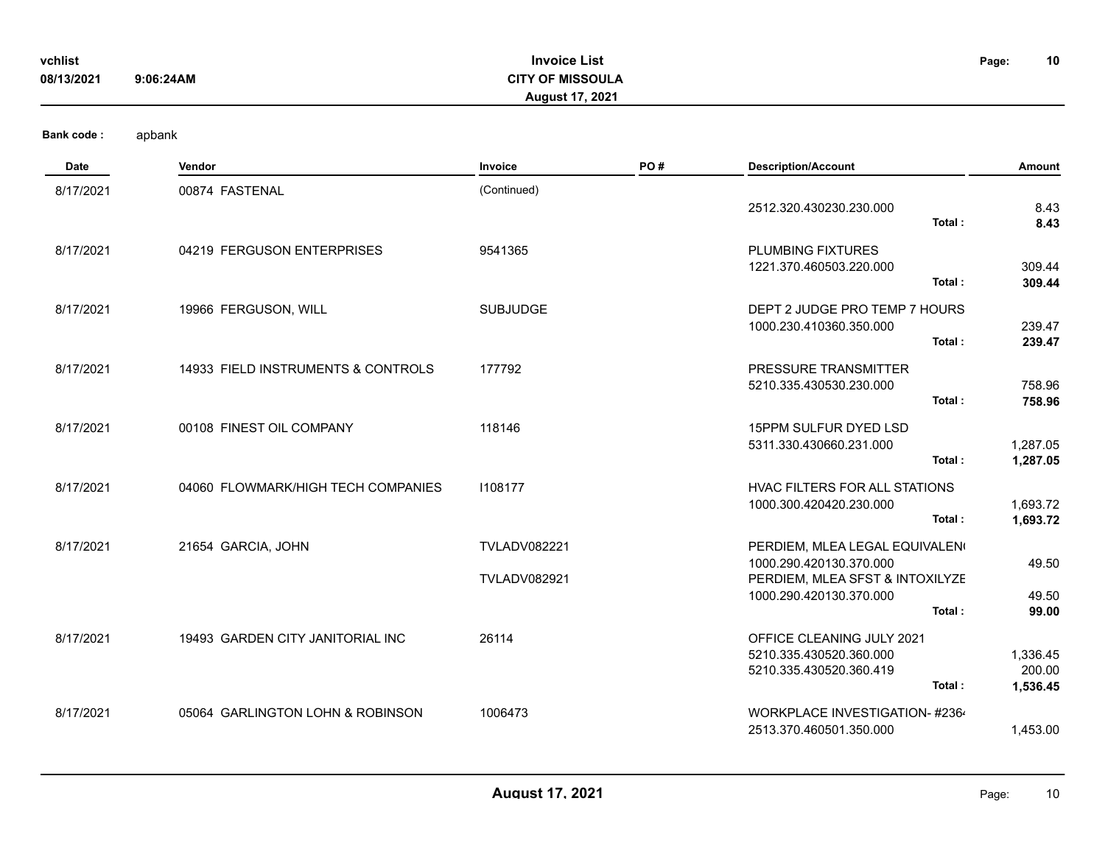| vchlist    |           | <b>Invoice List</b>     | Page: | 10 |
|------------|-----------|-------------------------|-------|----|
| 08/13/2021 | 9:06:24AM | <b>CITY OF MISSOULA</b> |       |    |
|            |           | <b>August 17, 2021</b>  |       |    |
|            |           |                         |       |    |

| Date      | Vendor                             | Invoice             | PO# | <b>Description/Account</b>                                 | Amount               |
|-----------|------------------------------------|---------------------|-----|------------------------------------------------------------|----------------------|
| 8/17/2021 | 00874 FASTENAL                     | (Continued)         |     |                                                            |                      |
|           |                                    |                     |     | 2512.320.430230.230.000<br>Total:                          | 8.43<br>8.43         |
| 8/17/2021 | 04219 FERGUSON ENTERPRISES         | 9541365             |     | <b>PLUMBING FIXTURES</b>                                   |                      |
|           |                                    |                     |     | 1221.370.460503.220.000                                    | 309.44               |
|           |                                    |                     |     | Total:                                                     | 309.44               |
| 8/17/2021 | 19966 FERGUSON, WILL               | <b>SUBJUDGE</b>     |     | DEPT 2 JUDGE PRO TEMP 7 HOURS                              |                      |
|           |                                    |                     |     | 1000.230.410360.350.000<br>Total:                          | 239.47<br>239.47     |
|           | 14933 FIELD INSTRUMENTS & CONTROLS | 177792              |     | PRESSURE TRANSMITTER                                       |                      |
| 8/17/2021 |                                    |                     |     | 5210.335.430530.230.000                                    | 758.96               |
|           |                                    |                     |     | Total:                                                     | 758.96               |
| 8/17/2021 | 00108 FINEST OIL COMPANY           | 118146              |     | 15PPM SULFUR DYED LSD                                      |                      |
|           |                                    |                     |     | 5311.330.430660.231.000<br>Total:                          | 1,287.05<br>1,287.05 |
| 8/17/2021 | 04060 FLOWMARK/HIGH TECH COMPANIES | 1108177             |     | <b>HVAC FILTERS FOR ALL STATIONS</b>                       |                      |
|           |                                    |                     |     | 1000.300.420420.230.000                                    | 1,693.72             |
|           |                                    |                     |     | Total:                                                     | 1,693.72             |
| 8/17/2021 | 21654 GARCIA, JOHN                 | <b>TVLADV082221</b> |     | PERDIEM, MLEA LEGAL EQUIVALEN                              |                      |
|           |                                    | <b>TVLADV082921</b> |     | 1000.290.420130.370.000<br>PERDIEM, MLEA SFST & INTOXILYZE | 49.50                |
|           |                                    |                     |     | 1000.290.420130.370.000                                    | 49.50                |
|           |                                    |                     |     | Total:                                                     | 99.00                |
| 8/17/2021 | 19493 GARDEN CITY JANITORIAL INC   | 26114               |     | OFFICE CLEANING JULY 2021<br>5210.335.430520.360.000       | 1,336.45             |
|           |                                    |                     |     | 5210.335.430520.360.419                                    | 200.00               |
|           |                                    |                     |     | Total:                                                     | 1,536.45             |
| 8/17/2021 | 05064 GARLINGTON LOHN & ROBINSON   | 1006473             |     | WORKPLACE INVESTIGATION- #2364                             |                      |
|           |                                    |                     |     | 2513.370.460501.350.000                                    | 1,453.00             |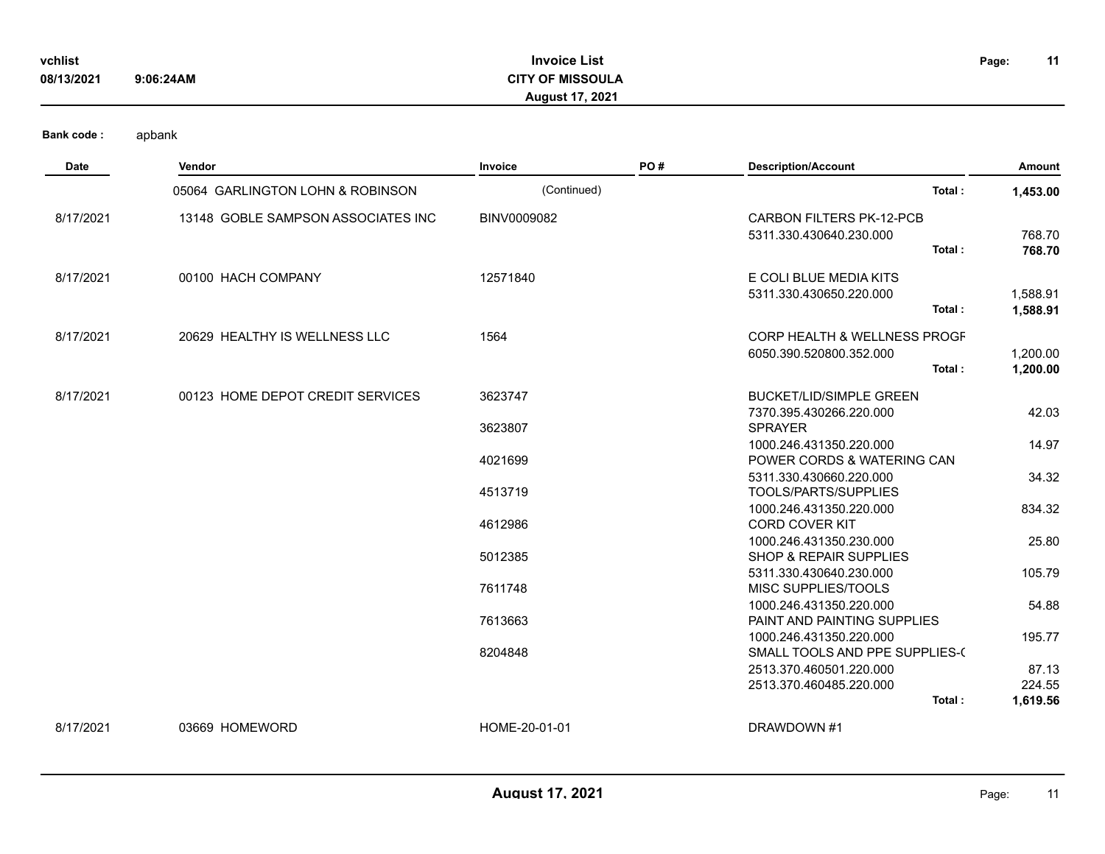| vchlist    |           | <b>Invoice</b><br>· List |  |  |
|------------|-----------|--------------------------|--|--|
| 08/13/2021 | 9:06:24AM | <b>CITY OF MISSOULA</b>  |  |  |

## **Invoice List CITY OF MISSOULA August 17, 2021**

**11**

| Date      | Vendor                             | Invoice       | PO# | <b>Description/Account</b>                                 | Amount   |
|-----------|------------------------------------|---------------|-----|------------------------------------------------------------|----------|
|           | 05064 GARLINGTON LOHN & ROBINSON   | (Continued)   |     | Total:                                                     | 1,453.00 |
| 8/17/2021 | 13148 GOBLE SAMPSON ASSOCIATES INC | BINV0009082   |     | <b>CARBON FILTERS PK-12-PCB</b><br>5311.330.430640.230.000 | 768.70   |
|           |                                    |               |     | Total:                                                     | 768.70   |
| 8/17/2021 | 00100 HACH COMPANY                 | 12571840      |     | E COLI BLUE MEDIA KITS                                     |          |
|           |                                    |               |     | 5311.330.430650.220.000                                    | 1,588.91 |
|           |                                    |               |     | Total:                                                     | 1,588.91 |
| 8/17/2021 | 20629 HEALTHY IS WELLNESS LLC      | 1564          |     | <b>CORP HEALTH &amp; WELLNESS PROGF</b>                    |          |
|           |                                    |               |     | 6050.390.520800.352.000                                    | 1,200.00 |
|           |                                    |               |     | Total:                                                     | 1,200.00 |
| 8/17/2021 | 00123 HOME DEPOT CREDIT SERVICES   | 3623747       |     | <b>BUCKET/LID/SIMPLE GREEN</b>                             |          |
|           |                                    |               |     | 7370.395.430266.220.000                                    | 42.03    |
|           |                                    | 3623807       |     | <b>SPRAYER</b>                                             |          |
|           |                                    |               |     | 1000.246.431350.220.000                                    | 14.97    |
|           |                                    | 4021699       |     | POWER CORDS & WATERING CAN                                 |          |
|           |                                    | 4513719       |     | 5311.330.430660.220.000<br>TOOLS/PARTS/SUPPLIES            | 34.32    |
|           |                                    |               |     | 1000.246.431350.220.000                                    | 834.32   |
|           |                                    | 4612986       |     | <b>CORD COVER KIT</b>                                      |          |
|           |                                    |               |     | 1000.246.431350.230.000                                    | 25.80    |
|           |                                    | 5012385       |     | <b>SHOP &amp; REPAIR SUPPLIES</b>                          |          |
|           |                                    |               |     | 5311.330.430640.230.000                                    | 105.79   |
|           |                                    | 7611748       |     | MISC SUPPLIES/TOOLS                                        |          |
|           |                                    |               |     | 1000.246.431350.220.000                                    | 54.88    |
|           |                                    | 7613663       |     | PAINT AND PAINTING SUPPLIES                                |          |
|           |                                    | 8204848       |     | 1000.246.431350.220.000<br>SMALL TOOLS AND PPE SUPPLIES-(  | 195.77   |
|           |                                    |               |     | 2513.370.460501.220.000                                    | 87.13    |
|           |                                    |               |     | 2513.370.460485.220.000                                    | 224.55   |
|           |                                    |               |     | Total:                                                     | 1,619.56 |
| 8/17/2021 | 03669 HOMEWORD                     | HOME-20-01-01 |     | DRAWDOWN #1                                                |          |
|           |                                    |               |     |                                                            |          |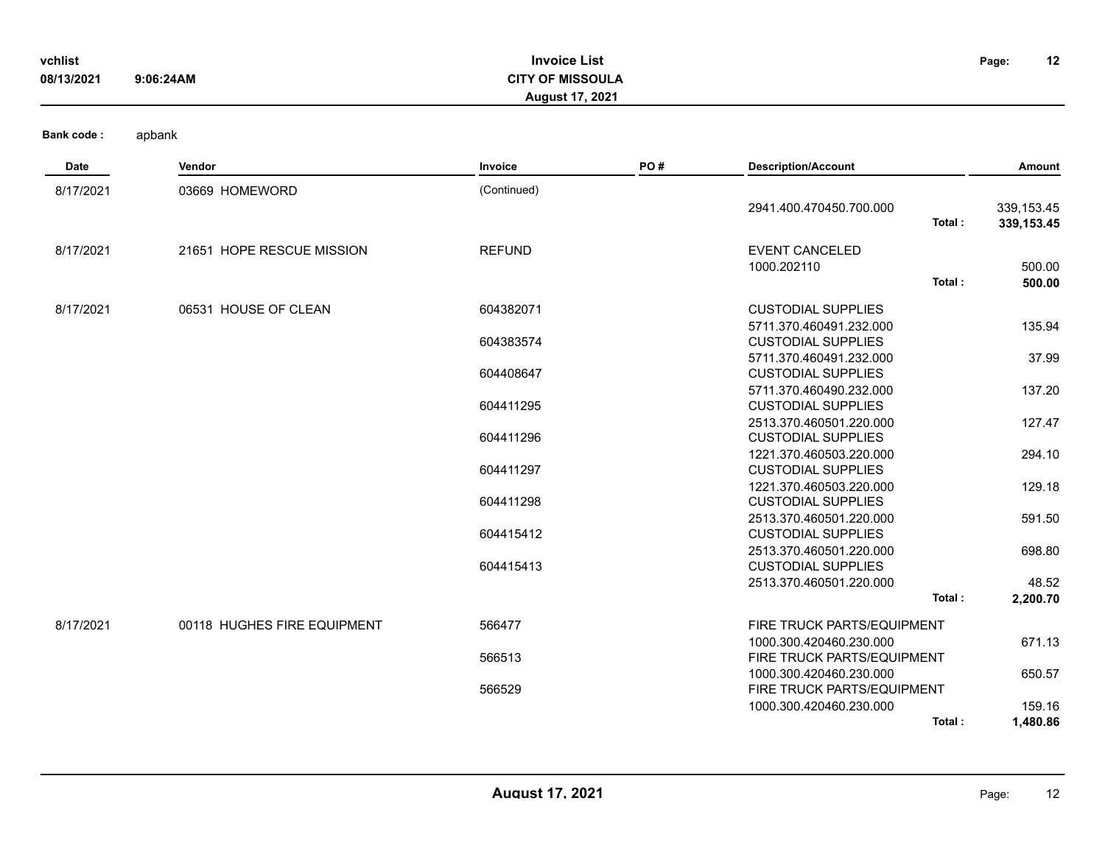| vchlist<br>08/13/2021 | <b>Invoice List</b><br><b>CITY OF MISSOULA</b><br>9:06:24AM<br><b>August 17, 2021</b> |               |     |                                                      |        |                           |  |
|-----------------------|---------------------------------------------------------------------------------------|---------------|-----|------------------------------------------------------|--------|---------------------------|--|
| <b>Bank code:</b>     | apbank                                                                                |               |     |                                                      |        |                           |  |
| Date                  | Vendor                                                                                | Invoice       | PO# | <b>Description/Account</b>                           |        | Amount                    |  |
| 8/17/2021             | 03669 HOMEWORD                                                                        | (Continued)   |     |                                                      |        |                           |  |
|                       |                                                                                       |               |     | 2941.400.470450.700.000                              | Total: | 339,153.45<br>339, 153.45 |  |
| 8/17/2021             | 21651 HOPE RESCUE MISSION                                                             | <b>REFUND</b> |     | <b>EVENT CANCELED</b>                                |        |                           |  |
|                       |                                                                                       |               |     | 1000.202110                                          |        | 500.00                    |  |
|                       |                                                                                       |               |     |                                                      | Total: | 500.00                    |  |
| 8/17/2021             | 06531 HOUSE OF CLEAN                                                                  | 604382071     |     | <b>CUSTODIAL SUPPLIES</b>                            |        |                           |  |
|                       |                                                                                       |               |     | 5711.370.460491.232.000                              |        | 135.94                    |  |
|                       |                                                                                       | 604383574     |     | <b>CUSTODIAL SUPPLIES</b>                            |        |                           |  |
|                       |                                                                                       | 604408647     |     | 5711.370.460491.232.000<br><b>CUSTODIAL SUPPLIES</b> |        | 37.99                     |  |
|                       |                                                                                       |               |     | 5711.370.460490.232.000                              |        | 137.20                    |  |
|                       |                                                                                       | 604411295     |     | <b>CUSTODIAL SUPPLIES</b>                            |        |                           |  |
|                       |                                                                                       |               |     | 2513.370.460501.220.000                              |        | 127.47                    |  |
|                       |                                                                                       | 604411296     |     | <b>CUSTODIAL SUPPLIES</b>                            |        |                           |  |
|                       |                                                                                       |               |     | 1221.370.460503.220.000                              |        | 294.10                    |  |
|                       |                                                                                       | 604411297     |     | <b>CUSTODIAL SUPPLIES</b><br>1221.370.460503.220.000 |        | 129.18                    |  |
|                       |                                                                                       | 604411298     |     | <b>CUSTODIAL SUPPLIES</b>                            |        |                           |  |
|                       |                                                                                       |               |     | 2513.370.460501.220.000                              |        | 591.50                    |  |
|                       |                                                                                       | 604415412     |     | <b>CUSTODIAL SUPPLIES</b>                            |        |                           |  |
|                       |                                                                                       |               |     | 2513.370.460501.220.000                              |        | 698.80                    |  |
|                       |                                                                                       | 604415413     |     | <b>CUSTODIAL SUPPLIES</b>                            |        |                           |  |
|                       |                                                                                       |               |     | 2513.370.460501.220.000                              | Total: | 48.52<br>2,200.70         |  |

566513 FIRE TRUCK PARTS/EQUIPMENT 1000.300.420460.230.000 650.57 566529 FIRE TRUCK PARTS/EQUIPMENT 1000.300.420460.230.000 159.16 **Total : 1,480.86**

1000.300.420460.230.000 671.13

8/17/2021 00118 HUGHES FIRE EQUIPMENT 566477 FIRE TRUCK PARTS/EQUIPMENT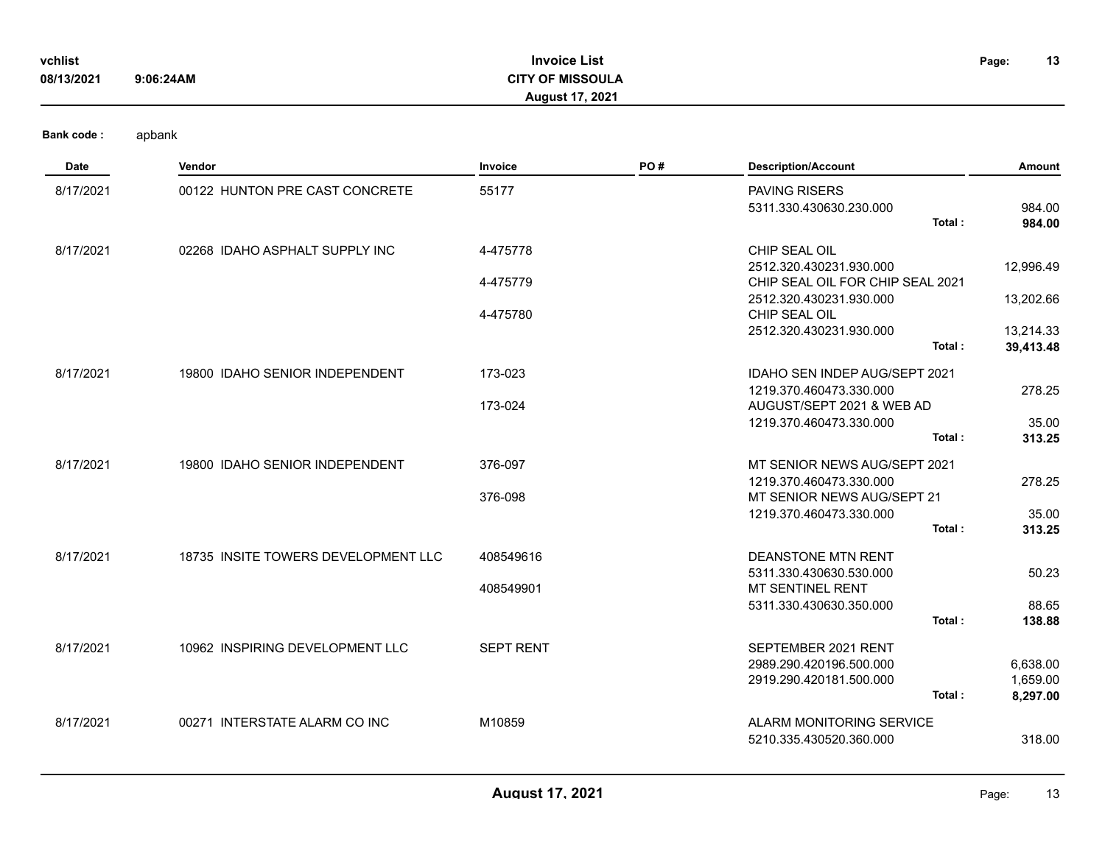| vchlist    |           | <b>Invoice List</b>     | Page: | 13 |
|------------|-----------|-------------------------|-------|----|
| 08/13/2021 | 9:06:24AM | <b>CITY OF MISSOULA</b> |       |    |
|            |           | <b>August 17, 2021</b>  |       |    |

| Date      | Vendor                              | Invoice          | PO# | <b>Description/Account</b>                            | <b>Amount</b> |
|-----------|-------------------------------------|------------------|-----|-------------------------------------------------------|---------------|
| 8/17/2021 | 00122 HUNTON PRE CAST CONCRETE      | 55177            |     | <b>PAVING RISERS</b><br>5311.330.430630.230.000       | 984.00        |
|           |                                     |                  |     | Total:                                                | 984.00        |
| 8/17/2021 | 02268 IDAHO ASPHALT SUPPLY INC      | 4-475778         |     | CHIP SEAL OIL                                         |               |
|           |                                     |                  |     | 2512.320.430231.930.000                               | 12,996.49     |
|           |                                     | 4-475779         |     | CHIP SEAL OIL FOR CHIP SEAL 2021                      |               |
|           |                                     | 4-475780         |     | 2512.320.430231.930.000<br>CHIP SEAL OIL              | 13,202.66     |
|           |                                     |                  |     | 2512.320.430231.930.000                               | 13,214.33     |
|           |                                     |                  |     | Total:                                                | 39,413.48     |
| 8/17/2021 | 19800 IDAHO SENIOR INDEPENDENT      | 173-023          |     | <b>IDAHO SEN INDEP AUG/SEPT 2021</b>                  |               |
|           |                                     |                  |     | 1219.370.460473.330.000                               | 278.25        |
|           |                                     | 173-024          |     | AUGUST/SEPT 2021 & WEB AD                             |               |
|           |                                     |                  |     | 1219.370.460473.330.000                               | 35.00         |
|           |                                     |                  |     | Total:                                                | 313.25        |
| 8/17/2021 | 19800 IDAHO SENIOR INDEPENDENT      | 376-097          |     | MT SENIOR NEWS AUG/SEPT 2021                          |               |
|           |                                     |                  |     | 1219.370.460473.330.000                               | 278.25        |
|           |                                     | 376-098          |     | MT SENIOR NEWS AUG/SEPT 21<br>1219.370.460473.330.000 | 35.00         |
|           |                                     |                  |     | Total:                                                | 313.25        |
|           |                                     |                  |     |                                                       |               |
| 8/17/2021 | 18735 INSITE TOWERS DEVELOPMENT LLC | 408549616        |     | <b>DEANSTONE MTN RENT</b>                             |               |
|           |                                     | 408549901        |     | 5311.330.430630.530.000<br>MT SENTINEL RENT           | 50.23         |
|           |                                     |                  |     | 5311.330.430630.350.000                               | 88.65         |
|           |                                     |                  |     | Total:                                                | 138.88        |
| 8/17/2021 | 10962 INSPIRING DEVELOPMENT LLC     | <b>SEPT RENT</b> |     | SEPTEMBER 2021 RENT                                   |               |
|           |                                     |                  |     | 2989.290.420196.500.000                               | 6,638.00      |
|           |                                     |                  |     | 2919.290.420181.500.000                               | 1,659.00      |
|           |                                     |                  |     | Total:                                                | 8,297.00      |
| 8/17/2021 | 00271 INTERSTATE ALARM CO INC       | M10859           |     | ALARM MONITORING SERVICE                              |               |
|           |                                     |                  |     | 5210.335.430520.360.000                               | 318.00        |
|           |                                     |                  |     |                                                       |               |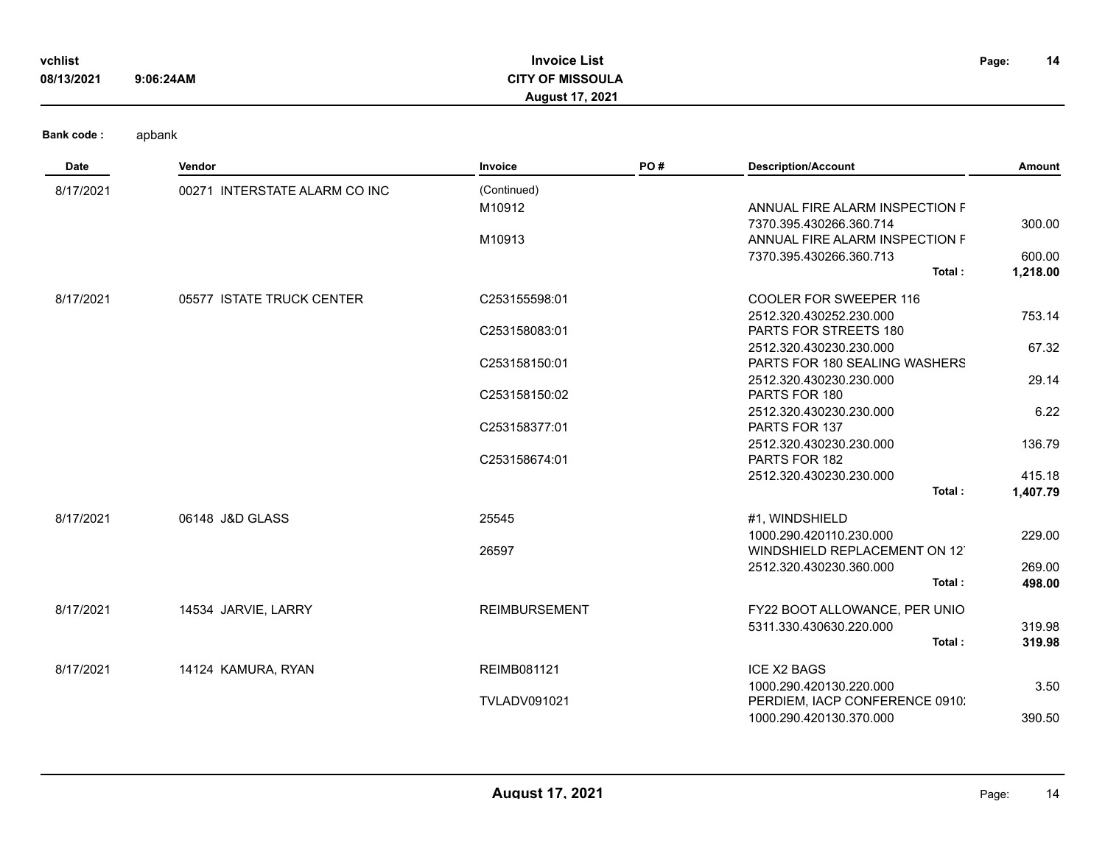| vchlist    |           | <b>Invoice List</b>     | Page: | 14 |
|------------|-----------|-------------------------|-------|----|
| 08/13/2021 | 9:06:24AM | <b>CITY OF MISSOULA</b> |       |    |
|            |           | <b>August 17, 2021</b>  |       |    |

| <b>Date</b> | Vendor                        | <b>Invoice</b>       | PO# | <b>Description/Account</b>        | Amount   |
|-------------|-------------------------------|----------------------|-----|-----------------------------------|----------|
| 8/17/2021   | 00271 INTERSTATE ALARM CO INC | (Continued)          |     |                                   |          |
|             |                               | M10912               |     | ANNUAL FIRE ALARM INSPECTION F    |          |
|             |                               |                      |     | 7370.395.430266.360.714           | 300.00   |
|             |                               | M10913               |     | ANNUAL FIRE ALARM INSPECTION F    |          |
|             |                               |                      |     | 7370.395.430266.360.713           | 600.00   |
|             |                               |                      |     | Total:                            | 1,218.00 |
| 8/17/2021   | 05577 ISTATE TRUCK CENTER     | C253155598:01        |     | COOLER FOR SWEEPER 116            |          |
|             |                               |                      |     | 2512.320.430252.230.000           | 753.14   |
|             |                               | C253158083:01        |     | <b>PARTS FOR STREETS 180</b>      |          |
|             |                               |                      |     | 2512.320.430230.230.000           | 67.32    |
|             |                               | C253158150:01        |     | PARTS FOR 180 SEALING WASHERS     |          |
|             |                               |                      |     | 2512.320.430230.230.000           | 29.14    |
|             |                               | C253158150:02        |     | PARTS FOR 180                     |          |
|             |                               |                      |     | 2512.320.430230.230.000           | 6.22     |
|             |                               | C253158377:01        |     | PARTS FOR 137                     |          |
|             |                               |                      |     | 2512.320.430230.230.000           | 136.79   |
|             |                               | C253158674:01        |     | PARTS FOR 182                     |          |
|             |                               |                      |     | 2512.320.430230.230.000<br>Total: | 415.18   |
|             |                               |                      |     |                                   | 1,407.79 |
| 8/17/2021   | 06148 J&D GLASS               | 25545                |     | #1, WINDSHIELD                    |          |
|             |                               |                      |     | 1000.290.420110.230.000           | 229.00   |
|             |                               | 26597                |     | WINDSHIELD REPLACEMENT ON 12      |          |
|             |                               |                      |     | 2512.320.430230.360.000           | 269.00   |
|             |                               |                      |     | Total:                            | 498.00   |
| 8/17/2021   | 14534 JARVIE, LARRY           | <b>REIMBURSEMENT</b> |     | FY22 BOOT ALLOWANCE, PER UNIO     |          |
|             |                               |                      |     | 5311.330.430630.220.000           | 319.98   |
|             |                               |                      |     | Total:                            | 319.98   |
| 8/17/2021   | 14124 KAMURA, RYAN            | REIMB081121          |     | <b>ICE X2 BAGS</b>                |          |
|             |                               |                      |     | 1000.290.420130.220.000           | 3.50     |
|             |                               | <b>TVLADV091021</b>  |     | PERDIEM, IACP CONFERENCE 0910.    |          |
|             |                               |                      |     | 1000.290.420130.370.000           | 390.50   |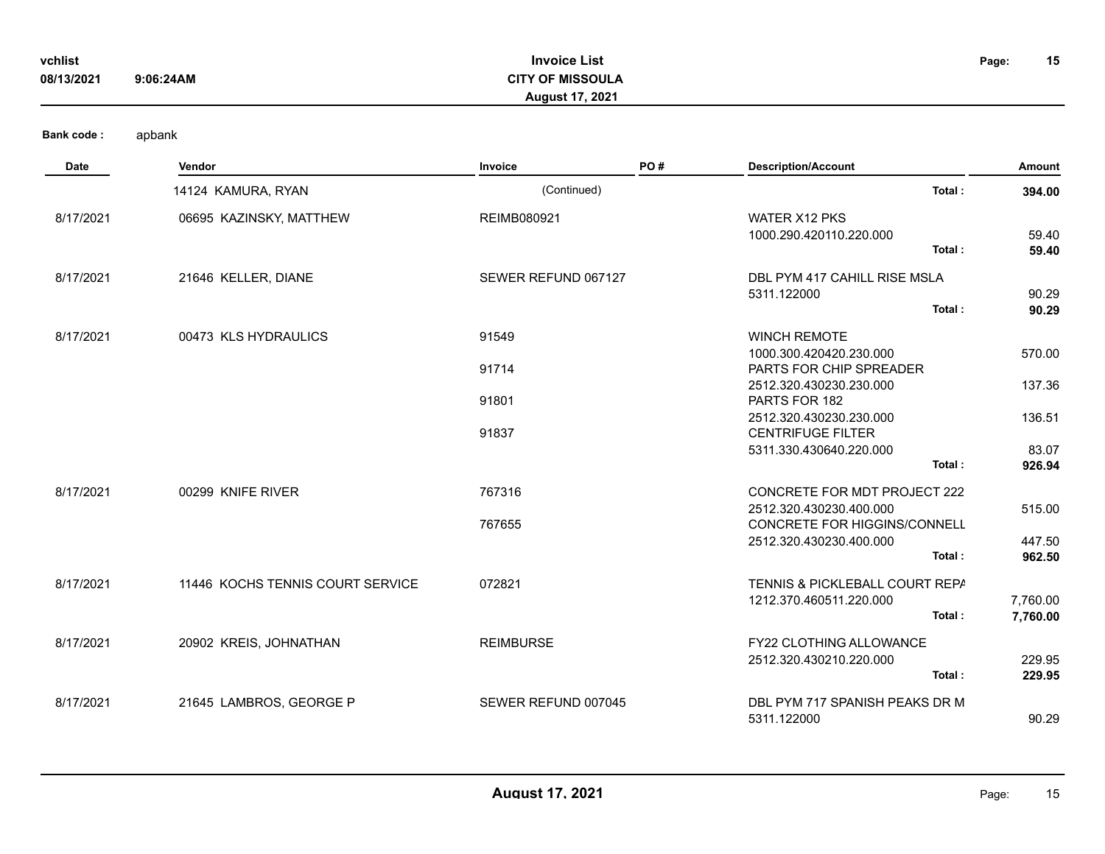| vchlist<br>08/13/2021 | 9:06:24AM               | <b>Invoice List</b><br><b>CITY OF MISSOULA</b><br><b>August 17, 2021</b> |     | Page:                                                                                   |                  |
|-----------------------|-------------------------|--------------------------------------------------------------------------|-----|-----------------------------------------------------------------------------------------|------------------|
| <b>Bank code:</b>     | apbank                  |                                                                          |     |                                                                                         |                  |
| Date                  | Vendor                  | Invoice                                                                  | PO# | <b>Description/Account</b>                                                              | <b>Amount</b>    |
|                       | 14124 KAMURA, RYAN      | (Continued)                                                              |     | Total:                                                                                  | 394.00           |
| 8/17/2021             | 06695 KAZINSKY, MATTHEW | REIMB080921                                                              |     | <b>WATER X12 PKS</b><br>1000.290.420110.220.000<br>Total:                               | 59.40<br>59.40   |
| 8/17/2021             | 21646 KELLER, DIANE     | SEWER REFUND 067127                                                      |     | DBL PYM 417 CAHILL RISE MSLA<br>5311.122000<br>Total:                                   | 90.29<br>90.29   |
| 8/17/2021             | 00473 KLS HYDRAULICS    | 91549<br>91714                                                           |     | <b>WINCH REMOTE</b><br>1000.300.420420.230.000<br><b>PARTS FOR CHIP SPREADER</b>        | 570.00           |
|                       |                         | 91801                                                                    |     | 2512.320.430230.230.000<br>PARTS FOR 182<br>2512.320.430230.230.000                     | 137.36<br>136.51 |
|                       |                         | 91837                                                                    |     | <b>CENTRIFUGE FILTER</b><br>5311.330.430640.220.000<br>Total:                           | 83.07<br>926.94  |
| 8/17/2021             | 00299 KNIFE RIVER       | 767316<br>767655                                                         |     | CONCRETE FOR MDT PROJECT 222<br>2512.320.430230.400.000<br>CONCRETE FOR HIGGINS/CONNELL | 515.00           |

|           |                                  |                     | Total:                         | 962.50   |
|-----------|----------------------------------|---------------------|--------------------------------|----------|
| 8/17/2021 | 11446 KOCHS TENNIS COURT SERVICE | 072821              | TENNIS & PICKLEBALL COURT REPA |          |
|           |                                  |                     | 1212.370.460511.220.000        | 7,760.00 |
|           |                                  |                     | Total:                         | 7,760.00 |
| 8/17/2021 | 20902 KREIS, JOHNATHAN           | <b>REIMBURSE</b>    | <b>FY22 CLOTHING ALLOWANCE</b> |          |
|           |                                  |                     | 2512.320.430210.220.000        | 229.95   |
|           |                                  |                     | Total:                         | 229.95   |
| 8/17/2021 | 21645 LAMBROS, GEORGE P          | SEWER REFUND 007045 | DBL PYM 717 SPANISH PEAKS DR M |          |
|           |                                  |                     | 5311.122000                    | 90.29    |

2512.320.430230.400.000 447.50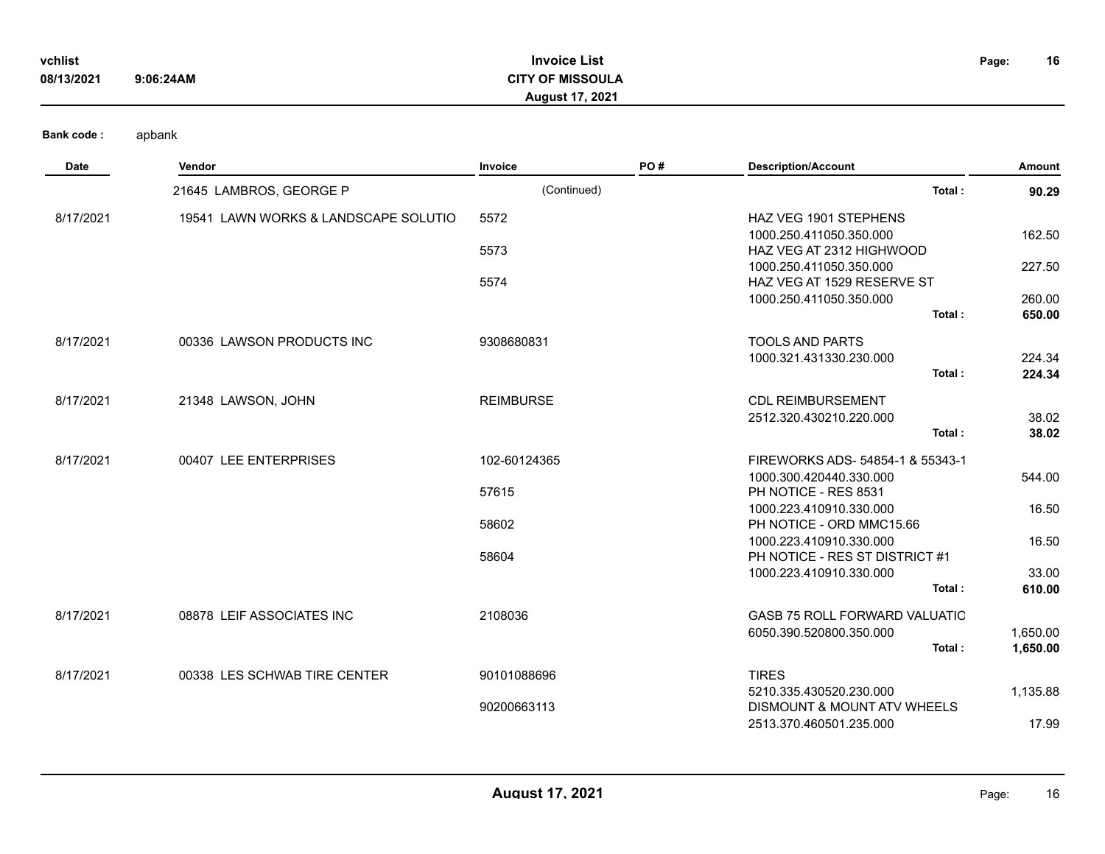| vchlist    |           | <b>Invoice List</b>     | Page: | 16 |
|------------|-----------|-------------------------|-------|----|
| 08/13/2021 | 9:06:24AM | <b>CITY OF MISSOULA</b> |       |    |
|            |           | <b>August 17, 2021</b>  |       |    |

| <b>Date</b> | <b>Vendor</b>                        | Invoice          | PO# | <b>Description/Account</b>           | Amount   |
|-------------|--------------------------------------|------------------|-----|--------------------------------------|----------|
|             | 21645 LAMBROS, GEORGE P              | (Continued)      |     | Total:                               | 90.29    |
| 8/17/2021   | 19541 LAWN WORKS & LANDSCAPE SOLUTIO | 5572             |     | <b>HAZ VEG 1901 STEPHENS</b>         |          |
|             |                                      |                  |     | 1000.250.411050.350.000              | 162.50   |
|             |                                      | 5573             |     | HAZ VEG AT 2312 HIGHWOOD             |          |
|             |                                      |                  |     | 1000.250.411050.350.000              | 227.50   |
|             |                                      | 5574             |     | HAZ VEG AT 1529 RESERVE ST           |          |
|             |                                      |                  |     | 1000.250.411050.350.000              | 260.00   |
|             |                                      |                  |     | Total:                               | 650.00   |
| 8/17/2021   | 00336 LAWSON PRODUCTS INC            | 9308680831       |     | <b>TOOLS AND PARTS</b>               |          |
|             |                                      |                  |     | 1000.321.431330.230.000              | 224.34   |
|             |                                      |                  |     | Total:                               | 224.34   |
| 8/17/2021   | 21348 LAWSON, JOHN                   | <b>REIMBURSE</b> |     | <b>CDL REIMBURSEMENT</b>             |          |
|             |                                      |                  |     | 2512.320.430210.220.000              | 38.02    |
|             |                                      |                  |     | Total:                               | 38.02    |
| 8/17/2021   | 00407 LEE ENTERPRISES                | 102-60124365     |     | FIREWORKS ADS- 54854-1 & 55343-1     |          |
|             |                                      |                  |     | 1000.300.420440.330.000              | 544.00   |
|             |                                      | 57615            |     | PH NOTICE - RES 8531                 |          |
|             |                                      |                  |     | 1000.223.410910.330.000              | 16.50    |
|             |                                      | 58602            |     | PH NOTICE - ORD MMC15.66             |          |
|             |                                      |                  |     | 1000.223.410910.330.000              | 16.50    |
|             |                                      | 58604            |     | PH NOTICE - RES ST DISTRICT #1       |          |
|             |                                      |                  |     | 1000.223.410910.330.000              | 33.00    |
|             |                                      |                  |     | Total:                               | 610.00   |
| 8/17/2021   | 08878 LEIF ASSOCIATES INC            | 2108036          |     | <b>GASB 75 ROLL FORWARD VALUATIC</b> |          |
|             |                                      |                  |     | 6050.390.520800.350.000              | 1,650.00 |
|             |                                      |                  |     | Total:                               | 1,650.00 |
| 8/17/2021   | 00338 LES SCHWAB TIRE CENTER         | 90101088696      |     | <b>TIRES</b>                         |          |
|             |                                      |                  |     | 5210.335.430520.230.000              | 1,135.88 |
|             |                                      | 90200663113      |     | DISMOUNT & MOUNT ATV WHEELS          |          |
|             |                                      |                  |     | 2513.370.460501.235.000              | 17.99    |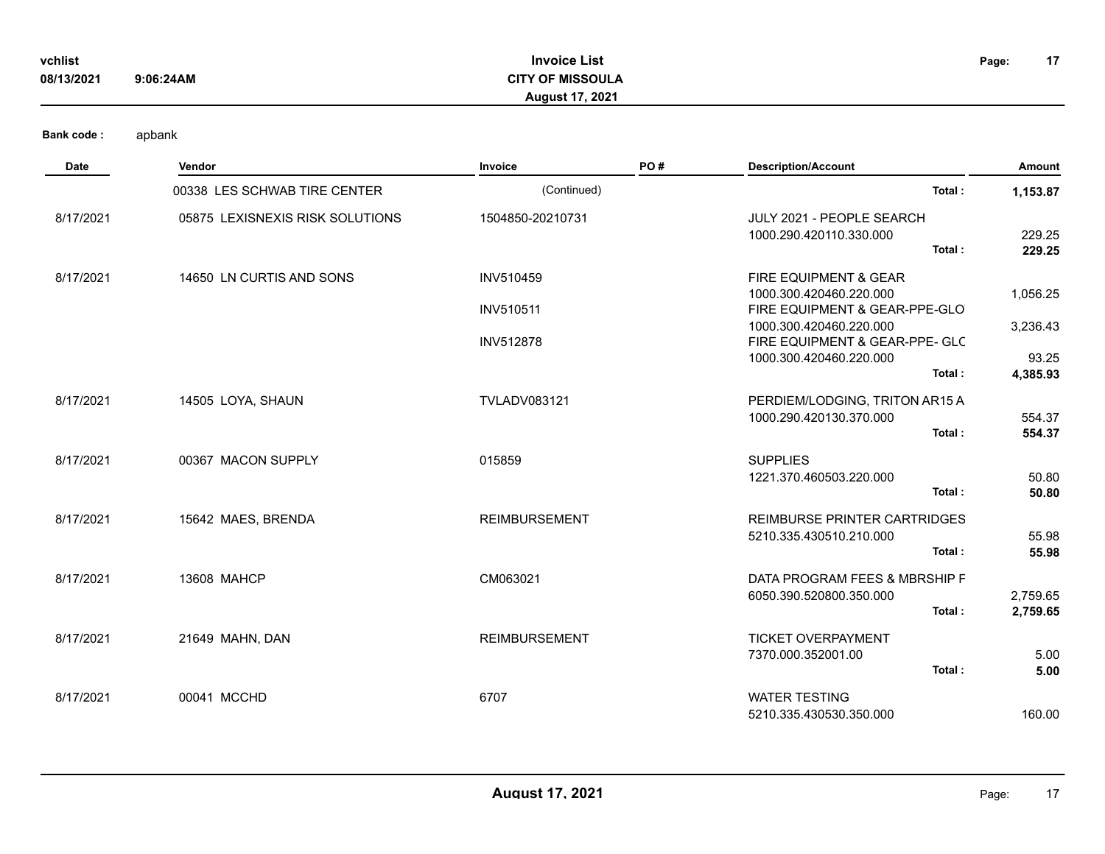| vchlist    |           | <b>Invoice List</b>     | Page: |
|------------|-----------|-------------------------|-------|
|            |           |                         |       |
| 08/13/2021 | 9:06:24AM | <b>CITY OF MISSOULA</b> |       |
|            |           |                         |       |

## **Invoice List CITY OF MISSOULA August 17, 2021**

**17**

| <b>Date</b> | <b>Vendor</b>                   | Invoice                       | PO# | <b>Description/Account</b>                                                                     | Amount                        |
|-------------|---------------------------------|-------------------------------|-----|------------------------------------------------------------------------------------------------|-------------------------------|
|             | 00338 LES SCHWAB TIRE CENTER    | (Continued)                   |     | Total:                                                                                         | 1,153.87                      |
| 8/17/2021   | 05875 LEXISNEXIS RISK SOLUTIONS | 1504850-20210731              |     | JULY 2021 - PEOPLE SEARCH<br>1000.290.420110.330.000<br>Total:                                 | 229.25<br>229.25              |
| 8/17/2021   | 14650 LN CURTIS AND SONS        | INV510459<br><b>INV510511</b> |     | FIRE EQUIPMENT & GEAR<br>1000.300.420460.220.000<br>FIRE EQUIPMENT & GEAR-PPE-GLO              | 1,056.25                      |
|             |                                 | <b>INV512878</b>              |     | 1000.300.420460.220.000<br>FIRE EQUIPMENT & GEAR-PPE- GLC<br>1000.300.420460.220.000<br>Total: | 3,236.43<br>93.25<br>4,385.93 |
| 8/17/2021   | 14505 LOYA, SHAUN               | <b>TVLADV083121</b>           |     | PERDIEM/LODGING, TRITON AR15 A<br>1000.290.420130.370.000<br>Total:                            | 554.37<br>554.37              |
| 8/17/2021   | 00367 MACON SUPPLY              | 015859                        |     | <b>SUPPLIES</b><br>1221.370.460503.220.000<br>Total:                                           | 50.80<br>50.80                |
| 8/17/2021   | 15642 MAES, BRENDA              | <b>REIMBURSEMENT</b>          |     | <b>REIMBURSE PRINTER CARTRIDGES</b><br>5210.335.430510.210.000<br>Total:                       | 55.98<br>55.98                |
| 8/17/2021   | 13608 MAHCP                     | CM063021                      |     | DATA PROGRAM FEES & MBRSHIP F<br>6050.390.520800.350.000<br>Total:                             | 2,759.65<br>2,759.65          |
| 8/17/2021   | 21649 MAHN, DAN                 | <b>REIMBURSEMENT</b>          |     | <b>TICKET OVERPAYMENT</b><br>7370.000.352001.00<br>Total:                                      | 5.00<br>5.00                  |
| 8/17/2021   | 00041 MCCHD                     | 6707                          |     | <b>WATER TESTING</b><br>5210.335.430530.350.000                                                | 160.00                        |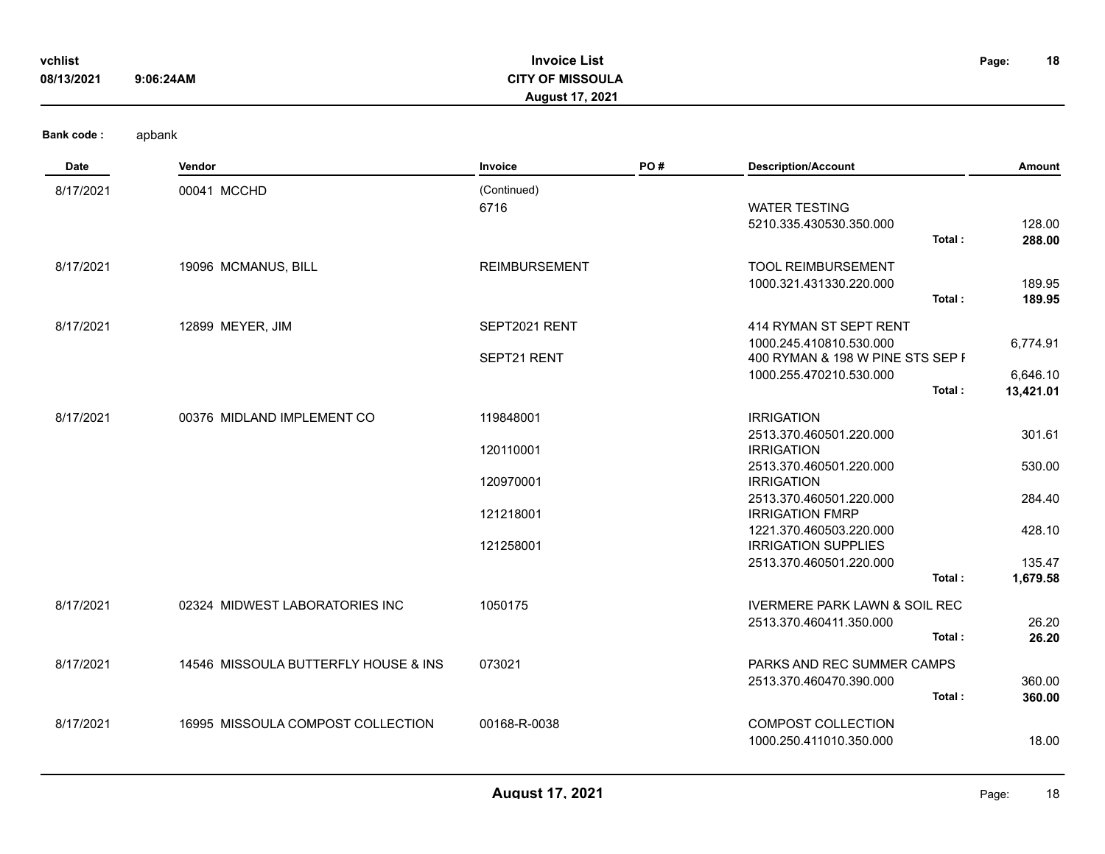| vchlist<br>08/13/2021 | 9:06:24AM                            | <b>Invoice List</b><br><b>CITY OF MISSOULA</b><br><b>August 17, 2021</b> |     |                                                                                                                  | 18<br>Page:          |
|-----------------------|--------------------------------------|--------------------------------------------------------------------------|-----|------------------------------------------------------------------------------------------------------------------|----------------------|
| <b>Bank code:</b>     | apbank                               |                                                                          |     |                                                                                                                  |                      |
| Date                  | Vendor                               | Invoice                                                                  | PO# | <b>Description/Account</b>                                                                                       | <b>Amount</b>        |
| 8/17/2021             | 00041 MCCHD                          | (Continued)<br>6716                                                      |     | <b>WATER TESTING</b><br>5210.335.430530.350.000<br>Total:                                                        | 128.00<br>288.00     |
| 8/17/2021             | 19096 MCMANUS, BILL                  | <b>REIMBURSEMENT</b>                                                     |     | <b>TOOL REIMBURSEMENT</b><br>1000.321.431330.220.000<br>Total:                                                   | 189.95<br>189.95     |
| 8/17/2021             | 12899 MEYER, JIM                     | SEPT2021 RENT<br>SEPT21 RENT                                             |     | 414 RYMAN ST SEPT RENT<br>1000.245.410810.530.000<br>400 RYMAN & 198 W PINE STS SEP F<br>1000.255.470210.530.000 | 6,774.91<br>6,646.10 |
|                       |                                      |                                                                          |     | Total:                                                                                                           | 13,421.01            |
| 8/17/2021             | 00376 MIDLAND IMPLEMENT CO           | 119848001<br>120110001                                                   |     | <b>IRRIGATION</b><br>2513.370.460501.220.000<br><b>IRRIGATION</b>                                                | 301.61               |
|                       |                                      | 120970001                                                                |     | 2513.370.460501.220.000<br><b>IRRIGATION</b>                                                                     | 530.00               |
|                       |                                      | 121218001                                                                |     | 2513.370.460501.220.000<br><b>IRRIGATION FMRP</b>                                                                | 284.40               |
|                       |                                      | 121258001                                                                |     | 1221.370.460503.220.000<br><b>IRRIGATION SUPPLIES</b>                                                            | 428.10               |
|                       |                                      |                                                                          |     | 2513.370.460501.220.000<br>Total:                                                                                | 135.47<br>1,679.58   |
| 8/17/2021             | 02324 MIDWEST LABORATORIES INC       | 1050175                                                                  |     | <b>IVERMERE PARK LAWN &amp; SOIL REC</b><br>2513.370.460411.350.000<br>Total:                                    | 26.20<br>26.20       |
| 8/17/2021             | 14546 MISSOULA BUTTERFLY HOUSE & INS | 073021                                                                   |     | PARKS AND REC SUMMER CAMPS<br>2513.370.460470.390.000<br>Total:                                                  | 360.00<br>360.00     |
| 8/17/2021             | 16995 MISSOULA COMPOST COLLECTION    | 00168-R-0038                                                             |     | <b>COMPOST COLLECTION</b><br>1000.250.411010.350.000                                                             | 18.00                |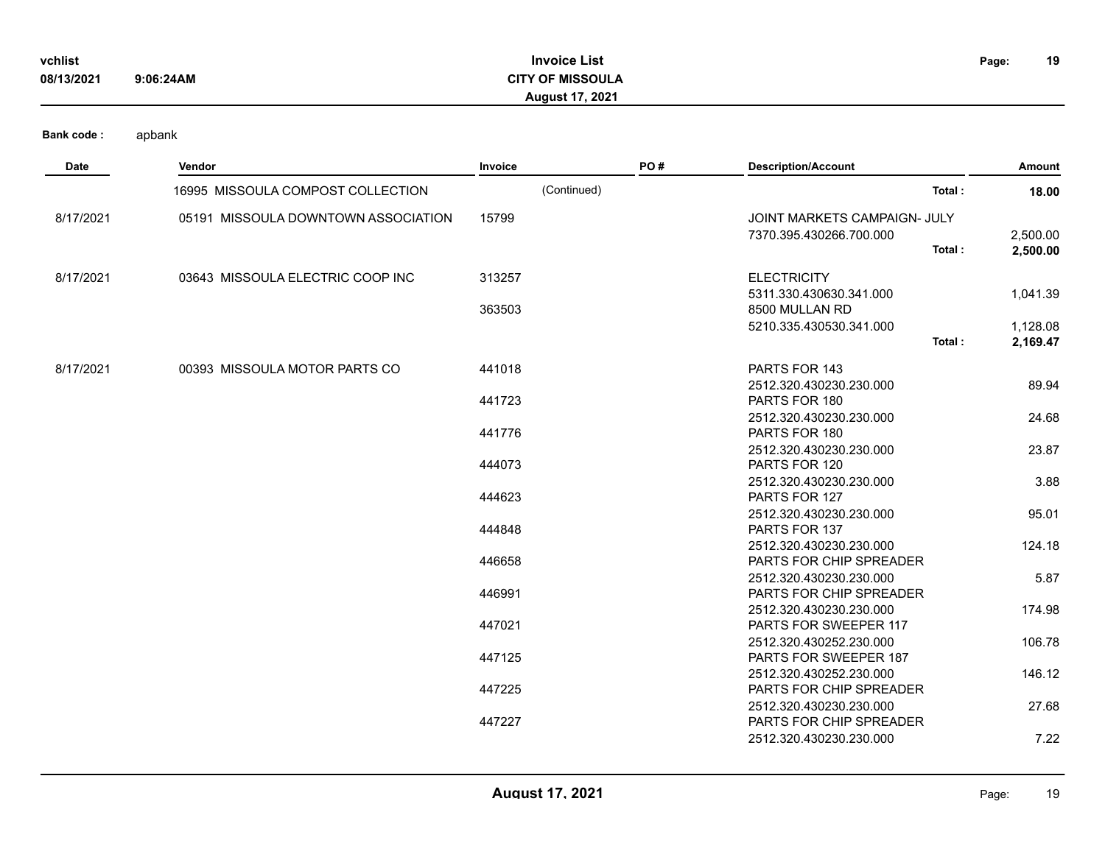| vchlist    |           | Invoice List           | Page: | 19 |
|------------|-----------|------------------------|-------|----|
| 08/13/2021 | 9:06:24AM | <b>OF MISSOULA</b>     |       |    |
|            |           | <b>August 17, 2021</b> |       |    |

| <b>Date</b> | Vendor                              | Invoice     | PO# | <b>Description/Account</b>                         | Amount   |
|-------------|-------------------------------------|-------------|-----|----------------------------------------------------|----------|
|             | 16995 MISSOULA COMPOST COLLECTION   | (Continued) |     | Total:                                             | 18.00    |
| 8/17/2021   | 05191 MISSOULA DOWNTOWN ASSOCIATION | 15799       |     | JOINT MARKETS CAMPAIGN- JULY                       |          |
|             |                                     |             |     | 7370.395.430266.700.000                            | 2,500.00 |
|             |                                     |             |     | Total:                                             | 2,500.00 |
| 8/17/2021   | 03643 MISSOULA ELECTRIC COOP INC    | 313257      |     | <b>ELECTRICITY</b>                                 |          |
|             |                                     |             |     | 5311.330.430630.341.000                            | 1,041.39 |
|             |                                     | 363503      |     | 8500 MULLAN RD                                     |          |
|             |                                     |             |     | 5210.335.430530.341.000                            | 1,128.08 |
|             |                                     |             |     | Total:                                             | 2,169.47 |
| 8/17/2021   | 00393 MISSOULA MOTOR PARTS CO       | 441018      |     | PARTS FOR 143                                      |          |
|             |                                     |             |     | 2512.320.430230.230.000                            | 89.94    |
|             |                                     | 441723      |     | PARTS FOR 180                                      |          |
|             |                                     |             |     | 2512.320.430230.230.000                            | 24.68    |
|             |                                     | 441776      |     | PARTS FOR 180                                      |          |
|             |                                     |             |     | 2512.320.430230.230.000                            | 23.87    |
|             |                                     | 444073      |     | PARTS FOR 120                                      |          |
|             |                                     |             |     | 2512.320.430230.230.000                            | 3.88     |
|             |                                     | 444623      |     | PARTS FOR 127                                      |          |
|             |                                     |             |     | 2512.320.430230.230.000                            | 95.01    |
|             |                                     | 444848      |     | PARTS FOR 137                                      |          |
|             |                                     |             |     | 2512.320.430230.230.000                            | 124.18   |
|             |                                     | 446658      |     | PARTS FOR CHIP SPREADER                            |          |
|             |                                     | 446991      |     | 2512.320.430230.230.000<br>PARTS FOR CHIP SPREADER | 5.87     |
|             |                                     |             |     | 2512.320.430230.230.000                            | 174.98   |
|             |                                     | 447021      |     | PARTS FOR SWEEPER 117                              |          |
|             |                                     |             |     | 2512.320.430252.230.000                            | 106.78   |
|             |                                     | 447125      |     | PARTS FOR SWEEPER 187                              |          |
|             |                                     |             |     | 2512.320.430252.230.000                            | 146.12   |
|             |                                     | 447225      |     | PARTS FOR CHIP SPREADER                            |          |
|             |                                     |             |     | 2512.320.430230.230.000                            | 27.68    |
|             |                                     | 447227      |     | PARTS FOR CHIP SPREADER                            |          |
|             |                                     |             |     | 2512.320.430230.230.000                            | 7.22     |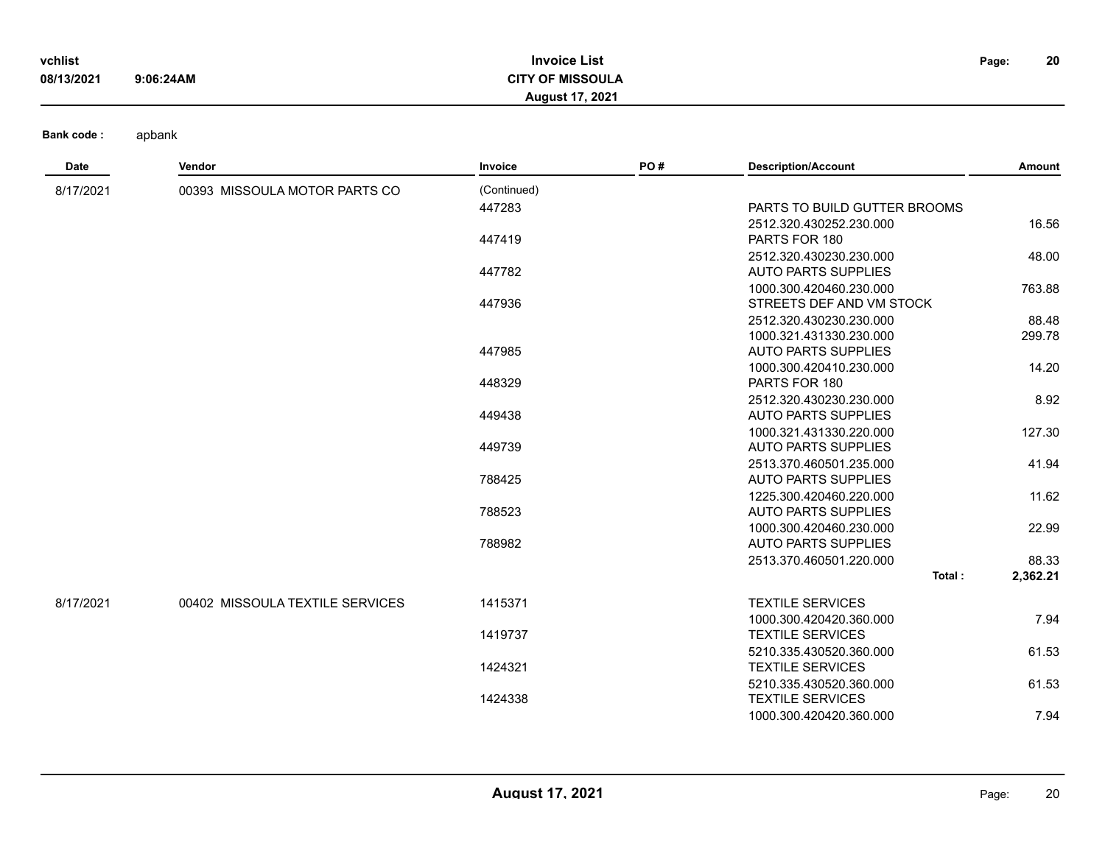| vchlist    |           | <b>Invoice List</b>     | Page: | 20 |
|------------|-----------|-------------------------|-------|----|
| 08/13/2021 | 9:06:24AM | <b>CITY OF MISSOULA</b> |       |    |
|            |           | <b>August 17, 2021</b>  |       |    |

| <b>Date</b> | <b>Vendor</b>                   | Invoice     | PO# | <b>Description/Account</b>   | Amount   |
|-------------|---------------------------------|-------------|-----|------------------------------|----------|
| 8/17/2021   | 00393 MISSOULA MOTOR PARTS CO   | (Continued) |     |                              |          |
|             |                                 | 447283      |     | PARTS TO BUILD GUTTER BROOMS |          |
|             |                                 |             |     | 2512.320.430252.230.000      | 16.56    |
|             |                                 | 447419      |     | PARTS FOR 180                |          |
|             |                                 |             |     | 2512.320.430230.230.000      | 48.00    |
|             |                                 | 447782      |     | <b>AUTO PARTS SUPPLIES</b>   |          |
|             |                                 |             |     | 1000.300.420460.230.000      | 763.88   |
|             |                                 | 447936      |     | STREETS DEF AND VM STOCK     |          |
|             |                                 |             |     | 2512.320.430230.230.000      | 88.48    |
|             |                                 |             |     | 1000.321.431330.230.000      | 299.78   |
|             |                                 | 447985      |     | <b>AUTO PARTS SUPPLIES</b>   |          |
|             |                                 |             |     | 1000.300.420410.230.000      | 14.20    |
|             |                                 | 448329      |     | PARTS FOR 180                |          |
|             |                                 |             |     | 2512.320.430230.230.000      | 8.92     |
|             |                                 | 449438      |     | <b>AUTO PARTS SUPPLIES</b>   |          |
|             |                                 |             |     | 1000.321.431330.220.000      | 127.30   |
|             |                                 | 449739      |     | <b>AUTO PARTS SUPPLIES</b>   |          |
|             |                                 |             |     | 2513.370.460501.235.000      | 41.94    |
|             |                                 | 788425      |     | <b>AUTO PARTS SUPPLIES</b>   |          |
|             |                                 |             |     | 1225.300.420460.220.000      | 11.62    |
|             |                                 | 788523      |     | <b>AUTO PARTS SUPPLIES</b>   |          |
|             |                                 |             |     | 1000.300.420460.230.000      | 22.99    |
|             |                                 | 788982      |     | <b>AUTO PARTS SUPPLIES</b>   |          |
|             |                                 |             |     | 2513.370.460501.220.000      | 88.33    |
|             |                                 |             |     | Total:                       | 2,362.21 |
| 8/17/2021   | 00402 MISSOULA TEXTILE SERVICES | 1415371     |     | <b>TEXTILE SERVICES</b>      |          |
|             |                                 |             |     | 1000.300.420420.360.000      | 7.94     |
|             |                                 | 1419737     |     | <b>TEXTILE SERVICES</b>      |          |
|             |                                 |             |     | 5210.335.430520.360.000      | 61.53    |
|             |                                 | 1424321     |     | <b>TEXTILE SERVICES</b>      |          |
|             |                                 |             |     | 5210.335.430520.360.000      | 61.53    |
|             |                                 | 1424338     |     | <b>TEXTILE SERVICES</b>      |          |
|             |                                 |             |     | 1000.300.420420.360.000      | 7.94     |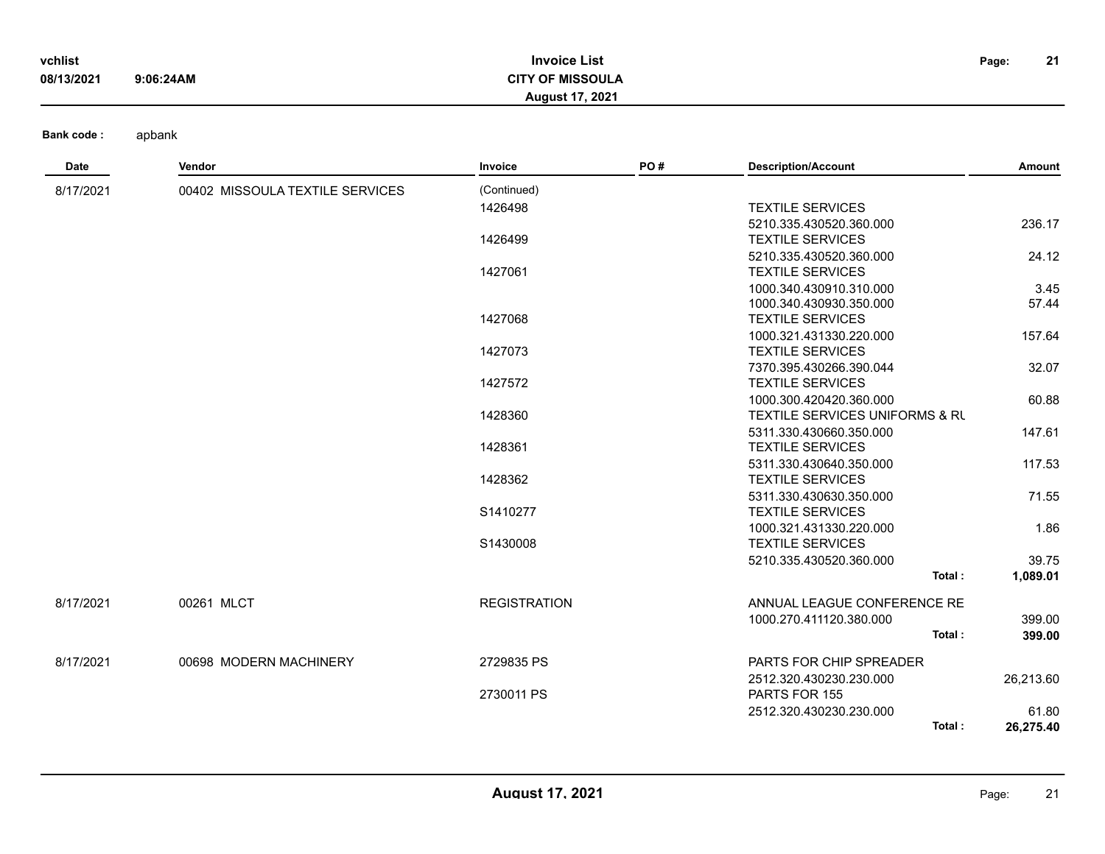| vchlist    |           | <b>Invoice List</b>     | Page: | 21 |
|------------|-----------|-------------------------|-------|----|
| 08/13/2021 | 9:06:24AM | <b>CITY OF MISSOULA</b> |       |    |
|            |           | <b>August 17, 2021</b>  |       |    |

| Date      | Vendor                          | Invoice             | PO# | <b>Description/Account</b>                | Amount    |
|-----------|---------------------------------|---------------------|-----|-------------------------------------------|-----------|
| 8/17/2021 | 00402 MISSOULA TEXTILE SERVICES | (Continued)         |     |                                           |           |
|           |                                 | 1426498             |     | <b>TEXTILE SERVICES</b>                   |           |
|           |                                 |                     |     | 5210.335.430520.360.000                   | 236.17    |
|           |                                 | 1426499             |     | <b>TEXTILE SERVICES</b>                   |           |
|           |                                 |                     |     | 5210.335.430520.360.000                   | 24.12     |
|           |                                 | 1427061             |     | <b>TEXTILE SERVICES</b>                   |           |
|           |                                 |                     |     | 1000.340.430910.310.000                   | 3.45      |
|           |                                 |                     |     | 1000.340.430930.350.000                   | 57.44     |
|           |                                 | 1427068             |     | <b>TEXTILE SERVICES</b>                   |           |
|           |                                 |                     |     | 1000.321.431330.220.000                   | 157.64    |
|           |                                 | 1427073             |     | <b>TEXTILE SERVICES</b>                   |           |
|           |                                 |                     |     | 7370.395.430266.390.044                   | 32.07     |
|           |                                 | 1427572             |     | <b>TEXTILE SERVICES</b>                   |           |
|           |                                 |                     |     | 1000.300.420420.360.000                   | 60.88     |
|           |                                 | 1428360             |     | <b>TEXTILE SERVICES UNIFORMS &amp; RU</b> |           |
|           |                                 |                     |     | 5311.330.430660.350.000                   | 147.61    |
|           |                                 | 1428361             |     | <b>TEXTILE SERVICES</b>                   |           |
|           |                                 |                     |     | 5311.330.430640.350.000                   | 117.53    |
|           |                                 | 1428362             |     | <b>TEXTILE SERVICES</b>                   |           |
|           |                                 |                     |     | 5311.330.430630.350.000                   | 71.55     |
|           |                                 | S1410277            |     | <b>TEXTILE SERVICES</b>                   |           |
|           |                                 |                     |     | 1000.321.431330.220.000                   | 1.86      |
|           |                                 | S1430008            |     | <b>TEXTILE SERVICES</b>                   |           |
|           |                                 |                     |     | 5210.335.430520.360.000                   | 39.75     |
|           |                                 |                     |     | Total:                                    | 1,089.01  |
| 8/17/2021 | 00261 MLCT                      | <b>REGISTRATION</b> |     | ANNUAL LEAGUE CONFERENCE RE               |           |
|           |                                 |                     |     | 1000.270.411120.380.000                   | 399.00    |
|           |                                 |                     |     | Total:                                    | 399.00    |
| 8/17/2021 | 00698 MODERN MACHINERY          | 2729835 PS          |     | PARTS FOR CHIP SPREADER                   |           |
|           |                                 |                     |     | 2512.320.430230.230.000                   | 26,213.60 |
|           |                                 | 2730011 PS          |     | PARTS FOR 155                             |           |
|           |                                 |                     |     | 2512.320.430230.230.000                   | 61.80     |
|           |                                 |                     |     | Total:                                    | 26,275.40 |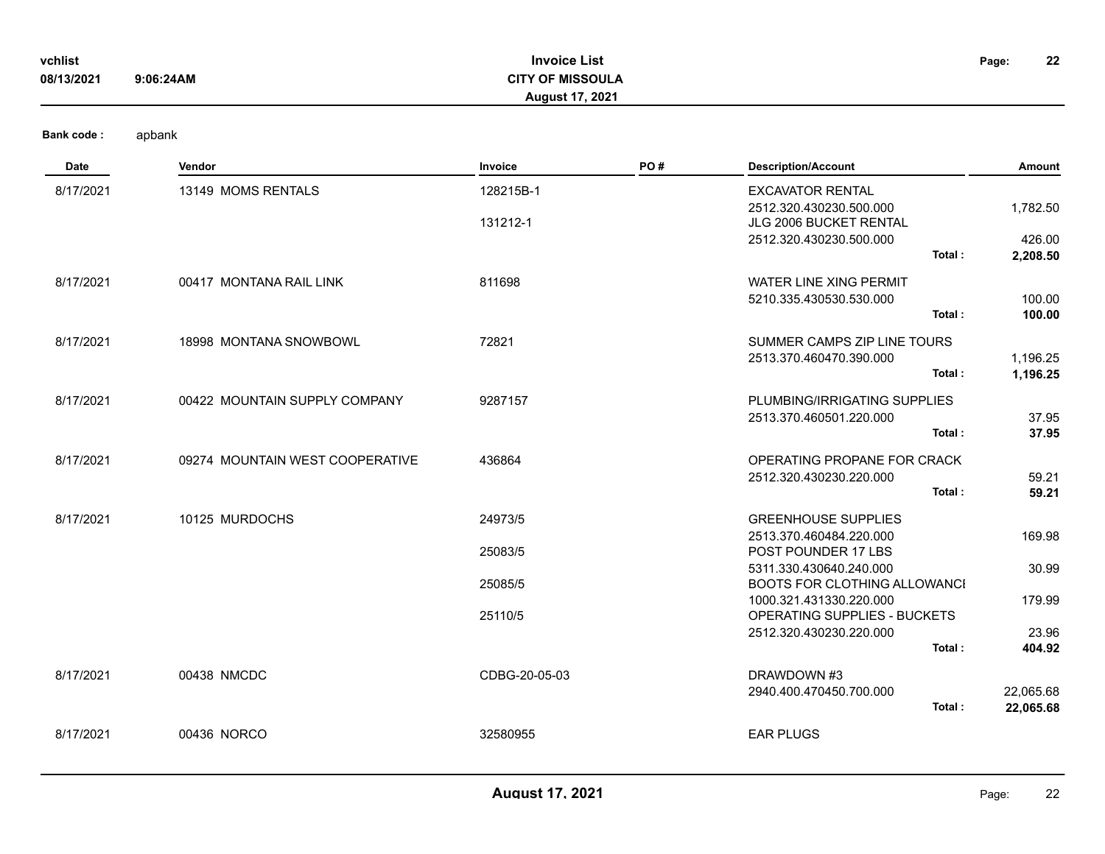| vchlist    |           | <b>Invoice List</b>     | Page: | 22 |
|------------|-----------|-------------------------|-------|----|
| 08/13/2021 | 9:06:24AM | <b>CITY OF MISSOULA</b> |       |    |
|            |           | <b>August 17, 2021</b>  |       |    |
|            |           |                         |       |    |

| <b>Date</b> | Vendor                          | <b>Invoice</b> | PO# | <b>Description/Account</b>                               | <b>Amount</b> |
|-------------|---------------------------------|----------------|-----|----------------------------------------------------------|---------------|
| 8/17/2021   | 13149 MOMS RENTALS              | 128215B-1      |     | <b>EXCAVATOR RENTAL</b>                                  |               |
|             |                                 |                |     | 2512.320.430230.500.000                                  | 1,782.50      |
|             |                                 | 131212-1       |     | <b>JLG 2006 BUCKET RENTAL</b><br>2512.320.430230.500.000 | 426.00        |
|             |                                 |                |     | Total:                                                   | 2,208.50      |
| 8/17/2021   | 00417 MONTANA RAIL LINK         | 811698         |     | <b>WATER LINE XING PERMIT</b>                            |               |
|             |                                 |                |     | 5210.335.430530.530.000                                  | 100.00        |
|             |                                 |                |     | Total:                                                   | 100.00        |
| 8/17/2021   | 18998 MONTANA SNOWBOWL          | 72821          |     | SUMMER CAMPS ZIP LINE TOURS                              |               |
|             |                                 |                |     | 2513.370.460470.390.000                                  | 1,196.25      |
|             |                                 |                |     | Total:                                                   | 1,196.25      |
| 8/17/2021   | 00422 MOUNTAIN SUPPLY COMPANY   | 9287157        |     | PLUMBING/IRRIGATING SUPPLIES                             |               |
|             |                                 |                |     | 2513.370.460501.220.000                                  | 37.95         |
|             |                                 |                |     | Total:                                                   | 37.95         |
| 8/17/2021   | 09274 MOUNTAIN WEST COOPERATIVE | 436864         |     | OPERATING PROPANE FOR CRACK                              |               |
|             |                                 |                |     | 2512.320.430230.220.000                                  | 59.21         |
|             |                                 |                |     | Total:                                                   | 59.21         |
| 8/17/2021   | 10125 MURDOCHS                  | 24973/5        |     | <b>GREENHOUSE SUPPLIES</b>                               |               |
|             |                                 |                |     | 2513.370.460484.220.000                                  | 169.98        |
|             |                                 | 25083/5        |     | POST POUNDER 17 LBS                                      |               |
|             |                                 |                |     | 5311.330.430640.240.000                                  | 30.99         |
|             |                                 | 25085/5        |     | BOOTS FOR CLOTHING ALLOWANCI                             |               |
|             |                                 | 25110/5        |     | 1000.321.431330.220.000<br>OPERATING SUPPLIES - BUCKETS  | 179.99        |
|             |                                 |                |     | 2512.320.430230.220.000                                  | 23.96         |
|             |                                 |                |     | Total:                                                   | 404.92        |
|             |                                 |                |     |                                                          |               |
| 8/17/2021   | 00438 NMCDC                     | CDBG-20-05-03  |     | DRAWDOWN #3                                              |               |
|             |                                 |                |     | 2940.400.470450.700.000<br>Total:                        | 22,065.68     |
|             |                                 |                |     |                                                          | 22,065.68     |
| 8/17/2021   | 00436 NORCO                     | 32580955       |     | <b>EAR PLUGS</b>                                         |               |
|             |                                 |                |     |                                                          |               |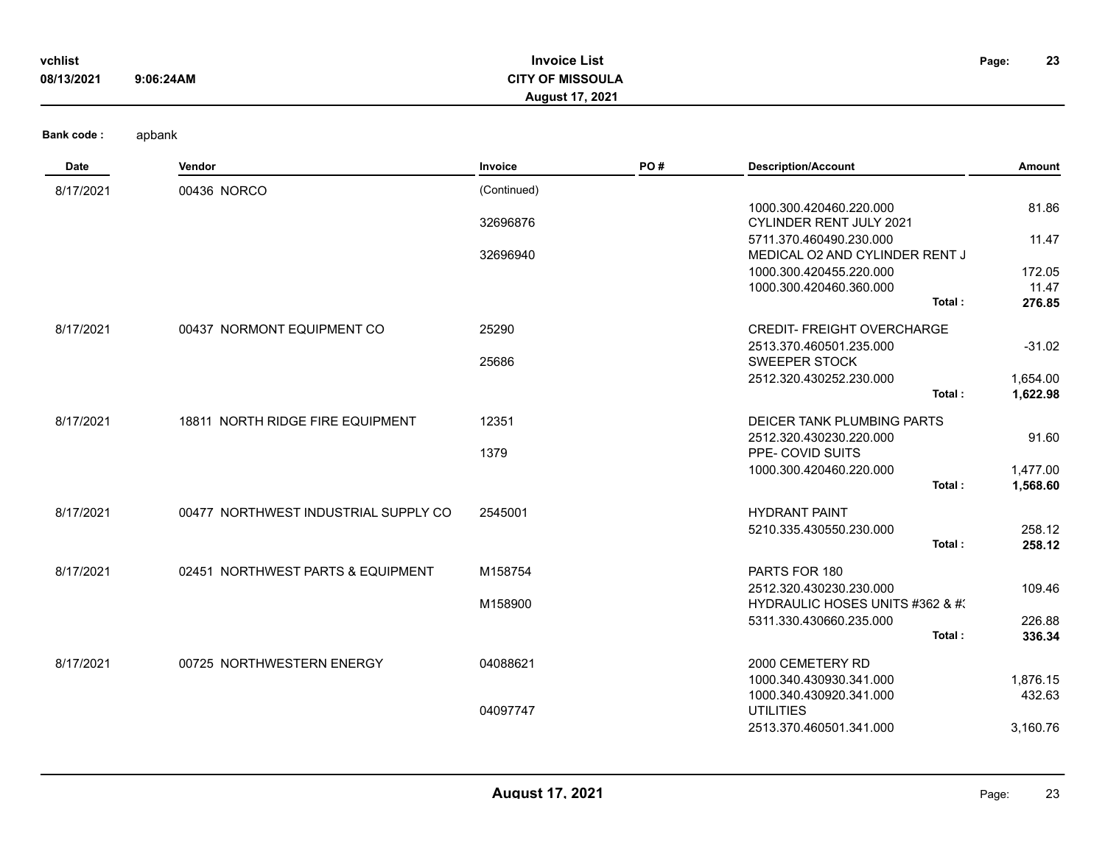| vchlist<br>08/13/2021 | 9:06:24AM | <b>Invoice List</b><br><b>CITY OF MISSOULA</b><br><b>August 17, 2021</b> | Page: | 23 |
|-----------------------|-----------|--------------------------------------------------------------------------|-------|----|
| <b>Bank code:</b>     | apbank    |                                                                          |       |    |

| Date      | Vendor                               | Invoice     | PO# | <b>Description/Account</b>        | Amount   |
|-----------|--------------------------------------|-------------|-----|-----------------------------------|----------|
| 8/17/2021 | 00436 NORCO                          | (Continued) |     |                                   |          |
|           |                                      |             |     | 1000.300.420460.220.000           | 81.86    |
|           |                                      | 32696876    |     | CYLINDER RENT JULY 2021           |          |
|           |                                      |             |     | 5711.370.460490.230.000           | 11.47    |
|           |                                      | 32696940    |     | MEDICAL O2 AND CYLINDER RENT J    |          |
|           |                                      |             |     | 1000.300.420455.220.000           | 172.05   |
|           |                                      |             |     | 1000.300.420460.360.000           | 11.47    |
|           |                                      |             |     | Total:                            | 276.85   |
| 8/17/2021 | 00437 NORMONT EQUIPMENT CO           | 25290       |     | <b>CREDIT- FREIGHT OVERCHARGE</b> |          |
|           |                                      |             |     | 2513.370.460501.235.000           | $-31.02$ |
|           |                                      | 25686       |     | <b>SWEEPER STOCK</b>              |          |
|           |                                      |             |     | 2512.320.430252.230.000           | 1,654.00 |
|           |                                      |             |     | Total:                            | 1,622.98 |
| 8/17/2021 | 18811 NORTH RIDGE FIRE EQUIPMENT     | 12351       |     | DEICER TANK PLUMBING PARTS        |          |
|           |                                      |             |     | 2512.320.430230.220.000           | 91.60    |
|           |                                      | 1379        |     | PPE- COVID SUITS                  |          |
|           |                                      |             |     | 1000.300.420460.220.000           | 1,477.00 |
|           |                                      |             |     | Total:                            | 1,568.60 |
| 8/17/2021 | 00477 NORTHWEST INDUSTRIAL SUPPLY CO | 2545001     |     | <b>HYDRANT PAINT</b>              |          |
|           |                                      |             |     | 5210.335.430550.230.000           | 258.12   |
|           |                                      |             |     | Total:                            | 258.12   |
| 8/17/2021 | 02451 NORTHWEST PARTS & EQUIPMENT    | M158754     |     | PARTS FOR 180                     |          |
|           |                                      |             |     | 2512.320.430230.230.000           | 109.46   |
|           |                                      | M158900     |     | HYDRAULIC HOSES UNITS #362 & #3   |          |
|           |                                      |             |     | 5311.330.430660.235.000           | 226.88   |
|           |                                      |             |     | Total:                            | 336.34   |
| 8/17/2021 | 00725 NORTHWESTERN ENERGY            | 04088621    |     | 2000 CEMETERY RD                  |          |
|           |                                      |             |     | 1000.340.430930.341.000           | 1,876.15 |
|           |                                      |             |     | 1000.340.430920.341.000           | 432.63   |
|           |                                      | 04097747    |     | <b>UTILITIES</b>                  |          |
|           |                                      |             |     | 2513.370.460501.341.000           | 3,160.76 |
|           |                                      |             |     |                                   |          |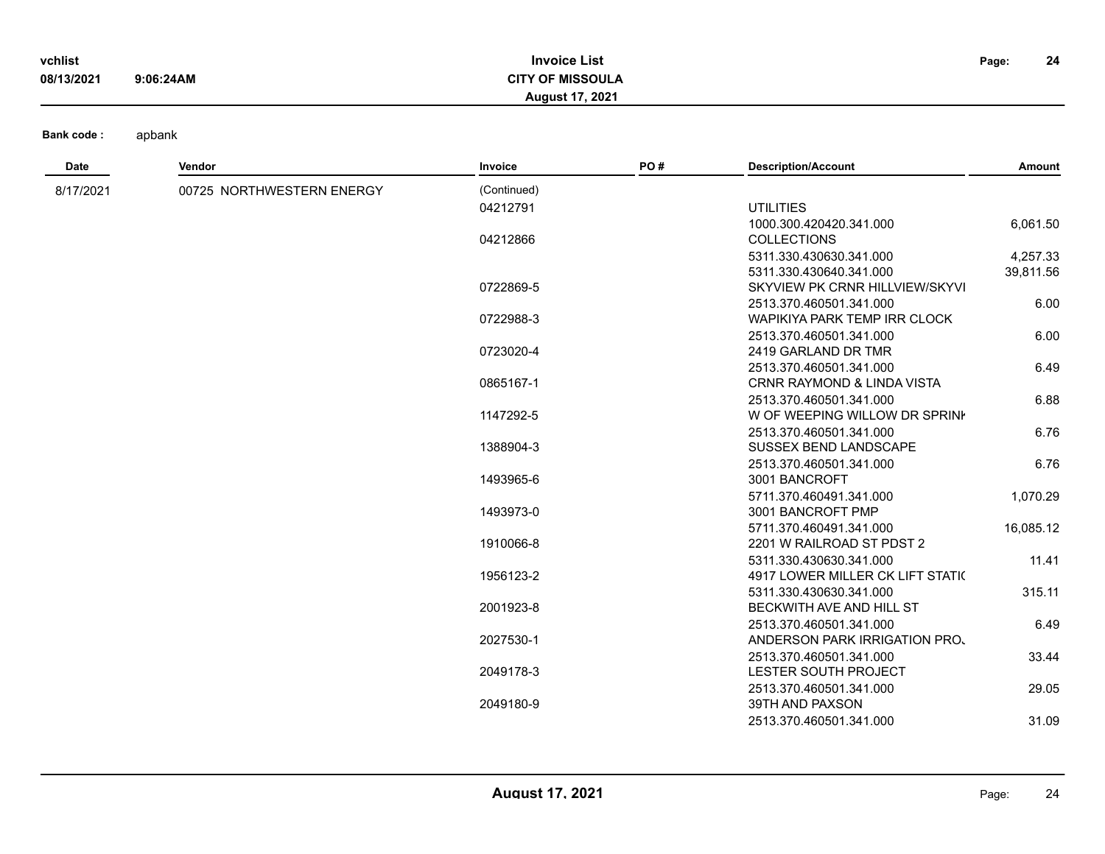| vchlist    |           | <b>Invoice List</b>     | Page: | 24 |
|------------|-----------|-------------------------|-------|----|
| 08/13/2021 | 9:06:24AM | <b>CITY OF MISSOULA</b> |       |    |
|            |           | <b>August 17, 2021</b>  |       |    |

| Date      | Vendor                    | Invoice     | PO# | <b>Description/Account</b>               | Amount    |
|-----------|---------------------------|-------------|-----|------------------------------------------|-----------|
| 8/17/2021 | 00725 NORTHWESTERN ENERGY | (Continued) |     |                                          |           |
|           |                           | 04212791    |     | <b>UTILITIES</b>                         |           |
|           |                           |             |     | 1000.300.420420.341.000                  | 6,061.50  |
|           |                           | 04212866    |     | <b>COLLECTIONS</b>                       |           |
|           |                           |             |     | 5311.330.430630.341.000                  | 4,257.33  |
|           |                           |             |     | 5311.330.430640.341.000                  | 39,811.56 |
|           |                           | 0722869-5   |     | SKYVIEW PK CRNR HILLVIEW/SKYVI           |           |
|           |                           |             |     | 2513.370.460501.341.000                  | 6.00      |
|           |                           | 0722988-3   |     | <b>WAPIKIYA PARK TEMP IRR CLOCK</b>      |           |
|           |                           |             |     | 2513.370.460501.341.000                  | 6.00      |
|           |                           | 0723020-4   |     | 2419 GARLAND DR TMR                      |           |
|           |                           |             |     | 2513.370.460501.341.000                  | 6.49      |
|           |                           | 0865167-1   |     | <b>CRNR RAYMOND &amp; LINDA VISTA</b>    |           |
|           |                           |             |     | 2513.370.460501.341.000                  | 6.88      |
|           |                           | 1147292-5   |     | W OF WEEPING WILLOW DR SPRINK            |           |
|           |                           |             |     | 2513.370.460501.341.000                  | 6.76      |
|           |                           | 1388904-3   |     | SUSSEX BEND LANDSCAPE                    |           |
|           |                           |             |     | 2513.370.460501.341.000                  | 6.76      |
|           |                           | 1493965-6   |     | 3001 BANCROFT                            |           |
|           |                           |             |     | 5711.370.460491.341.000                  | 1,070.29  |
|           |                           | 1493973-0   |     | 3001 BANCROFT PMP                        |           |
|           |                           |             |     | 5711.370.460491.341.000                  | 16,085.12 |
|           |                           | 1910066-8   |     | 2201 W RAILROAD ST PDST 2                |           |
|           |                           |             |     | 5311.330.430630.341.000                  | 11.41     |
|           |                           | 1956123-2   |     | <b>4917 LOWER MILLER CK LIFT STATION</b> |           |
|           |                           |             |     | 5311.330.430630.341.000                  | 315.11    |
|           |                           | 2001923-8   |     | BECKWITH AVE AND HILL ST                 |           |
|           |                           |             |     | 2513.370.460501.341.000                  | 6.49      |
|           |                           | 2027530-1   |     | ANDERSON PARK IRRIGATION PRO.            |           |
|           |                           |             |     | 2513.370.460501.341.000                  | 33.44     |
|           |                           | 2049178-3   |     | LESTER SOUTH PROJECT                     |           |
|           |                           |             |     | 2513.370.460501.341.000                  | 29.05     |
|           |                           | 2049180-9   |     | 39TH AND PAXSON                          |           |
|           |                           |             |     | 2513.370.460501.341.000                  | 31.09     |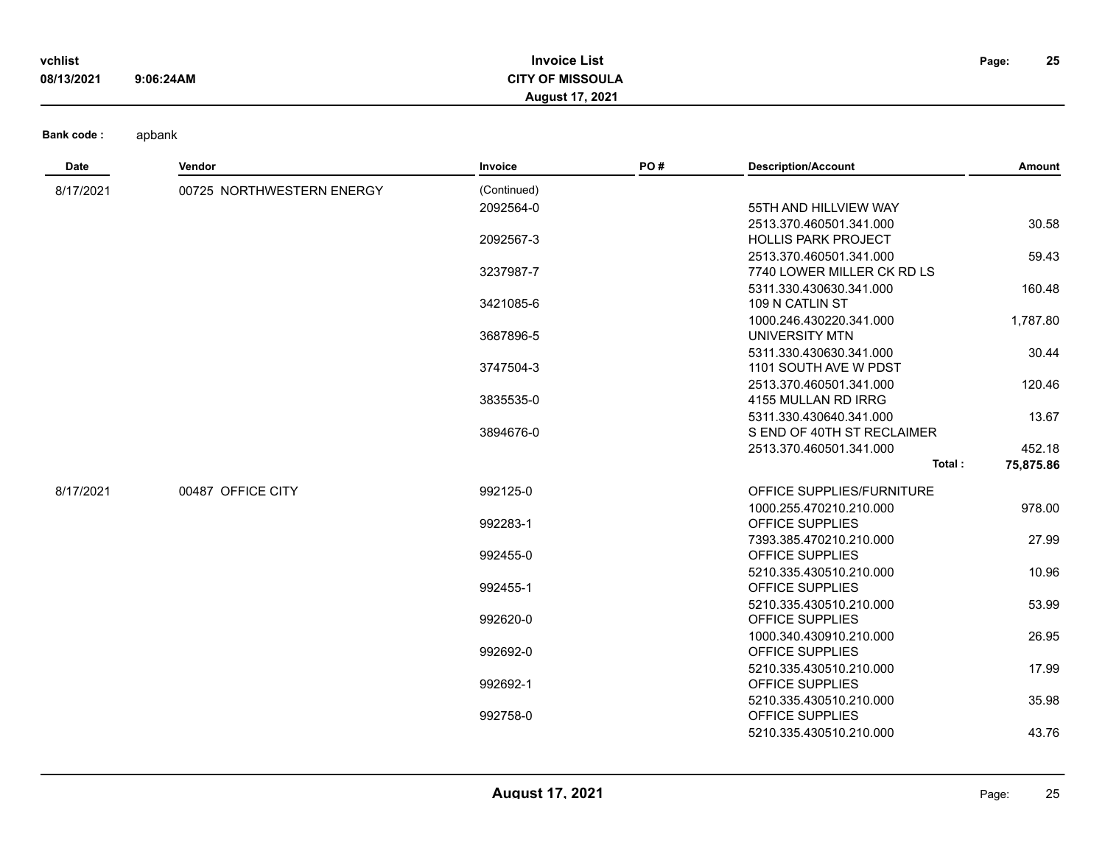| vchlist    |           | <b>Invoice List</b>     | Page: | 25 |
|------------|-----------|-------------------------|-------|----|
| 08/13/2021 | 9:06:24AM | <b>CITY OF MISSOULA</b> |       |    |
|            |           | <b>August 17, 2021</b>  |       |    |

| Date      | Vendor                    | Invoice     | PO# | <b>Description/Account</b> | Amount    |
|-----------|---------------------------|-------------|-----|----------------------------|-----------|
| 8/17/2021 | 00725 NORTHWESTERN ENERGY | (Continued) |     |                            |           |
|           |                           | 2092564-0   |     | 55TH AND HILLVIEW WAY      |           |
|           |                           |             |     | 2513.370.460501.341.000    | 30.58     |
|           |                           | 2092567-3   |     | <b>HOLLIS PARK PROJECT</b> |           |
|           |                           |             |     | 2513.370.460501.341.000    | 59.43     |
|           |                           | 3237987-7   |     | 7740 LOWER MILLER CK RD LS |           |
|           |                           |             |     | 5311.330.430630.341.000    | 160.48    |
|           |                           | 3421085-6   |     | 109 N CATLIN ST            |           |
|           |                           |             |     | 1000.246.430220.341.000    | 1,787.80  |
|           |                           | 3687896-5   |     | UNIVERSITY MTN             |           |
|           |                           |             |     | 5311.330.430630.341.000    | 30.44     |
|           |                           | 3747504-3   |     | 1101 SOUTH AVE W PDST      |           |
|           |                           |             |     | 2513.370.460501.341.000    | 120.46    |
|           |                           | 3835535-0   |     | 4155 MULLAN RD IRRG        |           |
|           |                           |             |     | 5311.330.430640.341.000    | 13.67     |
|           |                           | 3894676-0   |     | S END OF 40TH ST RECLAIMER |           |
|           |                           |             |     | 2513.370.460501.341.000    | 452.18    |
|           |                           |             |     | Total:                     | 75,875.86 |
| 8/17/2021 | 00487 OFFICE CITY         | 992125-0    |     | OFFICE SUPPLIES/FURNITURE  |           |
|           |                           |             |     | 1000.255.470210.210.000    | 978.00    |
|           |                           | 992283-1    |     | OFFICE SUPPLIES            |           |
|           |                           |             |     | 7393.385.470210.210.000    | 27.99     |
|           |                           | 992455-0    |     | OFFICE SUPPLIES            |           |
|           |                           |             |     | 5210.335.430510.210.000    | 10.96     |
|           |                           | 992455-1    |     | OFFICE SUPPLIES            |           |
|           |                           |             |     | 5210.335.430510.210.000    | 53.99     |
|           |                           | 992620-0    |     | <b>OFFICE SUPPLIES</b>     |           |
|           |                           |             |     | 1000.340.430910.210.000    | 26.95     |
|           |                           | 992692-0    |     | OFFICE SUPPLIES            |           |
|           |                           |             |     | 5210.335.430510.210.000    | 17.99     |
|           |                           | 992692-1    |     | OFFICE SUPPLIES            |           |
|           |                           |             |     | 5210.335.430510.210.000    | 35.98     |
|           |                           | 992758-0    |     | OFFICE SUPPLIES            |           |
|           |                           |             |     | 5210.335.430510.210.000    | 43.76     |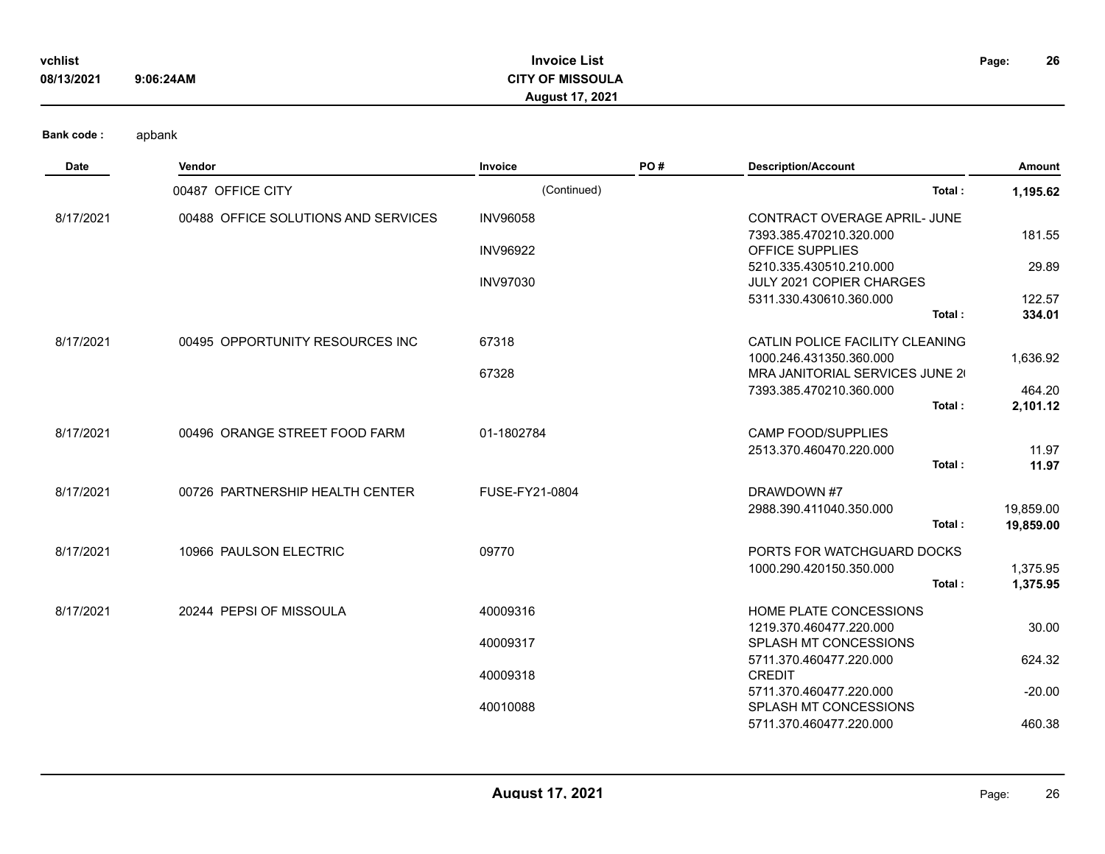| vchlist    |           | <b>Invoice List</b>    | Page: | 26 |
|------------|-----------|------------------------|-------|----|
| 08/13/2021 | 9:06:24AM | CITY OF MISSOULA       |       |    |
|            |           | <b>August 17, 2021</b> |       |    |

| <b>Date</b> | Vendor                              | Invoice         | PO# | <b>Description/Account</b>                                 | Amount    |
|-------------|-------------------------------------|-----------------|-----|------------------------------------------------------------|-----------|
|             | 00487 OFFICE CITY                   | (Continued)     |     | Total:                                                     | 1,195.62  |
| 8/17/2021   | 00488 OFFICE SOLUTIONS AND SERVICES | <b>INV96058</b> |     | CONTRACT OVERAGE APRIL- JUNE                               |           |
|             |                                     |                 |     | 7393.385.470210.320.000                                    | 181.55    |
|             |                                     | <b>INV96922</b> |     | <b>OFFICE SUPPLIES</b>                                     |           |
|             |                                     | <b>INV97030</b> |     | 5210.335.430510.210.000<br><b>JULY 2021 COPIER CHARGES</b> | 29.89     |
|             |                                     |                 |     | 5311.330.430610.360.000                                    | 122.57    |
|             |                                     |                 |     | Total:                                                     | 334.01    |
| 8/17/2021   | 00495 OPPORTUNITY RESOURCES INC     | 67318           |     | CATLIN POLICE FACILITY CLEANING                            |           |
|             |                                     |                 |     | 1000.246.431350.360.000                                    | 1,636.92  |
|             |                                     | 67328           |     | MRA JANITORIAL SERVICES JUNE 20                            |           |
|             |                                     |                 |     | 7393.385.470210.360.000                                    | 464.20    |
|             |                                     |                 |     | Total:                                                     | 2,101.12  |
| 8/17/2021   | 00496 ORANGE STREET FOOD FARM       | 01-1802784      |     | <b>CAMP FOOD/SUPPLIES</b>                                  |           |
|             |                                     |                 |     | 2513.370.460470.220.000                                    | 11.97     |
|             |                                     |                 |     | Total:                                                     | 11.97     |
| 8/17/2021   | 00726 PARTNERSHIP HEALTH CENTER     | FUSE-FY21-0804  |     | DRAWDOWN #7                                                |           |
|             |                                     |                 |     | 2988.390.411040.350.000                                    | 19,859.00 |
|             |                                     |                 |     | Total:                                                     | 19,859.00 |
| 8/17/2021   | 10966 PAULSON ELECTRIC              | 09770           |     | PORTS FOR WATCHGUARD DOCKS                                 |           |
|             |                                     |                 |     | 1000.290.420150.350.000                                    | 1,375.95  |
|             |                                     |                 |     | Total:                                                     | 1,375.95  |
| 8/17/2021   | 20244 PEPSI OF MISSOULA             | 40009316        |     | HOME PLATE CONCESSIONS                                     |           |
|             |                                     |                 |     | 1219.370.460477.220.000                                    | 30.00     |
|             |                                     | 40009317        |     | SPLASH MT CONCESSIONS                                      |           |
|             |                                     |                 |     | 5711.370.460477.220.000                                    | 624.32    |
|             |                                     | 40009318        |     | <b>CREDIT</b>                                              |           |
|             |                                     | 40010088        |     | 5711.370.460477.220.000<br>SPLASH MT CONCESSIONS           | $-20.00$  |
|             |                                     |                 |     | 5711.370.460477.220.000                                    | 460.38    |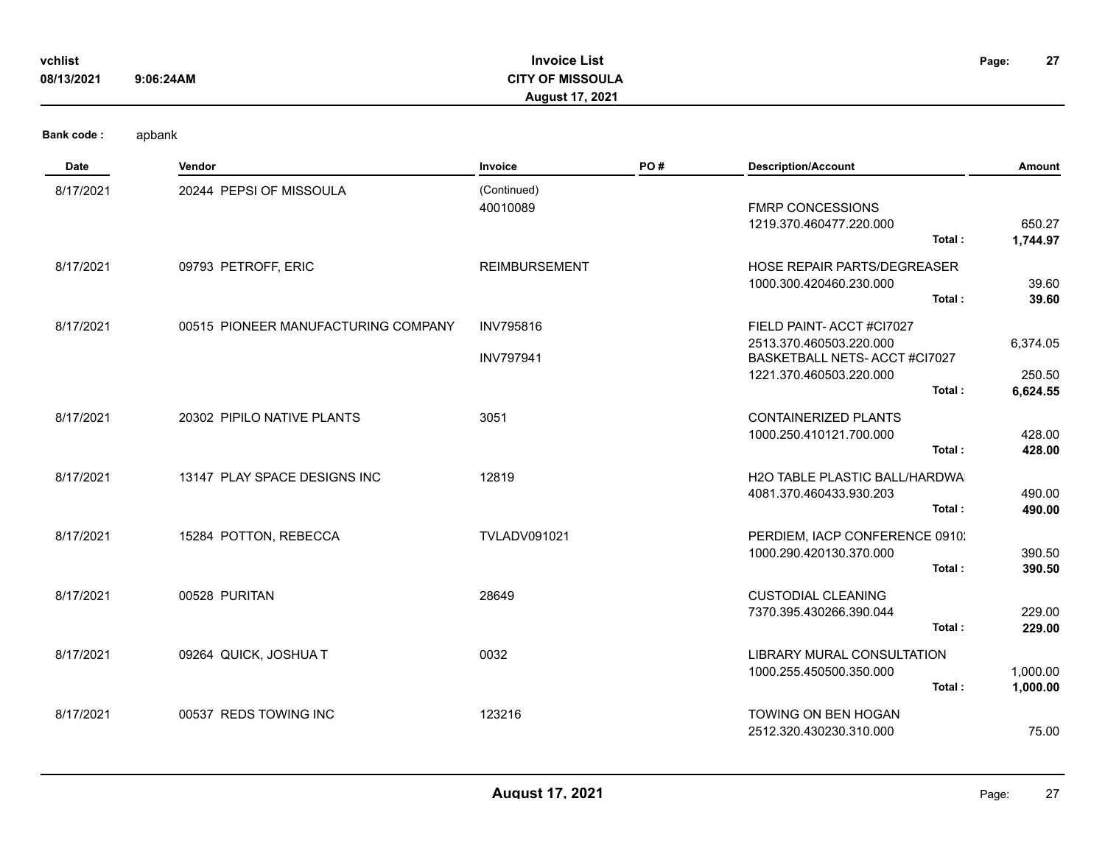| vchlist<br>08/13/2021 | 9:06:24AM                           | <b>Invoice List</b><br><b>CITY OF MISSOULA</b><br><b>August 17, 2021</b> |     |                                                                                                                           | 27<br>Page:                    |
|-----------------------|-------------------------------------|--------------------------------------------------------------------------|-----|---------------------------------------------------------------------------------------------------------------------------|--------------------------------|
| <b>Bank code:</b>     | apbank                              |                                                                          |     |                                                                                                                           |                                |
| Date                  | <b>Vendor</b>                       | Invoice                                                                  | PO# | <b>Description/Account</b>                                                                                                | Amount                         |
| 8/17/2021             | 20244 PEPSI OF MISSOULA             | (Continued)<br>40010089                                                  |     | <b>FMRP CONCESSIONS</b><br>1219.370.460477.220.000<br>Total:                                                              | 650.27<br>1,744.97             |
| 8/17/2021             | 09793 PETROFF, ERIC                 | <b>REIMBURSEMENT</b>                                                     |     | HOSE REPAIR PARTS/DEGREASER<br>1000.300.420460.230.000<br>Total:                                                          | 39.60<br>39.60                 |
| 8/17/2021             | 00515 PIONEER MANUFACTURING COMPANY | <b>INV795816</b><br><b>INV797941</b>                                     |     | FIELD PAINT-ACCT #CI7027<br>2513.370.460503.220.000<br>BASKETBALL NETS- ACCT #CI7027<br>1221.370.460503.220.000<br>Total: | 6,374.05<br>250.50<br>6,624.55 |
| 8/17/2021             | 20302 PIPILO NATIVE PLANTS          | 3051                                                                     |     | <b>CONTAINERIZED PLANTS</b><br>1000.250.410121.700.000<br>Total:                                                          | 428.00<br>428.00               |
| 8/17/2021             | 13147 PLAY SPACE DESIGNS INC        | 12819                                                                    |     | <b>H2O TABLE PLASTIC BALL/HARDWA</b><br>4081.370.460433.930.203<br>Total:                                                 | 490.00<br>490.00               |
| 8/17/2021             | 15284 POTTON, REBECCA               | <b>TVLADV091021</b>                                                      |     | PERDIEM, IACP CONFERENCE 0910.<br>1000.290.420130.370.000<br>Total:                                                       | 390.50<br>390.50               |
| 8/17/2021             | 00528 PURITAN                       | 28649                                                                    |     | <b>CUSTODIAL CLEANING</b><br>7370.395.430266.390.044<br>Total:                                                            | 229.00<br>229.00               |
| 8/17/2021             | 09264 QUICK, JOSHUA T               | 0032                                                                     |     | <b>LIBRARY MURAL CONSULTATION</b><br>1000.255.450500.350.000<br>Total:                                                    | 1,000.00<br>1,000.00           |
| 8/17/2021             | 00537 REDS TOWING INC               | 123216                                                                   |     | TOWING ON BEN HOGAN<br>2512.320.430230.310.000                                                                            | 75.00                          |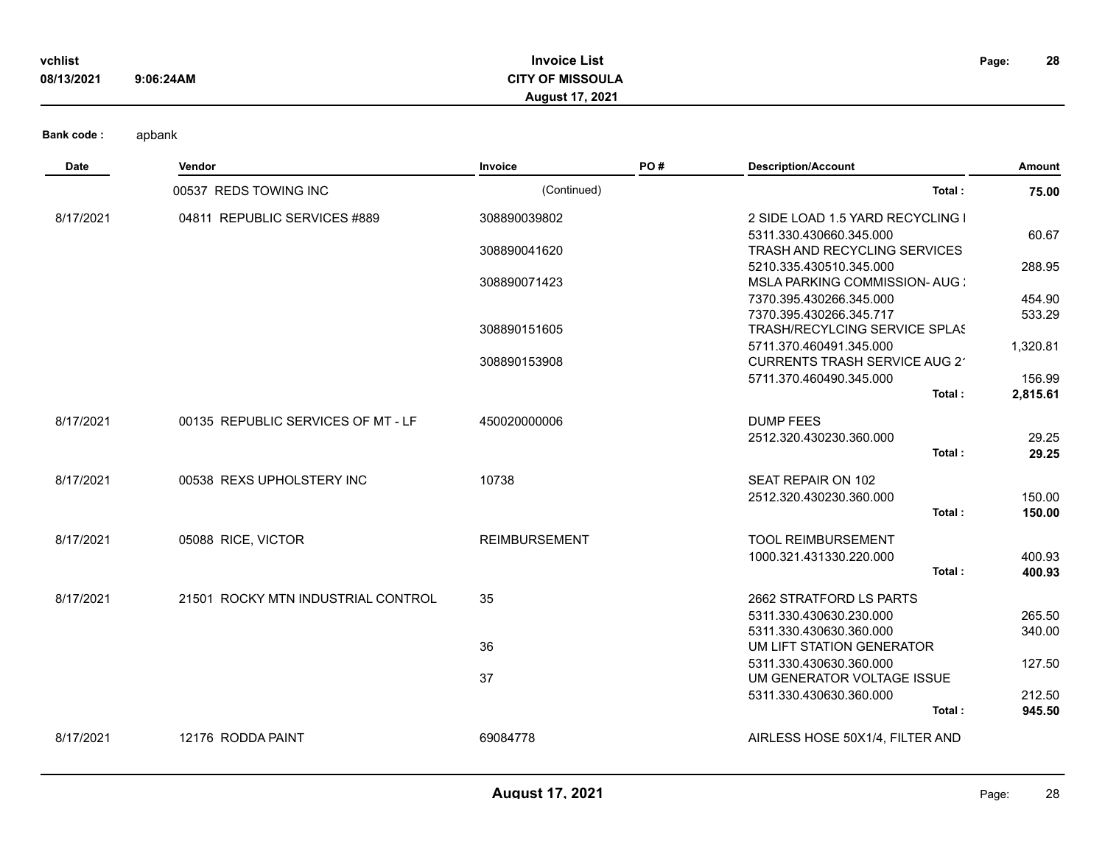| vchlist    |           | Invoice List              | Page: | 28 |
|------------|-----------|---------------------------|-------|----|
| 08/13/2021 | 9:06:24AM | <b>CITY OF MISSOULA</b>   |       |    |
|            |           | .2021<br><b>August 17</b> |       |    |

| Date      | Vendor                             | Invoice              | PO# | <b>Description/Account</b>          | Amount   |
|-----------|------------------------------------|----------------------|-----|-------------------------------------|----------|
|           | 00537 REDS TOWING INC              | (Continued)          |     | Total:                              | 75.00    |
| 8/17/2021 | 04811 REPUBLIC SERVICES #889       | 308890039802         |     | 2 SIDE LOAD 1.5 YARD RECYCLING I    |          |
|           |                                    |                      |     | 5311.330.430660.345.000             | 60.67    |
|           |                                    | 308890041620         |     | <b>TRASH AND RECYCLING SERVICES</b> |          |
|           |                                    |                      |     | 5210.335.430510.345.000             | 288.95   |
|           |                                    | 308890071423         |     | MSLA PARKING COMMISSION-AUG :       |          |
|           |                                    |                      |     | 7370.395.430266.345.000             | 454.90   |
|           |                                    |                      |     | 7370.395.430266.345.717             | 533.29   |
|           |                                    | 308890151605         |     | TRASH/RECYLCING SERVICE SPLAS       |          |
|           |                                    |                      |     | 5711.370.460491.345.000             | 1,320.81 |
|           |                                    | 308890153908         |     | CURRENTS TRASH SERVICE AUG 2        |          |
|           |                                    |                      |     | 5711.370.460490.345.000             | 156.99   |
|           |                                    |                      |     | Total:                              | 2,815.61 |
| 8/17/2021 | 00135 REPUBLIC SERVICES OF MT - LF | 450020000006         |     | <b>DUMP FEES</b>                    |          |
|           |                                    |                      |     | 2512.320.430230.360.000             | 29.25    |
|           |                                    |                      |     | Total:                              | 29.25    |
| 8/17/2021 | 00538 REXS UPHOLSTERY INC          | 10738                |     | SEAT REPAIR ON 102                  |          |
|           |                                    |                      |     | 2512.320.430230.360.000             | 150.00   |
|           |                                    |                      |     | Total:                              | 150.00   |
| 8/17/2021 | 05088 RICE, VICTOR                 | <b>REIMBURSEMENT</b> |     | <b>TOOL REIMBURSEMENT</b>           |          |
|           |                                    |                      |     | 1000.321.431330.220.000             | 400.93   |
|           |                                    |                      |     | Total:                              | 400.93   |
| 8/17/2021 | 21501 ROCKY MTN INDUSTRIAL CONTROL | 35                   |     | 2662 STRATFORD LS PARTS             |          |
|           |                                    |                      |     | 5311.330.430630.230.000             | 265.50   |
|           |                                    |                      |     | 5311.330.430630.360.000             | 340.00   |
|           |                                    | 36                   |     | UM LIFT STATION GENERATOR           |          |
|           |                                    |                      |     | 5311.330.430630.360.000             | 127.50   |
|           |                                    | 37                   |     | UM GENERATOR VOLTAGE ISSUE          |          |
|           |                                    |                      |     | 5311.330.430630.360.000             | 212.50   |
|           |                                    |                      |     | Total:                              | 945.50   |
| 8/17/2021 | 12176 RODDA PAINT                  | 69084778             |     | AIRLESS HOSE 50X1/4, FILTER AND     |          |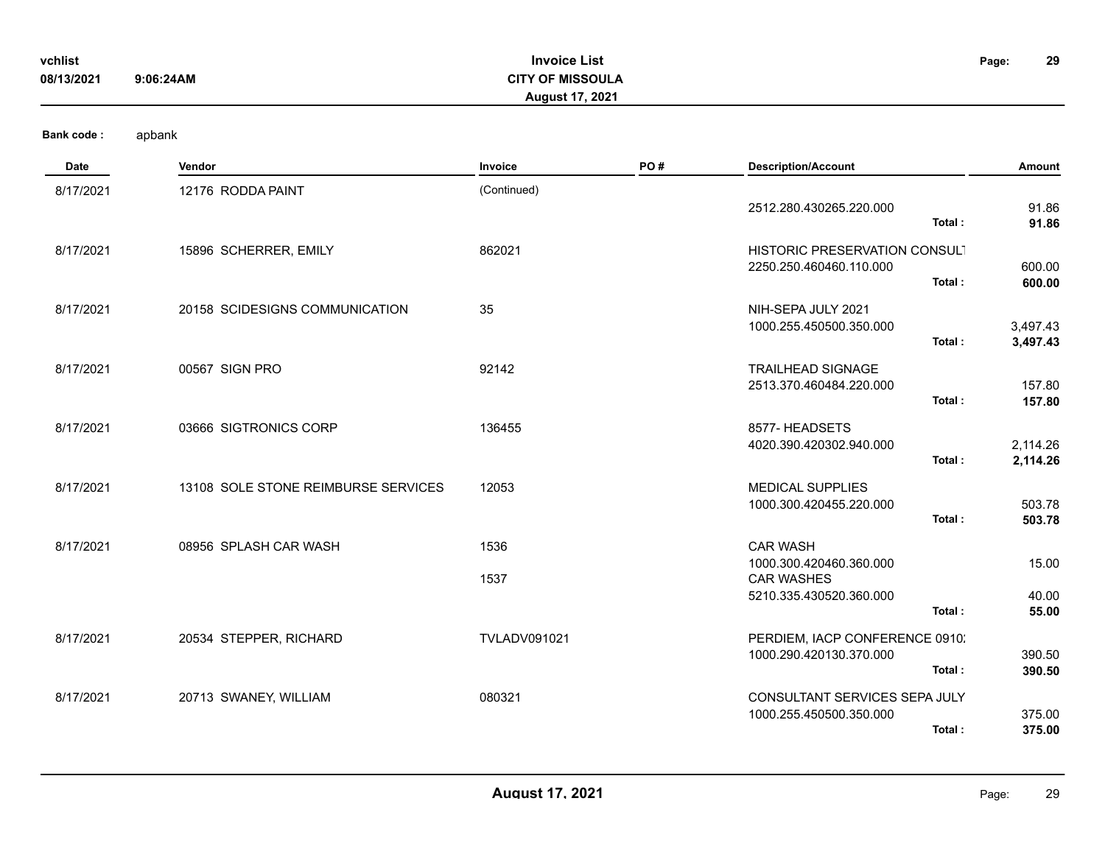| vchlist    |           | <b>Invoice List</b>     | Page: | 29 |
|------------|-----------|-------------------------|-------|----|
| 08/13/2021 | 9:06:24AM | <b>CITY OF MISSOULA</b> |       |    |
|            |           | <b>August 17, 2021</b>  |       |    |

| Date      | Vendor                              | Invoice             | PO# | <b>Description/Account</b>                          | <b>Amount</b>        |
|-----------|-------------------------------------|---------------------|-----|-----------------------------------------------------|----------------------|
| 8/17/2021 | 12176 RODDA PAINT                   | (Continued)         |     | 2512.280.430265.220.000                             | 91.86                |
|           |                                     |                     |     | Total:                                              | 91.86                |
| 8/17/2021 | 15896 SCHERRER, EMILY               | 862021              |     | HISTORIC PRESERVATION CONSULT                       |                      |
|           |                                     |                     |     | 2250.250.460460.110.000                             | 600.00               |
|           |                                     |                     |     | Total:                                              | 600.00               |
| 8/17/2021 | 20158 SCIDESIGNS COMMUNICATION      | 35                  |     | NIH-SEPA JULY 2021                                  |                      |
|           |                                     |                     |     | 1000.255.450500.350.000<br>Total:                   | 3,497.43<br>3,497.43 |
|           |                                     |                     |     |                                                     |                      |
| 8/17/2021 | 00567 SIGN PRO                      | 92142               |     | <b>TRAILHEAD SIGNAGE</b><br>2513.370.460484.220.000 | 157.80               |
|           |                                     |                     |     | Total:                                              | 157.80               |
| 8/17/2021 | 03666 SIGTRONICS CORP               | 136455              |     | 8577- HEADSETS                                      |                      |
|           |                                     |                     |     | 4020.390.420302.940.000                             | 2,114.26             |
|           |                                     |                     |     | Total:                                              | 2,114.26             |
| 8/17/2021 | 13108 SOLE STONE REIMBURSE SERVICES | 12053               |     | <b>MEDICAL SUPPLIES</b>                             |                      |
|           |                                     |                     |     | 1000.300.420455.220.000                             | 503.78               |
|           |                                     |                     |     | Total:                                              | 503.78               |
| 8/17/2021 | 08956 SPLASH CAR WASH               | 1536                |     | <b>CAR WASH</b>                                     |                      |
|           |                                     |                     |     | 1000.300.420460.360.000                             | 15.00                |
|           |                                     | 1537                |     | <b>CAR WASHES</b><br>5210.335.430520.360.000        | 40.00                |
|           |                                     |                     |     | Total:                                              | 55.00                |
| 8/17/2021 | 20534 STEPPER, RICHARD              | <b>TVLADV091021</b> |     | PERDIEM, IACP CONFERENCE 0910.                      |                      |
|           |                                     |                     |     | 1000.290.420130.370.000                             | 390.50               |
|           |                                     |                     |     | Total:                                              | 390.50               |
| 8/17/2021 | 20713 SWANEY, WILLIAM               | 080321              |     | CONSULTANT SERVICES SEPA JULY                       |                      |
|           |                                     |                     |     | 1000.255.450500.350.000                             | 375.00               |
|           |                                     |                     |     | Total:                                              | 375.00               |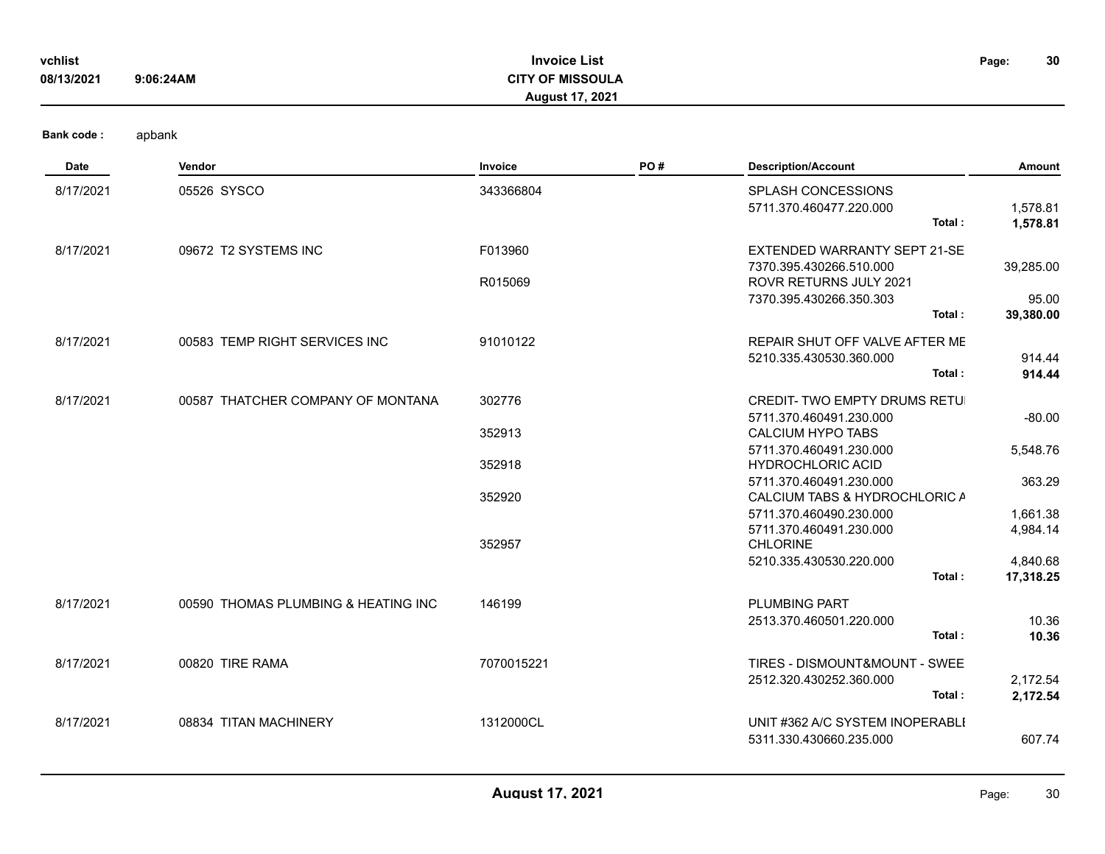| vchlist<br>08/13/2021 | 9:06:24AM | <b>Invoice List</b><br><b>CITY OF MISSOULA</b><br><b>August 17, 2021</b> | Page: | 30 |
|-----------------------|-----------|--------------------------------------------------------------------------|-------|----|
| <b>Bank code:</b>     | apbank    |                                                                          |       |    |

| <b>Date</b> | Vendor                              | Invoice    | PO# | <b>Description/Account</b>                                     | Amount                |
|-------------|-------------------------------------|------------|-----|----------------------------------------------------------------|-----------------------|
| 8/17/2021   | 05526 SYSCO                         | 343366804  |     | <b>SPLASH CONCESSIONS</b><br>5711.370.460477.220.000<br>Total: | 1,578.81<br>1,578.81  |
| 8/17/2021   | 09672 T2 SYSTEMS INC                | F013960    |     | EXTENDED WARRANTY SEPT 21-SE<br>7370.395.430266.510.000        | 39,285.00             |
|             |                                     | R015069    |     | <b>ROVR RETURNS JULY 2021</b><br>7370.395.430266.350.303       | 95.00                 |
|             |                                     |            |     | Total:                                                         | 39,380.00             |
| 8/17/2021   | 00583 TEMP RIGHT SERVICES INC       | 91010122   |     | REPAIR SHUT OFF VALVE AFTER ME<br>5210.335.430530.360.000      | 914.44                |
|             |                                     |            |     | Total:                                                         | 914.44                |
| 8/17/2021   | 00587 THATCHER COMPANY OF MONTANA   | 302776     |     | CREDIT- TWO EMPTY DRUMS RETUI                                  |                       |
|             |                                     | 352913     |     | 5711.370.460491.230.000<br><b>CALCIUM HYPO TABS</b>            | $-80.00$              |
|             |                                     | 352918     |     | 5711.370.460491.230.000<br><b>HYDROCHLORIC ACID</b>            | 5,548.76              |
|             |                                     | 352920     |     | 5711.370.460491.230.000<br>CALCIUM TABS & HYDROCHLORIC A       | 363.29                |
|             |                                     |            |     | 5711.370.460490.230.000<br>5711.370.460491.230.000             | 1,661.38<br>4,984.14  |
|             |                                     | 352957     |     | <b>CHLORINE</b>                                                |                       |
|             |                                     |            |     | 5210.335.430530.220.000<br>Total:                              | 4,840.68<br>17,318.25 |
| 8/17/2021   | 00590 THOMAS PLUMBING & HEATING INC | 146199     |     | <b>PLUMBING PART</b>                                           |                       |
|             |                                     |            |     | 2513.370.460501.220.000<br>Total:                              | 10.36                 |
|             |                                     |            |     |                                                                | 10.36                 |
| 8/17/2021   | 00820 TIRE RAMA                     | 7070015221 |     | TIRES - DISMOUNT&MOUNT - SWEE<br>2512.320.430252.360.000       | 2,172.54              |
|             |                                     |            |     | Total:                                                         | 2,172.54              |
| 8/17/2021   | 08834 TITAN MACHINERY               | 1312000CL  |     | UNIT #362 A/C SYSTEM INOPERABLI<br>5311.330.430660.235.000     | 607.74                |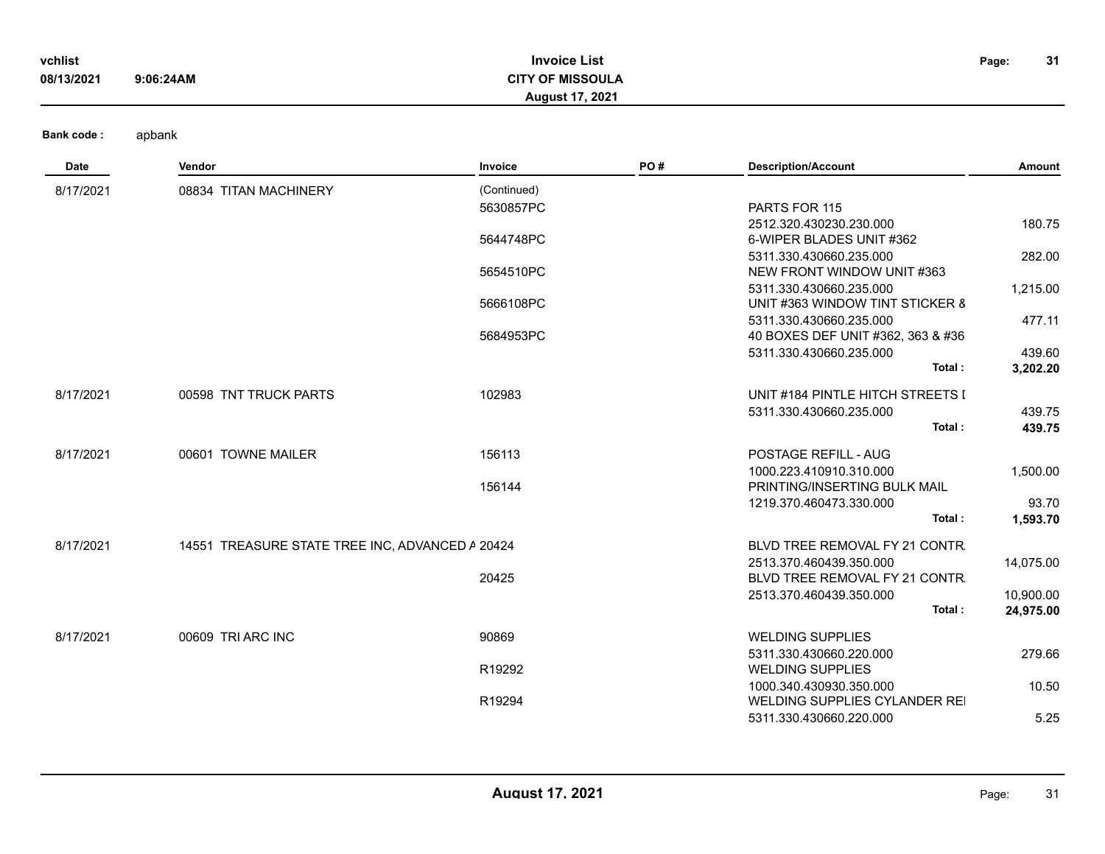| vchlist    |           | <b>Invoice List</b>     | Page: | 31 |
|------------|-----------|-------------------------|-------|----|
| 08/13/2021 | 9:06:24AM | <b>CITY OF MISSOULA</b> |       |    |
|            |           | August 17, 2021         |       |    |

**Bank code :** 

| Date      | Vendor                                          | Invoice     | PO# | <b>Description/Account</b>        | Amount    |
|-----------|-------------------------------------------------|-------------|-----|-----------------------------------|-----------|
| 8/17/2021 | 08834 TITAN MACHINERY                           | (Continued) |     |                                   |           |
|           |                                                 | 5630857PC   |     | PARTS FOR 115                     |           |
|           |                                                 |             |     | 2512.320.430230.230.000           | 180.75    |
|           |                                                 | 5644748PC   |     | 6-WIPER BLADES UNIT #362          |           |
|           |                                                 |             |     | 5311.330.430660.235.000           | 282.00    |
|           |                                                 | 5654510PC   |     | NEW FRONT WINDOW UNIT #363        |           |
|           |                                                 |             |     | 5311.330.430660.235.000           | 1,215.00  |
|           |                                                 | 5666108PC   |     | UNIT #363 WINDOW TINT STICKER 8   |           |
|           |                                                 |             |     | 5311.330.430660.235.000           | 477.11    |
|           |                                                 | 5684953PC   |     | 40 BOXES DEF UNIT #362, 363 & #36 |           |
|           |                                                 |             |     | 5311.330.430660.235.000           | 439.60    |
|           |                                                 |             |     | Total:                            | 3,202.20  |
| 8/17/2021 | 00598 TNT TRUCK PARTS                           | 102983      |     | UNIT #184 PINTLE HITCH STREETS I  |           |
|           |                                                 |             |     | 5311.330.430660.235.000           | 439.75    |
|           |                                                 |             |     | Total:                            | 439.75    |
| 8/17/2021 | 00601 TOWNE MAILER                              | 156113      |     | <b>POSTAGE REFILL - AUG</b>       |           |
|           |                                                 |             |     | 1000.223.410910.310.000           | 1,500.00  |
|           |                                                 | 156144      |     | PRINTING/INSERTING BULK MAIL      |           |
|           |                                                 |             |     | 1219.370.460473.330.000           | 93.70     |
|           |                                                 |             |     | Total:                            | 1,593.70  |
| 8/17/2021 | 14551 TREASURE STATE TREE INC, ADVANCED A 20424 |             |     | BLVD TREE REMOVAL FY 21 CONTR.    |           |
|           |                                                 |             |     | 2513.370.460439.350.000           | 14,075.00 |
|           |                                                 | 20425       |     | BLVD TREE REMOVAL FY 21 CONTR.    |           |
|           |                                                 |             |     | 2513.370.460439.350.000           | 10,900.00 |
|           |                                                 |             |     | Total:                            | 24,975.00 |
| 8/17/2021 | 00609 TRI ARC INC                               | 90869       |     | <b>WELDING SUPPLIES</b>           |           |
|           |                                                 |             |     | 5311.330.430660.220.000           | 279.66    |
|           |                                                 | R19292      |     | <b>WELDING SUPPLIES</b>           |           |
|           |                                                 |             |     | 1000.340.430930.350.000           | 10.50     |
|           |                                                 | R19294      |     | WELDING SUPPLIES CYLANDER REI     |           |
|           |                                                 |             |     | 5311.330.430660.220.000           | 5.25      |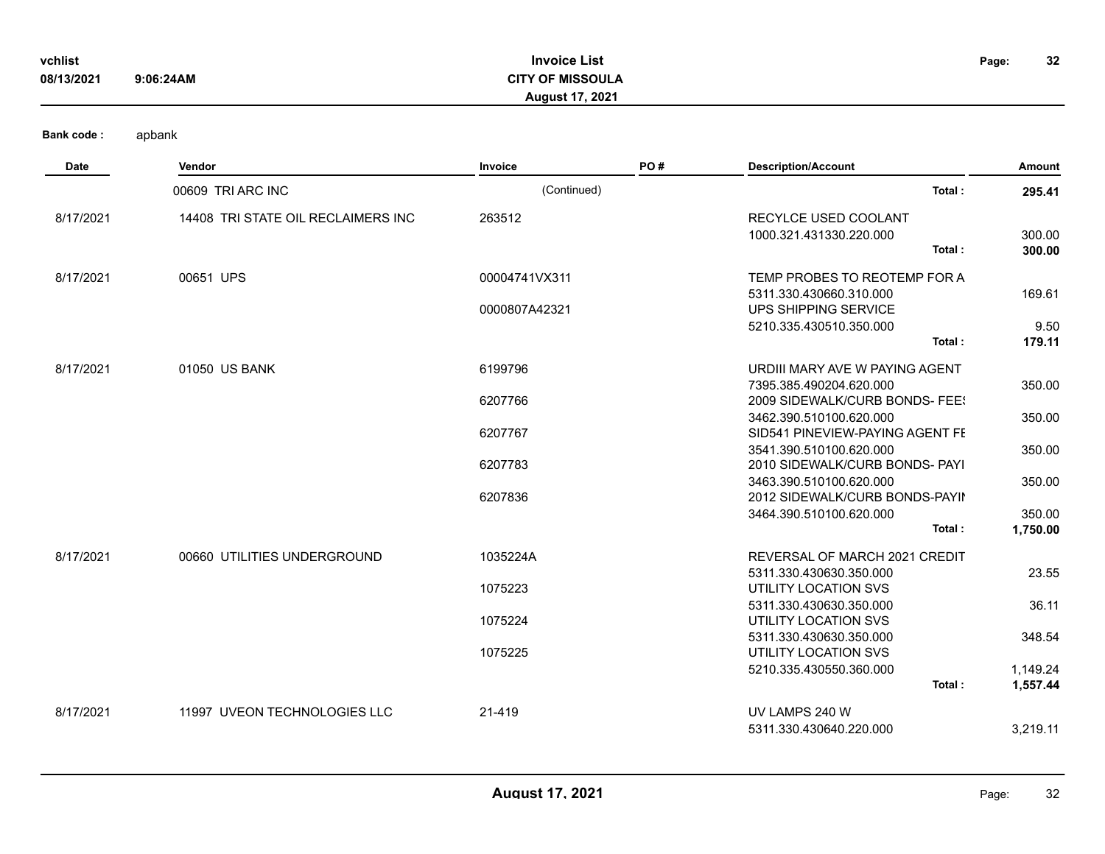| 08/13/2021        | 9:06:24AM                          | <b>CITY OF MISSOULA</b><br><b>August 17, 2021</b> |     |                                                                                 |                      |
|-------------------|------------------------------------|---------------------------------------------------|-----|---------------------------------------------------------------------------------|----------------------|
| <b>Bank code:</b> | apbank                             |                                                   |     |                                                                                 |                      |
| Date              | Vendor                             | <b>Invoice</b>                                    | PO# | <b>Description/Account</b>                                                      | Amount               |
|                   | 00609 TRI ARC INC                  | (Continued)                                       |     | Total:                                                                          | 295.41               |
| 8/17/2021         | 14408 TRI STATE OIL RECLAIMERS INC | 263512                                            |     | RECYLCE USED COOLANT<br>1000.321.431330.220.000<br>Total:                       | 300.00<br>300.00     |
| 8/17/2021         | 00651 UPS                          | 00004741VX311                                     |     | TEMP PROBES TO REOTEMP FOR A<br>5311.330.430660.310.000<br>UPS SHIPPING SERVICE | 169.61               |
|                   |                                    | 0000807A42321                                     |     | 5210.335.430510.350.000<br>Total:                                               | 9.50<br>179.11       |
| 8/17/2021         | 01050 US BANK                      | 6199796                                           |     | URDIII MARY AVE W PAYING AGENT                                                  |                      |
|                   |                                    | 6207766                                           |     | 7395.385.490204.620.000<br>2009 SIDEWALK/CURB BONDS- FEE!                       | 350.00               |
|                   |                                    | 6207767                                           |     | 3462.390.510100.620.000<br>SID541 PINEVIEW-PAYING AGENT FE                      | 350.00               |
|                   |                                    | 6207783                                           |     | 3541.390.510100.620.000<br>2010 SIDEWALK/CURB BONDS- PAYI                       | 350.00               |
|                   |                                    | 6207836                                           |     | 3463.390.510100.620.000<br>2012 SIDEWALK/CURB BONDS-PAYII                       | 350.00               |
|                   |                                    |                                                   |     | 3464.390.510100.620.000                                                         | 350.00               |
|                   |                                    |                                                   |     | Total:                                                                          | 1,750.00             |
| 8/17/2021         | 00660 UTILITIES UNDERGROUND        | 1035224A                                          |     | REVERSAL OF MARCH 2021 CREDIT<br>5311.330.430630.350.000                        | 23.55                |
|                   |                                    | 1075223                                           |     | UTILITY LOCATION SVS                                                            |                      |
|                   |                                    | 1075224                                           |     | 5311.330.430630.350.000<br>UTILITY LOCATION SVS                                 | 36.11                |
|                   |                                    | 1075225                                           |     | 5311.330.430630.350.000<br>UTILITY LOCATION SVS                                 | 348.54               |
|                   |                                    |                                                   |     | 5210.335.430550.360.000<br>Total:                                               | 1,149.24<br>1,557.44 |
| 8/17/2021         | 11997 UVEON TECHNOLOGIES LLC       | 21-419                                            |     | UV LAMPS 240 W<br>5311.330.430640.220.000                                       | 3,219.11             |

**Invoice List**

**vchlist Page:**

**32**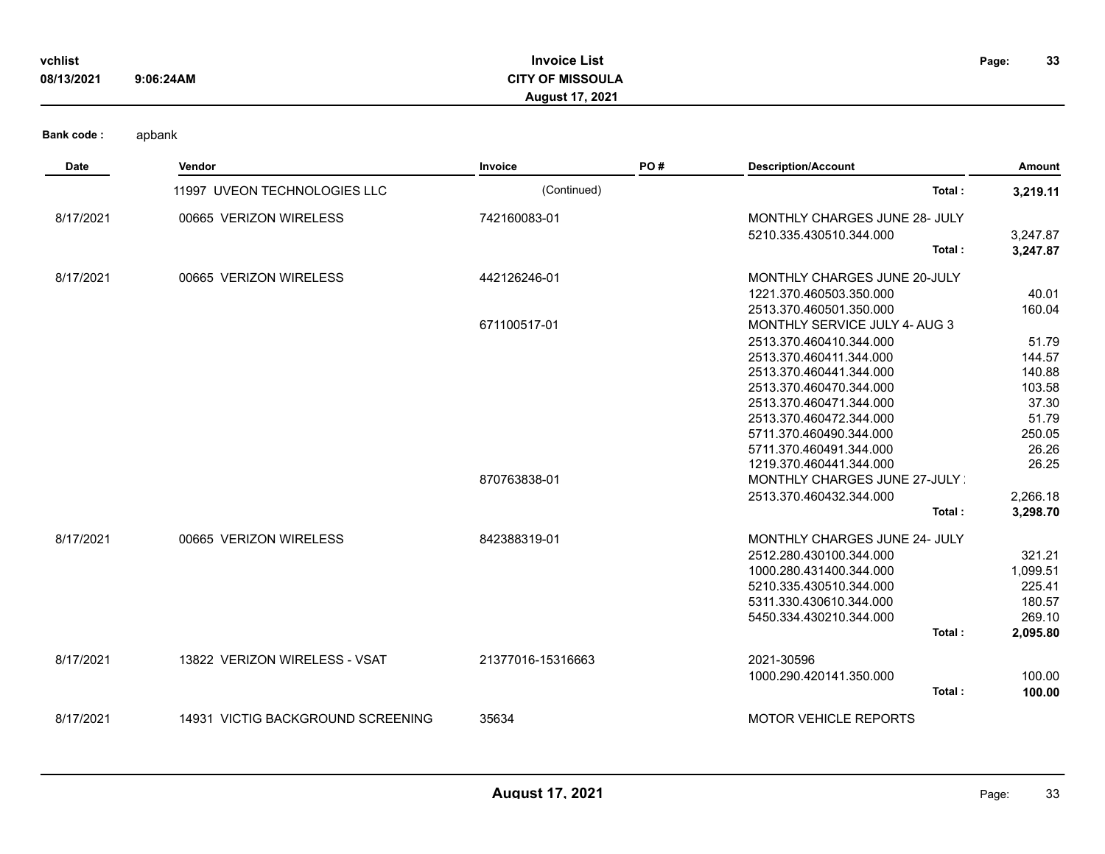| vchlist    |           | <b>Invoice List</b>     | Page: | 33 |
|------------|-----------|-------------------------|-------|----|
| 08/13/2021 | 9:06:24AM | <b>CITY OF MISSOULA</b> |       |    |
|            |           | <b>August 17, 2021</b>  |       |    |
|            |           |                         |       |    |

| <b>Date</b> | Vendor                            | Invoice           | PO# | <b>Description/Account</b>    | Amount   |
|-------------|-----------------------------------|-------------------|-----|-------------------------------|----------|
|             | 11997 UVEON TECHNOLOGIES LLC      | (Continued)       |     | Total:                        | 3,219.11 |
| 8/17/2021   | 00665 VERIZON WIRELESS            | 742160083-01      |     | MONTHLY CHARGES JUNE 28- JULY |          |
|             |                                   |                   |     | 5210.335.430510.344.000       | 3,247.87 |
|             |                                   |                   |     | Total:                        | 3,247.87 |
| 8/17/2021   | 00665 VERIZON WIRELESS            | 442126246-01      |     | MONTHLY CHARGES JUNE 20-JULY  |          |
|             |                                   |                   |     | 1221.370.460503.350.000       | 40.01    |
|             |                                   |                   |     | 2513.370.460501.350.000       | 160.04   |
|             |                                   | 671100517-01      |     | MONTHLY SERVICE JULY 4- AUG 3 |          |
|             |                                   |                   |     | 2513.370.460410.344.000       | 51.79    |
|             |                                   |                   |     | 2513.370.460411.344.000       | 144.57   |
|             |                                   |                   |     | 2513.370.460441.344.000       | 140.88   |
|             |                                   |                   |     | 2513.370.460470.344.000       | 103.58   |
|             |                                   |                   |     | 2513.370.460471.344.000       | 37.30    |
|             |                                   |                   |     | 2513.370.460472.344.000       | 51.79    |
|             |                                   |                   |     | 5711.370.460490.344.000       | 250.05   |
|             |                                   |                   |     | 5711.370.460491.344.000       | 26.26    |
|             |                                   |                   |     | 1219.370.460441.344.000       | 26.25    |
|             |                                   | 870763838-01      |     | MONTHLY CHARGES JUNE 27-JULY  |          |
|             |                                   |                   |     | 2513.370.460432.344.000       | 2,266.18 |
|             |                                   |                   |     | Total:                        | 3,298.70 |
| 8/17/2021   | 00665 VERIZON WIRELESS            | 842388319-01      |     | MONTHLY CHARGES JUNE 24- JULY |          |
|             |                                   |                   |     | 2512.280.430100.344.000       | 321.21   |
|             |                                   |                   |     | 1000.280.431400.344.000       | 1,099.51 |
|             |                                   |                   |     | 5210.335.430510.344.000       | 225.41   |
|             |                                   |                   |     | 5311.330.430610.344.000       | 180.57   |
|             |                                   |                   |     | 5450.334.430210.344.000       | 269.10   |
|             |                                   |                   |     | Total:                        | 2,095.80 |
| 8/17/2021   | 13822 VERIZON WIRELESS - VSAT     | 21377016-15316663 |     | 2021-30596                    |          |
|             |                                   |                   |     | 1000.290.420141.350.000       | 100.00   |
|             |                                   |                   |     | Total:                        | 100.00   |
| 8/17/2021   | 14931 VICTIG BACKGROUND SCREENING | 35634             |     | <b>MOTOR VEHICLE REPORTS</b>  |          |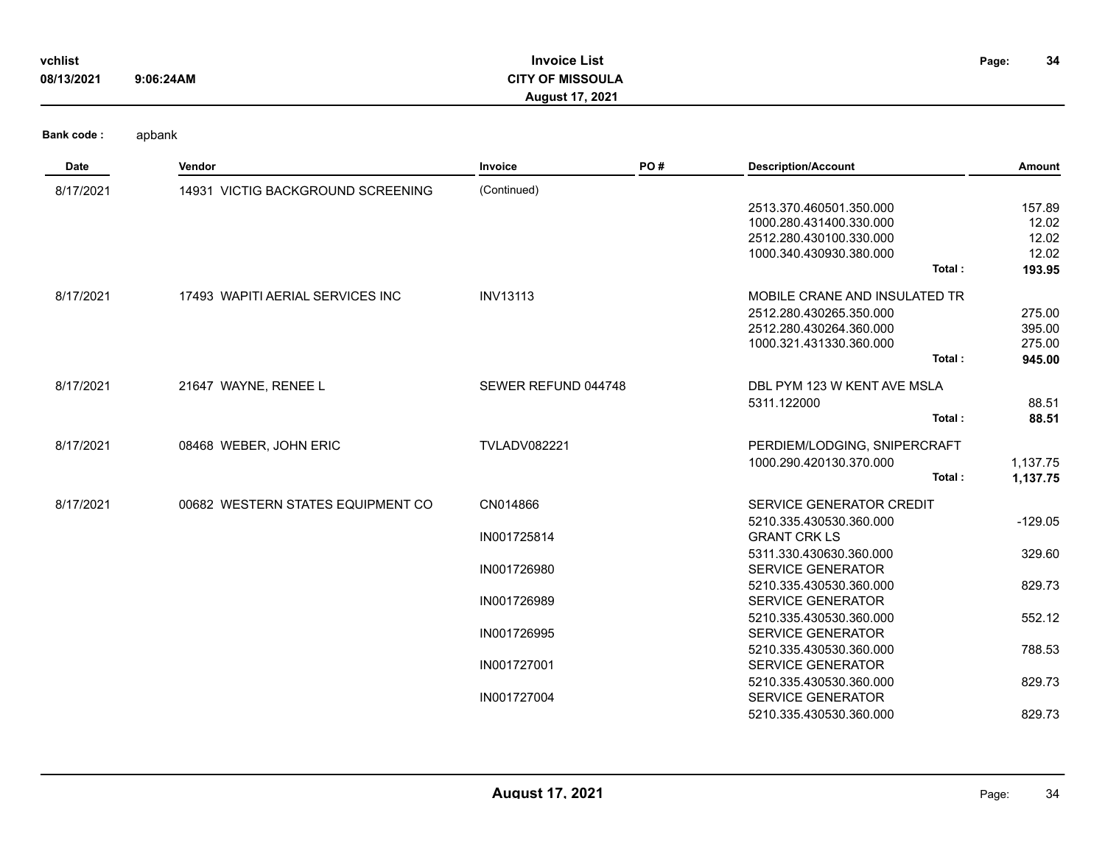| vchlist    |           | <b>Invoice List</b>     | Page: | 34 |
|------------|-----------|-------------------------|-------|----|
| 08/13/2021 | 9:06:24AM | <b>CITY OF MISSOULA</b> |       |    |
|            |           | <b>August 17, 2021</b>  |       |    |

| Date      | Vendor                            | Invoice             | PO# | <b>Description/Account</b>    | Amount    |
|-----------|-----------------------------------|---------------------|-----|-------------------------------|-----------|
| 8/17/2021 | 14931 VICTIG BACKGROUND SCREENING | (Continued)         |     |                               |           |
|           |                                   |                     |     | 2513.370.460501.350.000       | 157.89    |
|           |                                   |                     |     | 1000.280.431400.330.000       | 12.02     |
|           |                                   |                     |     | 2512.280.430100.330.000       | 12.02     |
|           |                                   |                     |     | 1000.340.430930.380.000       | 12.02     |
|           |                                   |                     |     | Total:                        | 193.95    |
| 8/17/2021 | 17493 WAPITI AERIAL SERVICES INC  | <b>INV13113</b>     |     | MOBILE CRANE AND INSULATED TR |           |
|           |                                   |                     |     | 2512.280.430265.350.000       | 275.00    |
|           |                                   |                     |     | 2512.280.430264.360.000       | 395.00    |
|           |                                   |                     |     | 1000.321.431330.360.000       | 275.00    |
|           |                                   |                     |     | Total:                        | 945.00    |
| 8/17/2021 | 21647 WAYNE, RENEE L              | SEWER REFUND 044748 |     | DBL PYM 123 W KENT AVE MSLA   |           |
|           |                                   |                     |     | 5311.122000                   | 88.51     |
|           |                                   |                     |     | Total:                        | 88.51     |
| 8/17/2021 | 08468 WEBER, JOHN ERIC            | <b>TVLADV082221</b> |     | PERDIEM/LODGING, SNIPERCRAFT  |           |
|           |                                   |                     |     | 1000.290.420130.370.000       | 1,137.75  |
|           |                                   |                     |     | Total:                        | 1,137.75  |
| 8/17/2021 | 00682 WESTERN STATES EQUIPMENT CO | CN014866            |     | SERVICE GENERATOR CREDIT      |           |
|           |                                   |                     |     | 5210.335.430530.360.000       | $-129.05$ |
|           |                                   | IN001725814         |     | <b>GRANT CRK LS</b>           |           |
|           |                                   |                     |     | 5311.330.430630.360.000       | 329.60    |
|           |                                   | IN001726980         |     | <b>SERVICE GENERATOR</b>      |           |
|           |                                   |                     |     | 5210.335.430530.360.000       | 829.73    |
|           |                                   | IN001726989         |     | <b>SERVICE GENERATOR</b>      |           |
|           |                                   |                     |     | 5210.335.430530.360.000       | 552.12    |
|           |                                   | IN001726995         |     | <b>SERVICE GENERATOR</b>      |           |
|           |                                   |                     |     | 5210.335.430530.360.000       | 788.53    |
|           |                                   | IN001727001         |     | <b>SERVICE GENERATOR</b>      |           |
|           |                                   |                     |     | 5210.335.430530.360.000       | 829.73    |
|           |                                   | IN001727004         |     | <b>SERVICE GENERATOR</b>      |           |
|           |                                   |                     |     | 5210.335.430530.360.000       | 829.73    |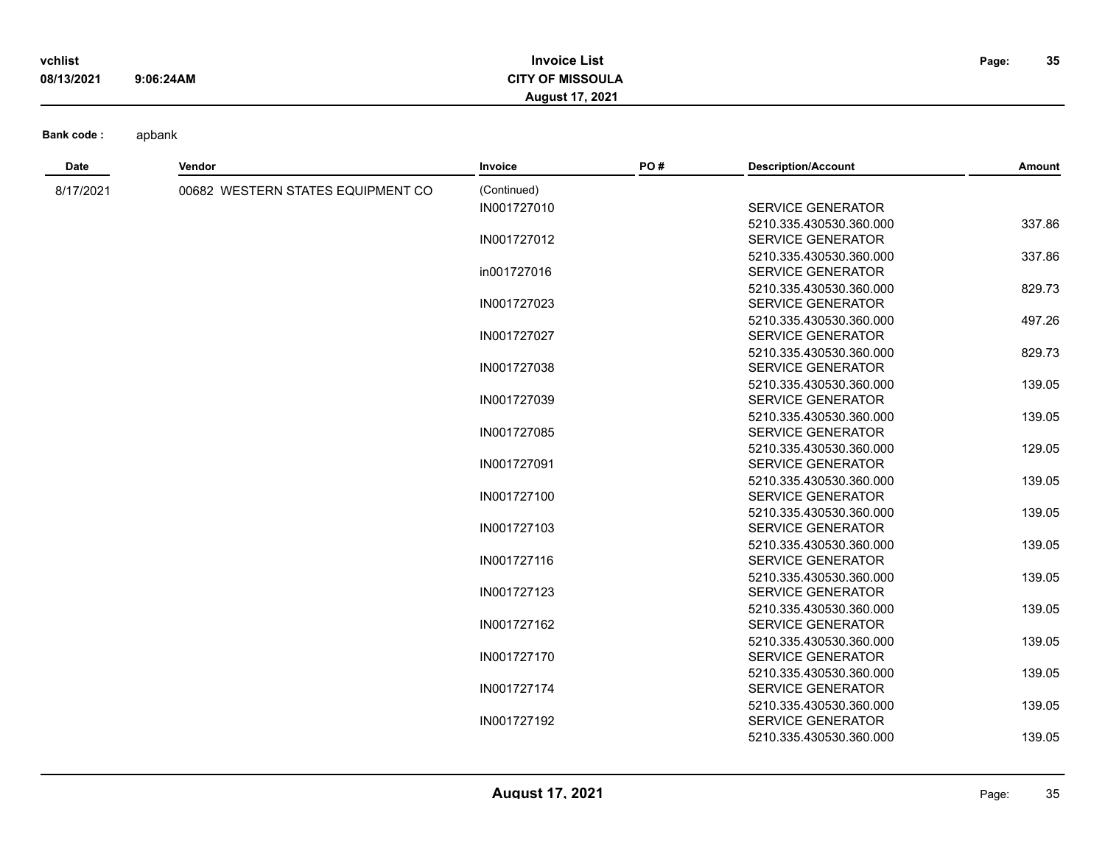| vchlist    |           | <b>Invoice List</b> | Page: | 35 |
|------------|-----------|---------------------|-------|----|
| 08/13/2021 | 9:06:24AM | <b>OF MISSOULA</b>  |       |    |
|            |           | 17.2021<br>August 1 |       |    |

| Date      | Vendor                            | Invoice     | PO# | <b>Description/Account</b> | Amount |
|-----------|-----------------------------------|-------------|-----|----------------------------|--------|
| 8/17/2021 | 00682 WESTERN STATES EQUIPMENT CO | (Continued) |     |                            |        |
|           |                                   | IN001727010 |     | <b>SERVICE GENERATOR</b>   |        |
|           |                                   |             |     | 5210.335.430530.360.000    | 337.86 |
|           |                                   | IN001727012 |     | <b>SERVICE GENERATOR</b>   |        |
|           |                                   |             |     | 5210.335.430530.360.000    | 337.86 |
|           |                                   | in001727016 |     | <b>SERVICE GENERATOR</b>   |        |
|           |                                   |             |     | 5210.335.430530.360.000    | 829.73 |
|           |                                   | IN001727023 |     | <b>SERVICE GENERATOR</b>   |        |
|           |                                   |             |     | 5210.335.430530.360.000    | 497.26 |
|           |                                   | IN001727027 |     | <b>SERVICE GENERATOR</b>   |        |
|           |                                   |             |     | 5210.335.430530.360.000    | 829.73 |
|           |                                   | IN001727038 |     | <b>SERVICE GENERATOR</b>   |        |
|           |                                   |             |     | 5210.335.430530.360.000    | 139.05 |
|           |                                   | IN001727039 |     | <b>SERVICE GENERATOR</b>   |        |
|           |                                   |             |     | 5210.335.430530.360.000    | 139.05 |
|           |                                   | IN001727085 |     | <b>SERVICE GENERATOR</b>   |        |
|           |                                   |             |     | 5210.335.430530.360.000    | 129.05 |
|           |                                   | IN001727091 |     | <b>SERVICE GENERATOR</b>   |        |
|           |                                   |             |     | 5210.335.430530.360.000    | 139.05 |
|           |                                   | IN001727100 |     | <b>SERVICE GENERATOR</b>   |        |
|           |                                   |             |     | 5210.335.430530.360.000    | 139.05 |
|           |                                   | IN001727103 |     | <b>SERVICE GENERATOR</b>   |        |
|           |                                   |             |     | 5210.335.430530.360.000    | 139.05 |
|           |                                   | IN001727116 |     | <b>SERVICE GENERATOR</b>   |        |
|           |                                   |             |     | 5210.335.430530.360.000    | 139.05 |
|           |                                   | IN001727123 |     | <b>SERVICE GENERATOR</b>   |        |
|           |                                   |             |     | 5210.335.430530.360.000    | 139.05 |
|           |                                   | IN001727162 |     | <b>SERVICE GENERATOR</b>   |        |
|           |                                   |             |     | 5210.335.430530.360.000    | 139.05 |
|           |                                   | IN001727170 |     | <b>SERVICE GENERATOR</b>   |        |
|           |                                   |             |     | 5210.335.430530.360.000    | 139.05 |
|           |                                   | IN001727174 |     | <b>SERVICE GENERATOR</b>   |        |
|           |                                   |             |     | 5210.335.430530.360.000    | 139.05 |
|           |                                   | IN001727192 |     | <b>SERVICE GENERATOR</b>   |        |
|           |                                   |             |     | 5210.335.430530.360.000    | 139.05 |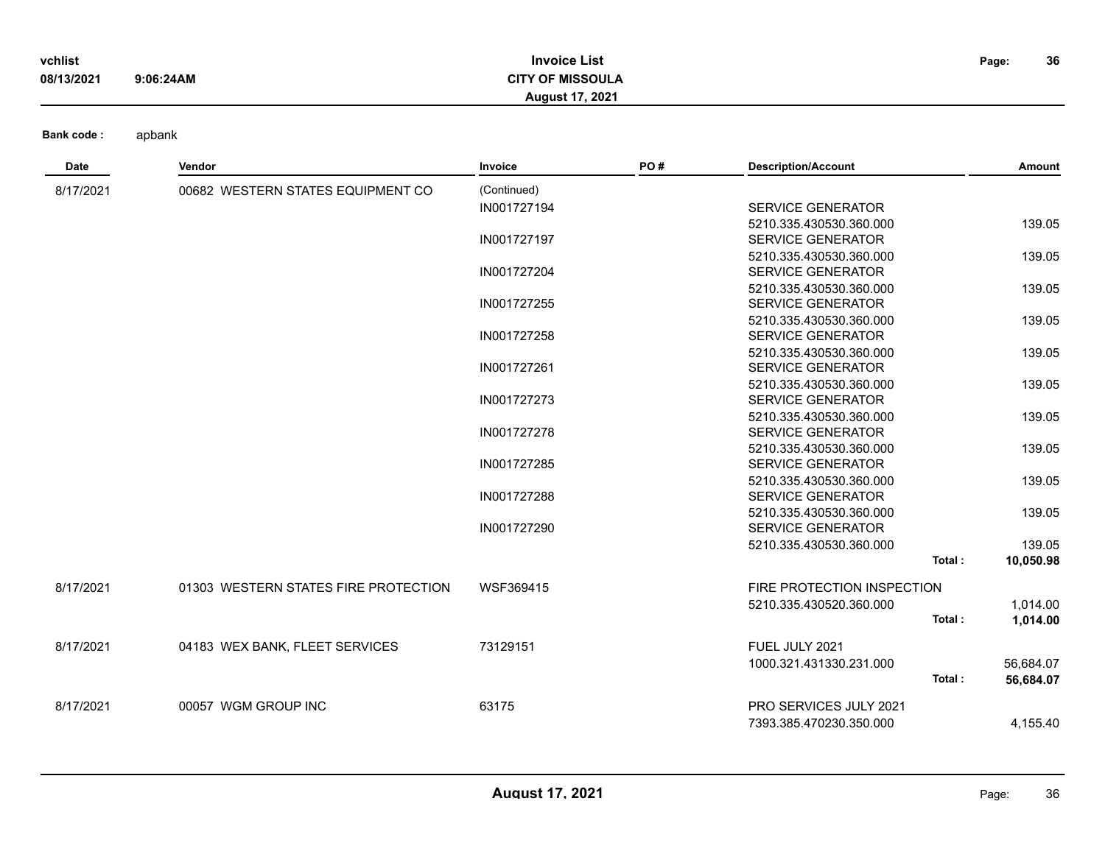| vchlist    |           | <b>Invoice List</b>     | Page: | 36 |
|------------|-----------|-------------------------|-------|----|
| 08/13/2021 | 9:06:24AM | <b>CITY OF MISSOULA</b> |       |    |
|            |           | <b>August 17, 2021</b>  |       |    |

**Date Vendor Invoice PO # Description/Account Amount** 8/17/2021 00682 WESTERN STATES EQUIPMENT CO (Continued) IN001727194 SERVICE GENERATOR 5210.335.430530.360.000 139.05 IN001727197 SERVICE GENERATOR 5210.335.430530.360.000 139.05 IN001727204 SERVICE GENERATOR 5210.335.430530.360.000 139.05 IN001727255 SERVICE GENERATOR 5210.335.430530.360.000 139.05 IN001727258 SERVICE GENERATOR 5210.335.430530.360.000 139.05 IN001727261 SERVICE GENERATOR 5210.335.430530.360.000 139.05 IN001727273 SERVICE GENERATOR 5210.335.430530.360.000 139.05 IN001727278 SERVICE GENERATOR 5210.335.430530.360.000 139.05 IN001727285 SERVICE GENERATOR 5210.335.430530.360.000 139.05 IN001727288 SERVICE GENERATOR 5210.335.430530.360.000 139.05 IN001727290 SERVICE GENERATOR 5210.335.430530.360.000 139.05 **Total : 10,050.98** 8/17/2021 01303 WESTERN STATES FIRE PROTECTION WSF369415 FIRE PROTECTION INSPECTION 5210.335.430520.360.000 1,014.00 **Total : 1,014.00** 8/17/2021 04183 WEX BANK, FLEET SERVICES 73129151 FUEL JULY 2021 1000.321.431330.231.000 56,684.07 **Total : 56,684.07** 8/17/2021 00057 WGM GROUP INC 63175 PRO SERVICES JULY 2021 7393.385.470230.350.000 4,155.40